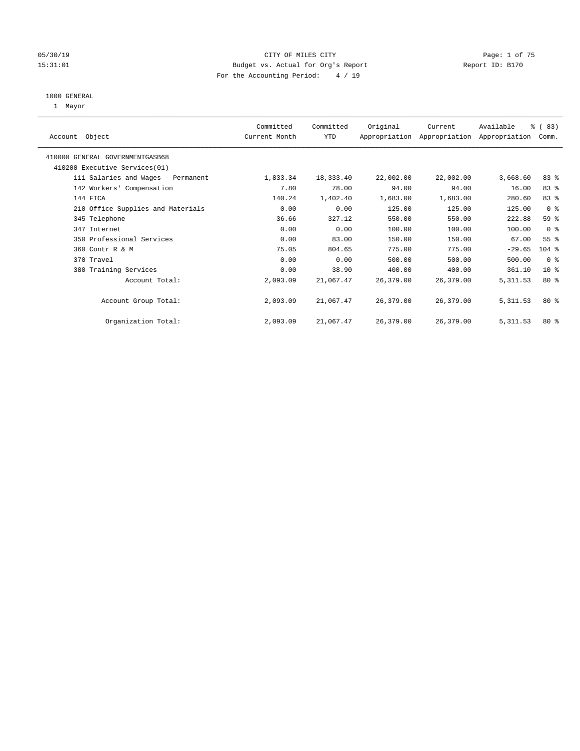### 05/30/19 Page: 1 of 75 15:31:01 Budget vs. Actual for Org's Report Changer Report ID: B170 For the Accounting Period: 4 / 19

#### 1000 GENERAL

1 Mayor

| Account Object                     | Committed<br>Current Month | Committed<br>YTD | Original  | Current   | Available<br>Appropriation Appropriation Appropriation | % (83)<br>Comm. |
|------------------------------------|----------------------------|------------------|-----------|-----------|--------------------------------------------------------|-----------------|
| 410000 GENERAL GOVERNMENTGASB68    |                            |                  |           |           |                                                        |                 |
| 410200 Executive Services (01)     |                            |                  |           |           |                                                        |                 |
| 111 Salaries and Wages - Permanent | 1,833.34                   | 18,333.40        | 22,002.00 | 22,002.00 | 3,668.60                                               | $83*$           |
| 142 Workers' Compensation          | 7.80                       | 78.00            | 94.00     | 94.00     | 16.00                                                  | 83 %            |
| 144 FICA                           | 140.24                     | 1,402.40         | 1,683.00  | 1,683.00  | 280.60                                                 | 83%             |
| 210 Office Supplies and Materials  | 0.00                       | 0.00             | 125.00    | 125.00    | 125.00                                                 | 0 <sup>8</sup>  |
| 345 Telephone                      | 36.66                      | 327.12           | 550.00    | 550.00    | 222.88                                                 | 59 %            |
| 347 Internet                       | 0.00                       | 0.00             | 100.00    | 100.00    | 100.00                                                 | 0 <sup>8</sup>  |
| 350 Professional Services          | 0.00                       | 83.00            | 150.00    | 150.00    | 67.00                                                  | 55 <sup>°</sup> |
| 360 Contr R & M                    | 75.05                      | 804.65           | 775.00    | 775.00    | $-29.65$                                               | $104$ %         |
| 370 Travel                         | 0.00                       | 0.00             | 500.00    | 500.00    | 500.00                                                 | 0 <sup>8</sup>  |
| 380 Training Services              | 0.00                       | 38.90            | 400.00    | 400.00    | 361.10                                                 | 10 <sup>8</sup> |
| Account Total:                     | 2,093.09                   | 21,067.47        | 26,379.00 | 26,379.00 | 5, 311.53                                              | $80*$           |
| Account Group Total:               | 2,093.09                   | 21,067.47        | 26,379.00 | 26,379.00 | 5, 311.53                                              | $80*$           |
| Organization Total:                | 2,093.09                   | 21,067.47        | 26,379.00 | 26,379.00 | 5, 311.53                                              | $80*$           |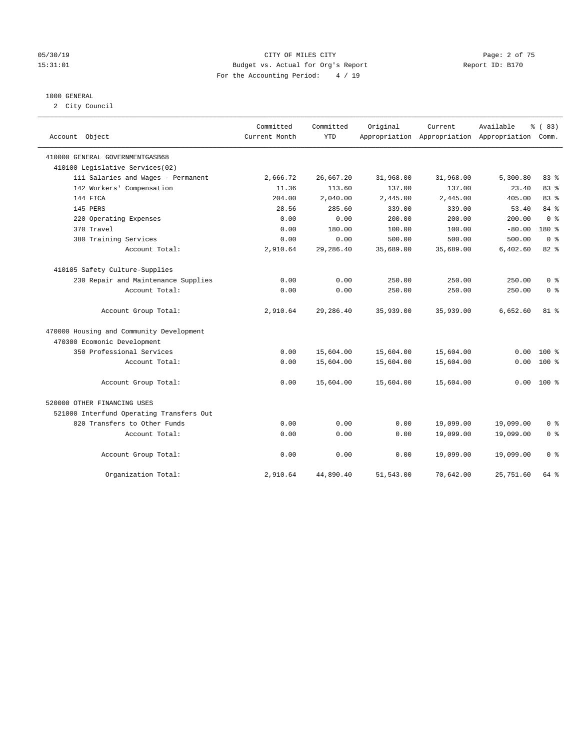#### 05/30/19 CITY OF MILES CITY Page: 2 of 75 15:31:01 Budget vs. Actual for Org's Report Changer Report ID: B170 For the Accounting Period: 4 / 19

#### 1000 GENERAL

2 City Council

| Account Object                           | Committed<br>Current Month | Committed<br><b>YTD</b> | Original  | Current   | Available<br>Appropriation Appropriation Appropriation Comm. | % (83)         |
|------------------------------------------|----------------------------|-------------------------|-----------|-----------|--------------------------------------------------------------|----------------|
| 410000 GENERAL GOVERNMENTGASB68          |                            |                         |           |           |                                                              |                |
| 410100 Legislative Services(02)          |                            |                         |           |           |                                                              |                |
| 111 Salaries and Wages - Permanent       | 2,666.72                   | 26,667.20               | 31,968.00 | 31,968.00 | 5,300.80                                                     | 83%            |
| 142 Workers' Compensation                | 11.36                      | 113.60                  | 137.00    | 137.00    | 23.40                                                        | 83 %           |
| 144 FICA                                 | 204.00                     | 2,040.00                | 2,445.00  | 2,445.00  | 405.00                                                       | 83%            |
| 145 PERS                                 | 28.56                      | 285.60                  | 339.00    | 339.00    | 53.40                                                        | 84 %           |
| 220 Operating Expenses                   | 0.00                       | 0.00                    | 200.00    | 200.00    | 200.00                                                       | 0 <sup>8</sup> |
| 370 Travel                               | 0.00                       | 180.00                  | 100.00    | 100.00    | $-80.00$                                                     | 180 %          |
| 380 Training Services                    | 0.00                       | 0.00                    | 500.00    | 500.00    | 500.00                                                       | 0 <sup>8</sup> |
| Account Total:                           | 2,910.64                   | 29,286.40               | 35,689.00 | 35,689.00 | 6,402.60                                                     | 82 %           |
| 410105 Safety Culture-Supplies           |                            |                         |           |           |                                                              |                |
| 230 Repair and Maintenance Supplies      | 0.00                       | 0.00                    | 250.00    | 250.00    | 250.00                                                       | 0 %            |
| Account Total:                           | 0.00                       | 0.00                    | 250.00    | 250.00    | 250.00                                                       | 0 <sup>8</sup> |
| Account Group Total:                     | 2,910.64                   | 29,286.40               | 35,939.00 | 35,939.00 | 6,652.60                                                     | $81$ %         |
| 470000 Housing and Community Development |                            |                         |           |           |                                                              |                |
| 470300 Ecomonic Development              |                            |                         |           |           |                                                              |                |
| 350 Professional Services                | 0.00                       | 15,604.00               | 15,604.00 | 15,604.00 | 0.00                                                         | $100*$         |
| Account Total:                           | 0.00                       | 15,604.00               | 15,604.00 | 15,604.00 | 0.00                                                         | $100*$         |
| Account Group Total:                     | 0.00                       | 15,604.00               | 15,604.00 | 15,604.00 | 0.00                                                         | $100*$         |
| 520000 OTHER FINANCING USES              |                            |                         |           |           |                                                              |                |
| 521000 Interfund Operating Transfers Out |                            |                         |           |           |                                                              |                |
| 820 Transfers to Other Funds             | 0.00                       | 0.00                    | 0.00      | 19,099.00 | 19,099.00                                                    | 0 <sup>8</sup> |
| Account Total:                           | 0.00                       | 0.00                    | 0.00      | 19,099.00 | 19,099.00                                                    | 0 <sup>8</sup> |
| Account Group Total:                     | 0.00                       | 0.00                    | 0.00      | 19,099.00 | 19,099.00                                                    | 0 <sup>8</sup> |
| Organization Total:                      | 2,910.64                   | 44,890.40               | 51,543.00 | 70,642.00 | 25,751.60                                                    | 64 %           |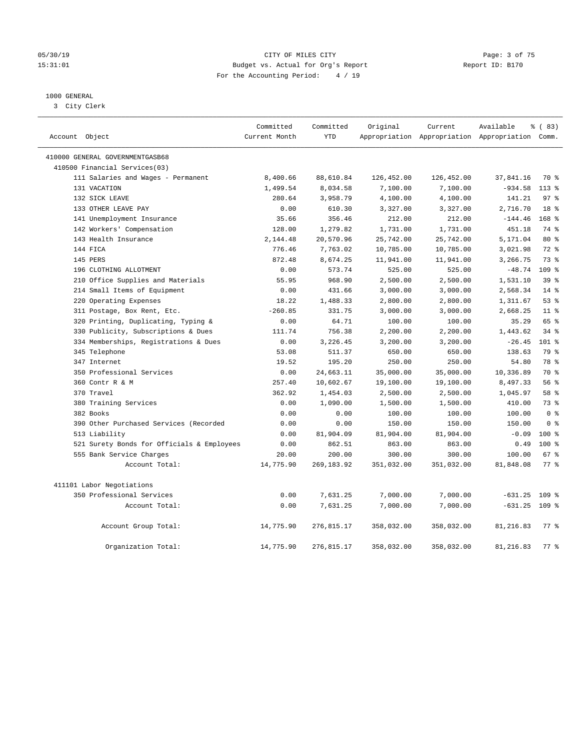#### 05/30/19 CITY OF MILES CITY Page: 3 of 75 15:31:01 Budget vs. Actual for Org's Report Changer Report ID: B170 For the Accounting Period: 4 / 19

## 1000 GENERAL

3 City Clerk

| Account Object                             | Committed<br>Current Month | Committed<br><b>YTD</b> | Original   | Current    | Available<br>Appropriation Appropriation Appropriation Comm. | % (83)           |
|--------------------------------------------|----------------------------|-------------------------|------------|------------|--------------------------------------------------------------|------------------|
| 410000 GENERAL GOVERNMENTGASB68            |                            |                         |            |            |                                                              |                  |
| 410500 Financial Services(03)              |                            |                         |            |            |                                                              |                  |
| 111 Salaries and Wages - Permanent         | 8,400.66                   | 88,610.84               | 126,452.00 | 126,452.00 | 37,841.16                                                    | 70 %             |
| 131 VACATION                               | 1,499.54                   | 8,034.58                | 7,100.00   | 7,100.00   | $-934.58$                                                    | $113*$           |
| 132 SICK LEAVE                             | 280.64                     | 3,958.79                | 4,100.00   | 4,100.00   | 141.21                                                       | 97 <sub>8</sub>  |
| 133 OTHER LEAVE PAY                        | 0.00                       | 610.30                  | 3,327.00   | 3,327.00   | 2,716.70                                                     | 18 <sup>8</sup>  |
| 141 Unemployment Insurance                 | 35.66                      | 356.46                  | 212.00     | 212.00     | $-144.46$                                                    | $168$ %          |
| 142 Workers' Compensation                  | 128.00                     | 1,279.82                | 1,731.00   | 1,731.00   | 451.18                                                       | 74 %             |
| 143 Health Insurance                       | 2,144.48                   | 20,570.96               | 25,742.00  | 25,742.00  | 5,171.04                                                     | 80 %             |
| 144 FICA                                   | 776.46                     | 7,763.02                | 10,785.00  | 10,785.00  | 3,021.98                                                     | $72$ $%$         |
| 145 PERS                                   | 872.48                     | 8,674.25                | 11,941.00  | 11,941.00  | 3,266.75                                                     | 73 %             |
| 196 CLOTHING ALLOTMENT                     | 0.00                       | 573.74                  | 525.00     | 525.00     | $-48.74$                                                     | 109 <sub>8</sub> |
| 210 Office Supplies and Materials          | 55.95                      | 968.90                  | 2,500.00   | 2,500.00   | 1,531.10                                                     | 39 <sup>8</sup>  |
| 214 Small Items of Equipment               | 0.00                       | 431.66                  | 3,000.00   | 3,000.00   | 2,568.34                                                     | $14*$            |
| 220 Operating Expenses                     | 18.22                      | 1,488.33                | 2,800.00   | 2,800.00   | 1,311.67                                                     | 53%              |
| 311 Postage, Box Rent, Etc.                | $-260.85$                  | 331.75                  | 3,000.00   | 3,000.00   | 2,668.25                                                     | 11 <sup>8</sup>  |
| 320 Printing, Duplicating, Typing &        | 0.00                       | 64.71                   | 100.00     | 100.00     | 35.29                                                        | 65 %             |
| 330 Publicity, Subscriptions & Dues        | 111.74                     | 756.38                  | 2,200.00   | 2,200.00   | 1,443.62                                                     | 34.8             |
| 334 Memberships, Registrations & Dues      | 0.00                       | 3,226.45                | 3,200.00   | 3,200.00   | $-26.45$                                                     | $101$ %          |
| 345 Telephone                              | 53.08                      | 511.37                  | 650.00     | 650.00     | 138.63                                                       | 79 %             |
| 347 Internet                               | 19.52                      | 195.20                  | 250.00     | 250.00     | 54.80                                                        | 78 %             |
| 350 Professional Services                  | 0.00                       | 24,663.11               | 35,000.00  | 35,000.00  | 10,336.89                                                    | 70 %             |
| 360 Contr R & M                            | 257.40                     | 10,602.67               | 19,100.00  | 19,100.00  | 8,497.33                                                     | 56 %             |
| 370 Travel                                 | 362.92                     | 1,454.03                | 2,500.00   | 2,500.00   | 1,045.97                                                     | 58 %             |
| 380 Training Services                      | 0.00                       | 1,090.00                | 1,500.00   | 1,500.00   | 410.00                                                       | 73 %             |
| 382 Books                                  | 0.00                       | 0.00                    | 100.00     | 100.00     | 100.00                                                       | 0 <sup>8</sup>   |
| 390 Other Purchased Services (Recorded     | 0.00                       | 0.00                    | 150.00     | 150.00     | 150.00                                                       | 0 <sup>8</sup>   |
| 513 Liability                              | 0.00                       | 81,904.09               | 81,904.00  | 81,904.00  | $-0.09$                                                      | $100*$           |
| 521 Surety Bonds for Officials & Employees | 0.00                       | 862.51                  | 863.00     | 863.00     | 0.49                                                         | $100*$           |
| 555 Bank Service Charges                   | 20.00                      | 200.00                  | 300.00     | 300.00     | 100.00                                                       | 67 <sup>8</sup>  |
| Account Total:                             | 14,775.90                  | 269,183.92              | 351,032.00 | 351,032.00 | 81,848.08                                                    | 77.8             |
| 411101 Labor Negotiations                  |                            |                         |            |            |                                                              |                  |
| 350 Professional Services                  | 0.00                       | 7,631.25                | 7,000.00   | 7,000.00   | $-631.25$                                                    | 109 <sub>8</sub> |
| Account Total:                             | 0.00                       | 7,631.25                | 7,000.00   | 7,000.00   | $-631.25$                                                    | $109$ %          |
| Account Group Total:                       | 14,775.90                  | 276,815.17              | 358,032.00 | 358,032.00 | 81,216.83                                                    | 77.8             |
| Organization Total:                        | 14,775.90                  | 276,815.17              | 358,032.00 | 358,032.00 | 81,216.83                                                    | 77.8             |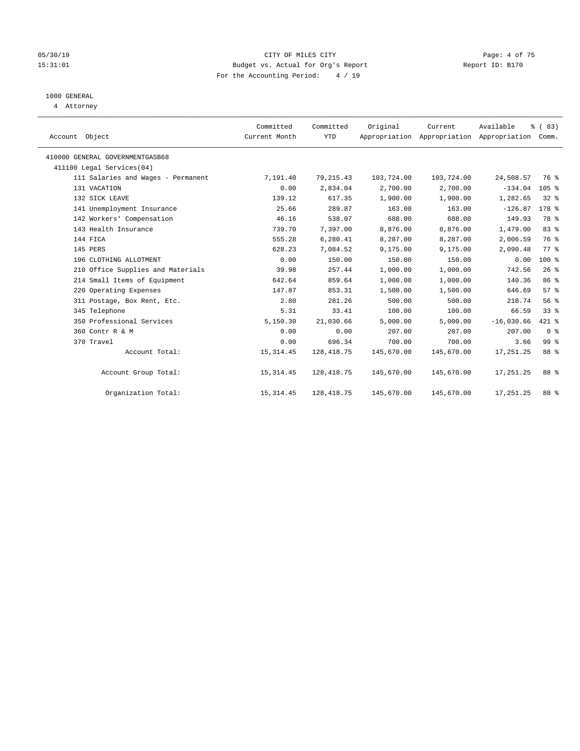### 05/30/19 CITY OF MILES CITY Page: 4 of 75 15:31:01 Budget vs. Actual for Org's Report Changer Report ID: B170 For the Accounting Period: 4 / 19

## 1000 GENERAL

4 Attorney

| Account Object                     | Committed<br>Current Month | Committed<br><b>YTD</b> | Original   | Current<br>Appropriation Appropriation Appropriation | Available    | % (83)<br>Comm. |  |
|------------------------------------|----------------------------|-------------------------|------------|------------------------------------------------------|--------------|-----------------|--|
| 410000 GENERAL GOVERNMENTGASB68    |                            |                         |            |                                                      |              |                 |  |
| 411100 Legal Services(04)          |                            |                         |            |                                                      |              |                 |  |
| 111 Salaries and Wages - Permanent | 7,191.40                   | 79, 215.43              | 103,724.00 | 103,724.00                                           | 24,508.57    | 76 %            |  |
| 131 VACATION                       | 0.00                       | 2,834.04                | 2,700.00   | 2,700.00                                             | $-134.04$    | $105$ %         |  |
| 132 SICK LEAVE                     | 139.12                     | 617.35                  | 1,900.00   | 1,900.00                                             | 1,282.65     | $32$ $%$        |  |
| 141 Unemployment Insurance         | 25.66                      | 289.87                  | 163.00     | 163.00                                               | $-126.87$    | $178$ %         |  |
| 142 Workers' Compensation          | 46.16                      | 538.07                  | 688.00     | 688.00                                               | 149.93       | 78 %            |  |
| 143 Health Insurance               | 739.70                     | 7.397.00                | 8,876.00   | 8,876.00                                             | 1,479.00     | 83 %            |  |
| 144 FICA                           | 555.28                     | 6,280.41                | 8,287.00   | 8,287.00                                             | 2,006.59     | 76 %            |  |
| 145 PERS                           | 628.23                     | 7,084.52                | 9,175.00   | 9,175.00                                             | 2,090.48     | 77.8            |  |
| 196 CLOTHING ALLOTMENT             | 0.00                       | 150.00                  | 150.00     | 150.00                                               | 0.00         | 100 %           |  |
| 210 Office Supplies and Materials  | 39.98                      | 257.44                  | 1,000.00   | 1,000.00                                             | 742.56       | 26%             |  |
| 214 Small Items of Equipment       | 642.64                     | 859.64                  | 1,000.00   | 1,000.00                                             | 140.36       | 86 %            |  |
| 220 Operating Expenses             | 147.87                     | 853.31                  | 1,500.00   | 1,500.00                                             | 646.69       | 57%             |  |
| 311 Postage, Box Rent, Etc.        | 2.80                       | 281.26                  | 500.00     | 500.00                                               | 218.74       | 56%             |  |
| 345 Telephone                      | 5.31                       | 33.41                   | 100.00     | 100.00                                               | 66.59        | 33%             |  |
| 350 Professional Services          | 5,150.30                   | 21,030.66               | 5,000.00   | 5,000.00                                             | $-16,030.66$ | 421 %           |  |
| 360 Contr R & M                    | 0.00                       | 0.00                    | 207.00     | 207.00                                               | 207.00       | 0 <sup>8</sup>  |  |
| 370 Travel                         | 0.00                       | 696.34                  | 700.00     | 700.00                                               | 3.66         | 99 <sup>°</sup> |  |
| Account Total:                     | 15, 314.45                 | 128, 418.75             | 145,670.00 | 145,670.00                                           | 17,251.25    | 88 %            |  |
| Account Group Total:               | 15, 314.45                 | 128,418.75              | 145,670.00 | 145,670.00                                           | 17,251.25    | 88 %            |  |
| Organization Total:                | 15, 314.45                 | 128, 418. 75            | 145,670.00 | 145,670.00                                           | 17,251.25    | 88 %            |  |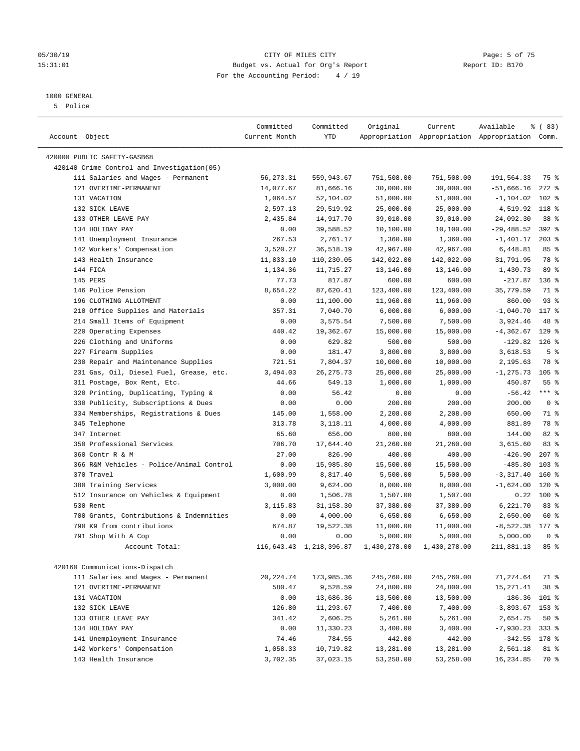#### 05/30/19 CITY OF MILES CITY Page: 5 of 75 15:31:01 Budget vs. Actual for Org's Report Report ID: B170 For the Accounting Period: 4 / 19

————————————————————————————————————————————————————————————————————————————————————————————————————————————————————————————————————

## 1000 GENERAL

5 Police

| Account Object                             | Committed<br>Current Month | Committed<br>YTD | Original                                          | Current    | Available<br>Appropriation Appropriation Appropriation Comm. | <sub>ර</sub> ි (83) |
|--------------------------------------------|----------------------------|------------------|---------------------------------------------------|------------|--------------------------------------------------------------|---------------------|
|                                            |                            |                  |                                                   |            |                                                              |                     |
| 420000 PUBLIC SAFETY-GASB68                |                            |                  |                                                   |            |                                                              |                     |
| 420140 Crime Control and Investigation(05) |                            |                  |                                                   |            |                                                              |                     |
| 111 Salaries and Wages - Permanent         | 56, 273.31                 | 559,943.67       | 751,508.00                                        | 751,508.00 | 191,564.33                                                   | 75 %                |
| 121 OVERTIME-PERMANENT                     | 14,077.67                  | 81,666.16        | 30,000.00                                         | 30,000.00  | $-51,666.16$                                                 | $272$ %             |
| 131 VACATION                               | 1,064.57                   | 52,104.02        | 51,000.00                                         | 51,000.00  | $-1, 104.02$                                                 | $102$ %             |
| 132 SICK LEAVE                             | 2,597.13                   | 29,519.92        | 25,000.00                                         | 25,000.00  | $-4,519.92$ 118 %                                            |                     |
| 133 OTHER LEAVE PAY                        | 2,435.84                   | 14,917.70        | 39,010.00                                         | 39,010.00  | 24,092.30                                                    | 38 <sup>8</sup>     |
| 134 HOLIDAY PAY                            | 0.00                       | 39,588.52        | 10,100.00                                         | 10,100.00  | $-29,488.52$                                                 | 392 %               |
| 141 Unemployment Insurance                 | 267.53                     | 2,761.17         | 1,360.00                                          | 1,360.00   | $-1,401.17$                                                  | $203$ %             |
| 142 Workers' Compensation                  | 3,520.27                   | 36,518.19        | 42,967.00                                         | 42,967.00  | 6,448.81                                                     | 85%                 |
| 143 Health Insurance                       | 11,833.10                  | 110,230.05       | 142,022.00                                        | 142,022.00 | 31,791.95                                                    | 78 %                |
| 144 FICA                                   | 1,134.36                   | 11,715.27        | 13,146.00                                         | 13,146.00  | 1,430.73                                                     | 89 %                |
| 145 PERS                                   | 77.73                      | 817.87           | 600.00                                            | 600.00     | $-217.87$                                                    | $136$ %             |
| 146 Police Pension                         | 8,654.22                   | 87,620.41        | 123,400.00                                        | 123,400.00 | 35,779.59                                                    | 71 %                |
| 196 CLOTHING ALLOTMENT                     | 0.00                       | 11,100.00        | 11,960.00                                         | 11,960.00  | 860.00                                                       | 93%                 |
| 210 Office Supplies and Materials          | 357.31                     | 7,040.70         | 6,000.00                                          | 6,000.00   | $-1,040.70$                                                  | 117 %               |
| 214 Small Items of Equipment               | 0.00                       | 3,575.54         | 7,500.00                                          | 7,500.00   | 3,924.46                                                     | 48 %                |
| 220 Operating Expenses                     | 440.42                     | 19,362.67        | 15,000.00                                         | 15,000.00  | $-4, 362.67$                                                 | $129$ %             |
| 226 Clothing and Uniforms                  | 0.00                       | 629.82           | 500.00                                            | 500.00     | $-129.82$                                                    | $126$ %             |
| 227 Firearm Supplies                       | 0.00                       | 181.47           | 3,800.00                                          | 3,800.00   | 3,618.53                                                     | 5 <sup>°</sup>      |
| 230 Repair and Maintenance Supplies        | 721.51                     | 7,804.37         | 10,000.00                                         | 10,000.00  | 2,195.63                                                     | 78 %                |
| 231 Gas, Oil, Diesel Fuel, Grease, etc.    | 3,494.03                   | 26, 275.73       | 25,000.00                                         | 25,000.00  | $-1,275.73$                                                  | $105$ %             |
| 311 Postage, Box Rent, Etc.                | 44.66                      | 549.13           | 1,000.00                                          | 1,000.00   | 450.87                                                       | 55 %                |
| 320 Printing, Duplicating, Typing &        | 0.00                       | 56.42            | 0.00                                              | 0.00       | $-56.42$                                                     | $***$ $_{8}$        |
| 330 Publicity, Subscriptions & Dues        | 0.00                       | 0.00             | 200.00                                            | 200.00     | 200.00                                                       | 0 <sup>8</sup>      |
| 334 Memberships, Registrations & Dues      | 145.00                     | 1,558.00         | 2,208.00                                          | 2,208.00   | 650.00                                                       | 71 %                |
| 345 Telephone                              | 313.78                     | 3,118.11         | 4,000.00                                          | 4,000.00   | 881.89                                                       | 78 %                |
| 347 Internet                               | 65.60                      | 656.00           | 800.00                                            | 800.00     | 144.00                                                       | $82$ $%$            |
| 350 Professional Services                  | 706.70                     | 17,644.40        | 21,260.00                                         | 21,260.00  | 3,615.60                                                     | 83%                 |
| 360 Contr R & M                            | 27.00                      | 826.90           | 400.00                                            | 400.00     | $-426.90$                                                    | $207$ %             |
| 366 R&M Vehicles - Police/Animal Control   | 0.00                       | 15,985.80        | 15,500.00                                         | 15,500.00  | $-485.80$                                                    | 103%                |
| 370 Travel                                 | 1,600.99                   | 8,817.40         | 5,500.00                                          | 5,500.00   | $-3,317.40$                                                  | 160%                |
| 380 Training Services                      | 3,000.00                   | 9,624.00         | 8,000.00                                          | 8,000.00   | $-1,624.00$                                                  | $120$ %             |
| 512 Insurance on Vehicles & Equipment      | 0.00                       | 1,506.78         | 1,507.00                                          | 1,507.00   | 0.22                                                         | 100 %               |
| 530 Rent                                   | 3,115.83                   | 31,158.30        | 37,380.00                                         | 37,380.00  | 6,221.70                                                     | 83%                 |
| 700 Grants, Contributions & Indemnities    | 0.00                       | 4,000.00         | 6,650.00                                          | 6,650.00   | 2,650.00                                                     | 60 %                |
| 790 K9 from contributions                  | 674.87                     | 19,522.38        | 11,000.00                                         | 11,000.00  | $-8,522.38$ 177 %                                            |                     |
| 791 Shop With A Cop                        | 0.00                       | 0.00             | 5,000.00                                          | 5,000.00   | 5,000.00                                                     | 0 <sup>8</sup>      |
| Account Total:                             |                            |                  | 116,643.43 1,218,396.87 1,430,278.00 1,430,278.00 |            | 211,881.13                                                   | 85 %                |
|                                            |                            |                  |                                                   |            |                                                              |                     |
| 420160 Communications-Dispatch             |                            |                  |                                                   |            |                                                              |                     |
| 111 Salaries and Wages - Permanent         | 20, 224.74                 | 173,985.36       | 245,260.00                                        | 245,260.00 | 71,274.64                                                    | 71 %                |
| 121 OVERTIME-PERMANENT                     | 580.47                     | 9,528.59         | 24,800.00                                         | 24,800.00  | 15, 271.41                                                   | 38 %                |
| 131 VACATION                               | 0.00                       | 13,686.36        | 13,500.00                                         | 13,500.00  | $-186.36$ 101 %                                              |                     |
| 132 SICK LEAVE                             | 126.80                     | 11,293.67        | 7,400.00                                          | 7,400.00   | $-3,893.67$                                                  | 153 %               |
| 133 OTHER LEAVE PAY                        | 341.42                     | 2,606.25         | 5,261.00                                          | 5,261.00   | 2,654.75                                                     | 50%                 |
| 134 HOLIDAY PAY                            | 0.00                       | 11,330.23        | 3,400.00                                          | 3,400.00   | $-7,930.23$                                                  | $333$ $%$           |
| 141 Unemployment Insurance                 | 74.46                      | 784.55           | 442.00                                            | 442.00     | $-342.55$                                                    | 178 %               |
| 142 Workers' Compensation                  | 1,058.33                   | 10,719.82        | 13,281.00                                         | 13,281.00  | 2,561.18                                                     | 81 %                |
| 143 Health Insurance                       | 3,702.35                   | 37,023.15        | 53,258.00                                         | 53,258.00  | 16,234.85                                                    | 70 %                |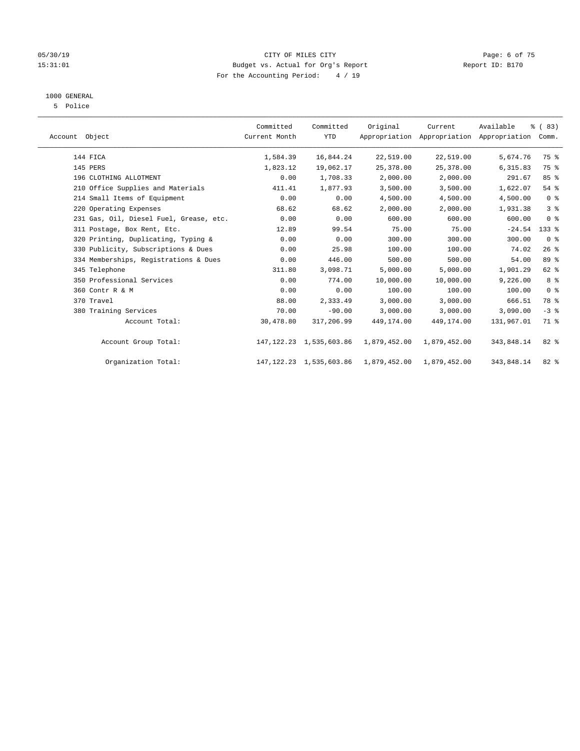#### 05/30/19 CITY OF MILES CITY Page: 6 of 75 15:31:01 Budget vs. Actual for Org's Report Report ID: B170 For the Accounting Period: 4 / 19

## 1000 GENERAL

5 Police

| Account Object |                                         | Committed<br>Current Month | Committed<br><b>YTD</b>      | Original                                     | Current<br>Appropriation Appropriation Appropriation | Available  | % (83)<br>Comm. |  |
|----------------|-----------------------------------------|----------------------------|------------------------------|----------------------------------------------|------------------------------------------------------|------------|-----------------|--|
|                | 144 FICA                                | 1,584.39                   | 16,844.24                    | 22,519.00                                    | 22,519.00                                            | 5,674.76   | 75 %            |  |
|                | 145 PERS                                | 1,823.12                   | 19,062.17                    | 25, 378.00                                   | 25,378.00                                            | 6,315.83   | 75 %            |  |
|                | 196 CLOTHING ALLOTMENT                  | 0.00                       | 1,708.33                     | 2,000.00                                     | 2,000.00                                             | 291.67     | 85%             |  |
|                | 210 Office Supplies and Materials       | 411.41                     | 1,877.93                     | 3,500.00                                     | 3,500.00                                             | 1,622.07   | 54 %            |  |
|                | 214 Small Items of Equipment            | 0.00                       | 0.00                         | 4,500.00                                     | 4,500.00                                             | 4,500.00   | 0 <sup>8</sup>  |  |
|                | 220 Operating Expenses                  | 68.62                      | 68.62                        | 2,000.00                                     | 2,000.00                                             | 1,931.38   | 3%              |  |
|                | 231 Gas, Oil, Diesel Fuel, Grease, etc. | 0.00                       | 0.00                         | 600.00                                       | 600.00                                               | 600.00     | 0 <sup>8</sup>  |  |
|                | 311 Postage, Box Rent, Etc.             | 12.89                      | 99.54                        | 75.00                                        | 75.00                                                | $-24.54$   | 133 %           |  |
|                | 320 Printing, Duplicating, Typing &     | 0.00                       | 0.00                         | 300.00                                       | 300.00                                               | 300.00     | 0 <sup>8</sup>  |  |
|                | 330 Publicity, Subscriptions & Dues     | 0.00                       | 25.98                        | 100.00                                       | 100.00                                               | 74.02      | 26%             |  |
|                | 334 Memberships, Registrations & Dues   | 0.00                       | 446.00                       | 500.00                                       | 500.00                                               | 54.00      | 89 %            |  |
|                | 345 Telephone                           | 311.80                     | 3,098.71                     | 5,000.00                                     | 5,000.00                                             | 1,901.29   | 62 %            |  |
|                | 350 Professional Services               | 0.00                       | 774.00                       | 10,000.00                                    | 10,000.00                                            | 9,226.00   | 8 %             |  |
|                | 360 Contr R & M                         | 0.00                       | 0.00                         | 100.00                                       | 100.00                                               | 100.00     | 0 <sup>8</sup>  |  |
|                | 370 Travel                              | 88.00                      | 2,333.49                     | 3,000.00                                     | 3,000.00                                             | 666.51     | 78 %            |  |
|                | 380 Training Services                   | 70.00                      | $-90.00$                     | 3,000.00                                     | 3,000.00                                             | 3,090.00   | $-3$ $%$        |  |
|                | Account Total:                          | 30,478.80                  | 317,206.99                   | 449,174.00                                   | 449,174.00                                           | 131,967.01 | 71 %            |  |
|                | Account Group Total:                    |                            | 147, 122. 23 1, 535, 603. 86 | 1,879,452.00                                 | 1,879,452.00                                         | 343,848.14 | $82$ %          |  |
|                | Organization Total:                     |                            |                              | 147, 122. 23 1, 535, 603. 86 1, 879, 452. 00 | 1,879,452.00                                         | 343,848.14 | $82$ %          |  |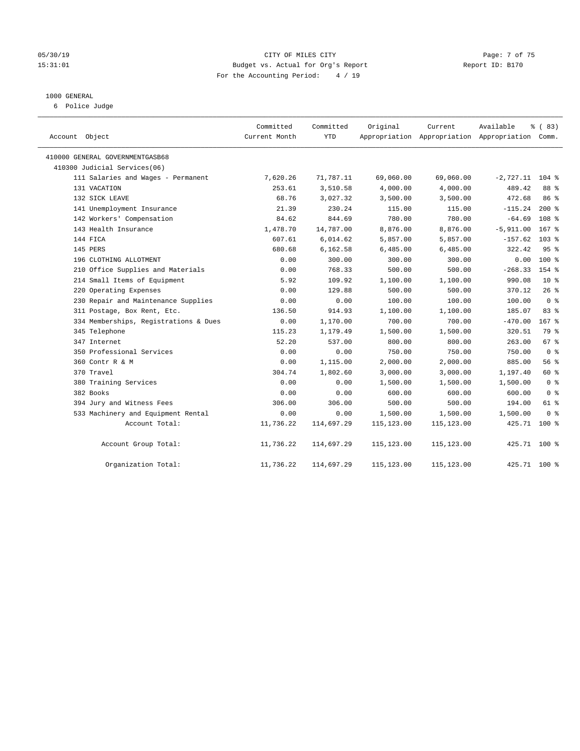### 05/30/19 Page: 7 of 75 15:31:01 Budget vs. Actual for Org's Report Report ID: B170 For the Accounting Period: 4 / 19

#### 1000 GENERAL

6 Police Judge

| Account Object                        | Committed<br>Current Month | Committed<br>YTD | Original    | Current     | Available<br>Appropriation Appropriation Appropriation Comm. | % (83)           |
|---------------------------------------|----------------------------|------------------|-------------|-------------|--------------------------------------------------------------|------------------|
| 410000 GENERAL GOVERNMENTGASB68       |                            |                  |             |             |                                                              |                  |
| 410300 Judicial Services(06)          |                            |                  |             |             |                                                              |                  |
| 111 Salaries and Wages - Permanent    | 7,620.26                   | 71,787.11        | 69,060.00   | 69,060.00   | $-2,727.11$                                                  | $104$ %          |
| 131 VACATION                          | 253.61                     | 3,510.58         | 4,000.00    | 4,000.00    | 489.42                                                       | 88 %             |
| 132 SICK LEAVE                        | 68.76                      | 3,027.32         | 3,500.00    | 3,500.00    | 472.68                                                       | 86%              |
| 141 Unemployment Insurance            | 21.39                      | 230.24           | 115.00      | 115.00      | $-115.24$                                                    | $200*$           |
| 142 Workers' Compensation             | 84.62                      | 844.69           | 780.00      | 780.00      | $-64.69$                                                     | 108 %            |
| 143 Health Insurance                  | 1,478.70                   | 14,787.00        | 8,876.00    | 8,876.00    | $-5,911,00$                                                  | 167 <sup>8</sup> |
| 144 FICA                              | 607.61                     | 6,014.62         | 5,857.00    | 5,857.00    | $-157.62$                                                    | 103 <sub>8</sub> |
| 145 PERS                              | 680.68                     | 6,162.58         | 6,485.00    | 6,485.00    | 322.42                                                       | 95%              |
| 196 CLOTHING ALLOTMENT                | 0.00                       | 300.00           | 300.00      | 300.00      | 0.00                                                         | $100*$           |
| 210 Office Supplies and Materials     | 0.00                       | 768.33           | 500.00      | 500.00      | $-268.33$                                                    | 154 %            |
| 214 Small Items of Equipment          | 5.92                       | 109.92           | 1,100.00    | 1,100.00    | 990.08                                                       | 10 <sup>8</sup>  |
| 220 Operating Expenses                | 0.00                       | 129.88           | 500.00      | 500.00      | 370.12                                                       | 26%              |
| 230 Repair and Maintenance Supplies   | 0.00                       | 0.00             | 100.00      | 100.00      | 100.00                                                       | 0 <sup>8</sup>   |
| 311 Postage, Box Rent, Etc.           | 136.50                     | 914.93           | 1,100.00    | 1,100.00    | 185.07                                                       | 83 %             |
| 334 Memberships, Registrations & Dues | 0.00                       | 1,170.00         | 700.00      | 700.00      | $-470.00$                                                    | 167 %            |
| 345 Telephone                         | 115.23                     | 1,179.49         | 1,500.00    | 1,500.00    | 320.51                                                       | 79 %             |
| 347 Internet                          | 52.20                      | 537.00           | 800.00      | 800.00      | 263.00                                                       | 67 %             |
| 350 Professional Services             | 0.00                       | 0.00             | 750.00      | 750.00      | 750.00                                                       | 0 <sup>8</sup>   |
| 360 Contr R & M                       | 0.00                       | 1,115.00         | 2,000.00    | 2,000.00    | 885.00                                                       | 56%              |
| 370 Travel                            | 304.74                     | 1,802.60         | 3,000.00    | 3,000.00    | 1,197.40                                                     | 60 %             |
| 380 Training Services                 | 0.00                       | 0.00             | 1,500.00    | 1,500.00    | 1,500.00                                                     | 0 <sup>8</sup>   |
| 382 Books                             | 0.00                       | 0.00             | 600.00      | 600.00      | 600.00                                                       | 0 <sup>8</sup>   |
| 394 Jury and Witness Fees             | 306.00                     | 306.00           | 500.00      | 500.00      | 194.00                                                       | 61 %             |
| 533 Machinery and Equipment Rental    | 0.00                       | 0.00             | 1,500.00    | 1,500.00    | 1,500.00                                                     | 0 <sup>8</sup>   |
| Account Total:                        | 11,736.22                  | 114,697.29       | 115, 123.00 | 115,123.00  | 425.71 100 %                                                 |                  |
| Account Group Total:                  | 11,736.22                  | 114,697.29       | 115,123.00  | 115,123.00  | 425.71 100 %                                                 |                  |
| Organization Total:                   | 11,736.22                  | 114,697.29       | 115,123.00  | 115, 123.00 | 425.71                                                       | $100*$           |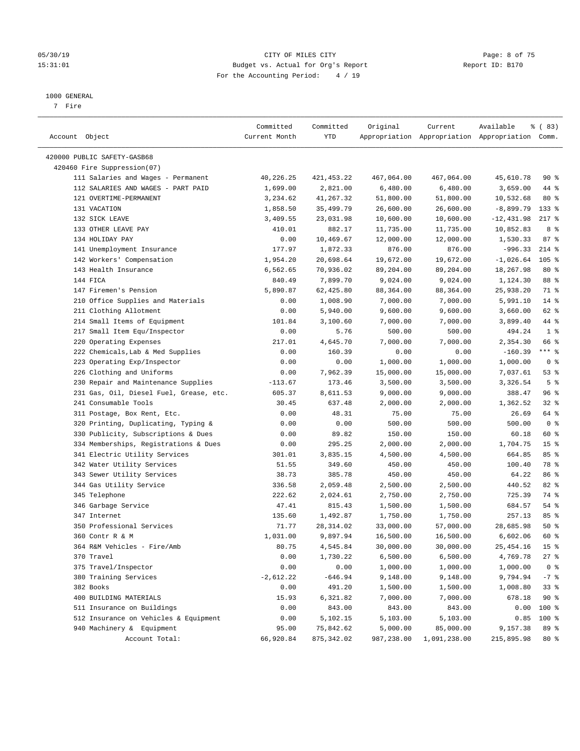#### 05/30/19 CITY OF MILES CITY Page: 8 of 75 15:31:01 Budget vs. Actual for Org's Report Changer Report ID: B170 For the Accounting Period: 4 / 19

————————————————————————————————————————————————————————————————————————————————————————————————————————————————————————————————————

#### 1000 GENERAL

7 Fire

|                                         | Committed     | Committed   | Original   | Current      | Available                                       | % (83)          |
|-----------------------------------------|---------------|-------------|------------|--------------|-------------------------------------------------|-----------------|
| Account Object                          | Current Month | YTD         |            |              | Appropriation Appropriation Appropriation Comm. |                 |
| 420000 PUBLIC SAFETY-GASB68             |               |             |            |              |                                                 |                 |
| 420460 Fire Suppression(07)             |               |             |            |              |                                                 |                 |
| 111 Salaries and Wages - Permanent      | 40,226.25     | 421,453.22  | 467,064.00 | 467,064.00   | 45,610.78                                       | 90%             |
| 112 SALARIES AND WAGES - PART PAID      | 1,699.00      | 2,821.00    | 6,480.00   | 6,480.00     | 3,659.00                                        | 44 %            |
| 121 OVERTIME-PERMANENT                  | 3,234.62      | 41,267.32   | 51,800.00  | 51,800.00    | 10,532.68                                       | $80*$           |
| 131 VACATION                            | 1,858.50      | 35,499.79   | 26,600.00  | 26,600.00    | -8,899.79                                       | $133*$          |
| 132 SICK LEAVE                          | 3,409.55      | 23,031.98   | 10,600.00  | 10,600.00    | $-12, 431.98$                                   | $217$ %         |
| 133 OTHER LEAVE PAY                     | 410.01        |             | 11,735.00  |              | 10,852.83                                       | 8 %             |
| 134 HOLIDAY PAY                         | 0.00          | 882.17      | 12,000.00  | 11,735.00    | 1,530.33                                        | 87%             |
|                                         |               | 10,469.67   |            | 12,000.00    |                                                 | $214$ %         |
| 141 Unemployment Insurance              | 177.97        | 1,872.33    | 876.00     | 876.00       | $-996.33$                                       |                 |
| 142 Workers' Compensation               | 1,954.20      | 20,698.64   | 19,672.00  | 19,672.00    | $-1,026.64$                                     | $105$ %         |
| 143 Health Insurance                    | 6,562.65      | 70,936.02   | 89,204.00  | 89,204.00    | 18,267.98                                       | $80*$           |
| 144 FICA                                | 840.49        | 7,899.70    | 9,024.00   | 9,024.00     | 1,124.30                                        | 88 %            |
| 147 Firemen's Pension                   | 5,890.87      | 62,425.80   | 88,364.00  | 88,364.00    | 25,938.20                                       | 71 %            |
| 210 Office Supplies and Materials       | 0.00          | 1,008.90    | 7,000.00   | 7,000.00     | 5,991.10                                        | $14*$           |
| 211 Clothing Allotment                  | 0.00          | 5,940.00    | 9,600.00   | 9,600.00     | 3,660.00                                        | 62 %            |
| 214 Small Items of Equipment            | 101.84        | 3,100.60    | 7,000.00   | 7,000.00     | 3,899.40                                        | 44 %            |
| 217 Small Item Equ/Inspector            | 0.00          | 5.76        | 500.00     | 500.00       | 494.24                                          | 1 <sup>°</sup>  |
| 220 Operating Expenses                  | 217.01        | 4,645.70    | 7,000.00   | 7,000.00     | 2,354.30                                        | 66 %            |
| 222 Chemicals, Lab & Med Supplies       | 0.00          | 160.39      | 0.00       | 0.00         | $-160.39$                                       | *** %           |
| 223 Operating Exp/Inspector             | 0.00          | 0.00        | 1,000.00   | 1,000.00     | 1,000.00                                        | 0 <sup>8</sup>  |
| 226 Clothing and Uniforms               | 0.00          | 7,962.39    | 15,000.00  | 15,000.00    | 7,037.61                                        | 53%             |
| 230 Repair and Maintenance Supplies     | $-113.67$     | 173.46      | 3,500.00   | 3,500.00     | 3,326.54                                        | 5 <sup>°</sup>  |
| 231 Gas, Oil, Diesel Fuel, Grease, etc. | 605.37        | 8,611.53    | 9,000.00   | 9,000.00     | 388.47                                          | 96 %            |
| 241 Consumable Tools                    | 30.45         | 637.48      | 2,000.00   | 2,000.00     | 1,362.52                                        | $32$ $%$        |
| 311 Postage, Box Rent, Etc.             | 0.00          | 48.31       | 75.00      | 75.00        | 26.69                                           | 64 %            |
| 320 Printing, Duplicating, Typing &     | 0.00          | 0.00        | 500.00     | 500.00       | 500.00                                          | 0 <sup>8</sup>  |
| 330 Publicity, Subscriptions & Dues     | 0.00          | 89.82       | 150.00     | 150.00       | 60.18                                           | 60 %            |
| 334 Memberships, Registrations & Dues   | 0.00          | 295.25      | 2,000.00   | 2,000.00     | 1,704.75                                        | 15 <sup>8</sup> |
| 341 Electric Utility Services           | 301.01        | 3,835.15    | 4,500.00   | 4,500.00     | 664.85                                          | 85%             |
| 342 Water Utility Services              | 51.55         | 349.60      | 450.00     | 450.00       | 100.40                                          | 78 %            |
| 343 Sewer Utility Services              | 38.73         | 385.78      | 450.00     | 450.00       | 64.22                                           | 86 %            |
| 344 Gas Utility Service                 | 336.58        | 2,059.48    | 2,500.00   | 2,500.00     | 440.52                                          | $82$ $%$        |
| 345 Telephone                           | 222.62        | 2,024.61    | 2,750.00   | 2,750.00     | 725.39                                          | 74 %            |
| 346 Garbage Service                     | 47.41         | 815.43      | 1,500.00   | 1,500.00     | 684.57                                          | $54$ %          |
| 347 Internet                            | 135.60        | 1,492.87    | 1,750.00   | 1,750.00     | 257.13                                          | 85%             |
| 350 Professional Services               | 71.77         | 28, 314.02  | 33,000.00  | 57,000.00    | 28,685.98                                       | 50%             |
| 360 Contr R & M                         | 1,031.00      | 9,897.94    | 16,500.00  | 16,500.00    | 6,602.06                                        | 60 %            |
| 364 R&M Vehicles - Fire/Amb             | 80.75         | 4,545.84    | 30,000.00  | 30,000.00    | 25,454.16                                       | 15 <sup>°</sup> |
| 370 Travel                              | 0.00          | 1,730.22    | 6,500.00   | 6,500.00     | 4,769.78                                        | $27$ %          |
| 375 Travel/Inspector                    | 0.00          | 0.00        | 1,000.00   | 1,000.00     | 1,000.00                                        | 0 <sup>8</sup>  |
| 380 Training Services                   | $-2,612.22$   | $-646.94$   | 9,148.00   | 9,148.00     | 9,794.94                                        | $-7$ %          |
| 382 Books                               | 0.00          | 491.20      | 1,500.00   | 1,500.00     | 1,008.80                                        | 33%             |
| 400 BUILDING MATERIALS                  | 15.93         | 6,321.82    | 7,000.00   | 7,000.00     | 678.18                                          | $90*$           |
| 511 Insurance on Buildings              | 0.00          | 843.00      | 843.00     | 843.00       | 0.00                                            | 100 %           |
| 512 Insurance on Vehicles & Equipment   | 0.00          | 5,102.15    | 5,103.00   | 5,103.00     | 0.85                                            | 100 %           |
| 940 Machinery & Equipment               | 95.00         | 75,842.62   | 5,000.00   | 85,000.00    | 9,157.38                                        | 89 %            |
| Account Total:                          | 66,920.84     | 875, 342.02 | 987,238.00 | 1,091,238.00 | 215,895.98                                      | $80*$           |
|                                         |               |             |            |              |                                                 |                 |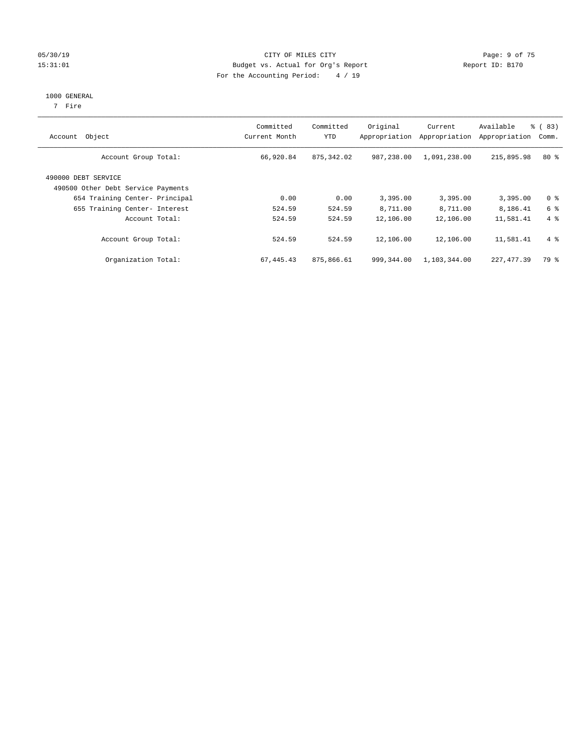### 05/30/19 Page: 9 of 75 15:31:01 Budget vs. Actual for Org's Report Changer Report ID: B170 For the Accounting Period: 4 / 19

#### 1000 GENERAL

7 Fire

| Object<br>Account                                         | Committed<br>Current Month | Committed<br><b>YTD</b> | Original<br>Appropriation | Current<br>Appropriation | Available<br>Appropriation | % (83)<br>Comm. |
|-----------------------------------------------------------|----------------------------|-------------------------|---------------------------|--------------------------|----------------------------|-----------------|
| Account Group Total:                                      | 66,920.84                  | 875,342.02              | 987,238.00                | 1,091,238.00             | 215,895.98                 | $80*$           |
| 490000 DEBT SERVICE<br>490500 Other Debt Service Payments |                            |                         |                           |                          |                            |                 |
| 654 Training Center- Principal                            | 0.00                       | 0.00                    | 3,395.00                  | 3,395.00                 | 3,395.00                   | 0 <sup>8</sup>  |
| 655 Training Center- Interest                             | 524.59                     | 524.59                  | 8,711.00                  | 8,711.00                 | 8,186.41                   | 6 %             |
| Account Total:                                            | 524.59                     | 524.59                  | 12,106.00                 | 12,106.00                | 11,581.41                  | $4 \text{ }$    |
| Account Group Total:                                      | 524.59                     | 524.59                  | 12,106.00                 | 12,106.00                | 11,581.41                  | $4\degree$      |
| Organization Total:                                       | 67,445.43                  | 875,866.61              | 999,344.00                | 1,103,344.00             | 227, 477.39                | 79 %            |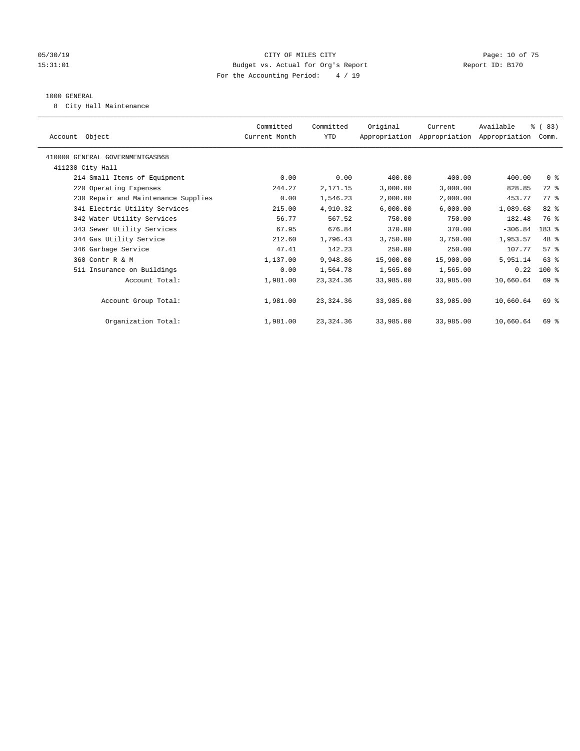### 05/30/19 Page: 10 of 75 15:31:01 Budget vs. Actual for Org's Report Report ID: B170 For the Accounting Period: 4 / 19

#### 1000 GENERAL

8 City Hall Maintenance

| Account Object                      | Committed<br>Current Month | Committed<br>YTD | Original  | Current<br>Appropriation Appropriation Appropriation | Available | % (83)<br>Comm. |  |
|-------------------------------------|----------------------------|------------------|-----------|------------------------------------------------------|-----------|-----------------|--|
| 410000 GENERAL GOVERNMENTGASB68     |                            |                  |           |                                                      |           |                 |  |
| 411230 City Hall                    |                            |                  |           |                                                      |           |                 |  |
| 214 Small Items of Equipment        | 0.00                       | 0.00             | 400.00    | 400.00                                               | 400.00    | 0 <sup>8</sup>  |  |
| 220 Operating Expenses              | 244.27                     | 2,171.15         | 3,000.00  | 3,000.00                                             | 828.85    | 72 %            |  |
| 230 Repair and Maintenance Supplies | 0.00                       | 1,546.23         | 2,000.00  | 2,000.00                                             | 453.77    | $77*$           |  |
| 341 Electric Utility Services       | 215.00                     | 4,910.32         | 6,000.00  | 6,000.00                                             | 1,089.68  | 82 %            |  |
| 342 Water Utility Services          | 56.77                      | 567.52           | 750.00    | 750.00                                               | 182.48    | 76 %            |  |
| 343 Sewer Utility Services          | 67.95                      | 676.84           | 370.00    | 370.00                                               | $-306.84$ | 183 %           |  |
| 344 Gas Utility Service             | 212.60                     | 1,796.43         | 3,750.00  | 3,750.00                                             | 1,953.57  | 48 %            |  |
| 346 Garbage Service                 | 47.41                      | 142.23           | 250.00    | 250.00                                               | 107.77    | 57%             |  |
| 360 Contr R & M                     | 1,137.00                   | 9,948.86         | 15,900.00 | 15,900.00                                            | 5,951.14  | $63$ $%$        |  |
| 511 Insurance on Buildings          | 0.00                       | 1,564.78         | 1,565.00  | 1,565.00                                             | 0.22      | $100$ %         |  |
| Account Total:                      | 1,981.00                   | 23, 324.36       | 33,985.00 | 33,985.00                                            | 10,660.64 | 69 %            |  |
|                                     |                            |                  |           |                                                      |           |                 |  |
| Account Group Total:                | 1,981.00                   | 23, 324.36       | 33,985.00 | 33,985.00                                            | 10,660.64 | 69 %            |  |
|                                     |                            |                  |           |                                                      |           |                 |  |
| Organization Total:                 | 1,981.00                   | 23, 324.36       | 33,985.00 | 33,985.00                                            | 10,660.64 | 69 %            |  |
|                                     |                            |                  |           |                                                      |           |                 |  |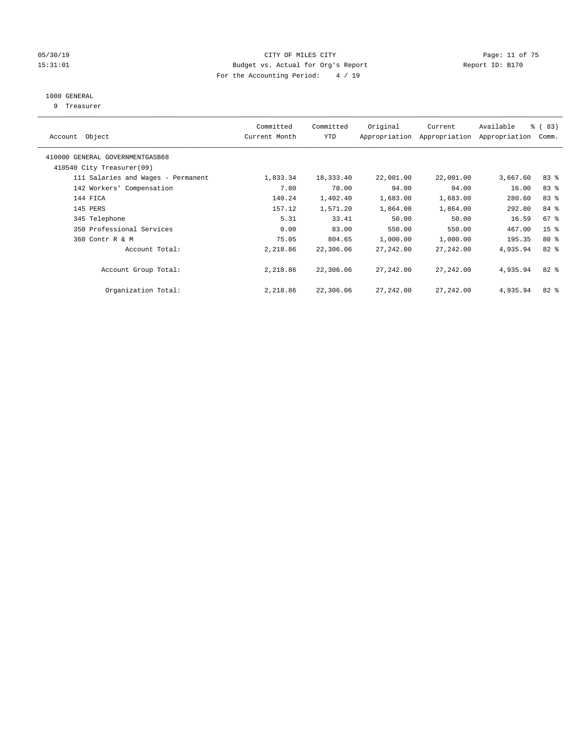### 05/30/19 Page: 11 of 75 15:31:01 Budget vs. Actual for Org's Report Report ID: B170 For the Accounting Period: 4 / 19

## 1000 GENERAL

9 Treasurer

| Account Object                                               | Committed<br>Current Month | Committed<br><b>YTD</b> | Original  | Current<br>Appropriation Appropriation | Available<br>Appropriation | % (83)<br>Comm. |
|--------------------------------------------------------------|----------------------------|-------------------------|-----------|----------------------------------------|----------------------------|-----------------|
| 410000 GENERAL GOVERNMENTGASB68<br>410540 City Treasurer(09) |                            |                         |           |                                        |                            |                 |
|                                                              |                            |                         |           |                                        |                            |                 |
| 111 Salaries and Wages - Permanent                           | 1,833.34                   | 18,333.40               | 22,001.00 | 22,001.00                              | 3,667.60                   | 83%             |
| 142 Workers' Compensation                                    | 7.80                       | 78.00                   | 94.00     | 94.00                                  | 16.00                      | 83 %            |
| 144 FICA                                                     | 140.24                     | 1,402.40                | 1,683.00  | 1,683.00                               | 280.60                     | 83 %            |
| 145 PERS                                                     | 157.12                     | 1,571.20                | 1,864.00  | 1,864.00                               | 292.80                     | 84 %            |
| 345 Telephone                                                | 5.31                       | 33.41                   | 50.00     | 50.00                                  | 16.59                      | 67%             |
| 350 Professional Services                                    | 0.00                       | 83.00                   | 550.00    | 550.00                                 | 467.00                     | 15 <sup>8</sup> |
| 360 Contr R & M                                              | 75.05                      | 804.65                  | 1,000.00  | 1,000.00                               | 195.35                     | $80*$           |
| Account Total:                                               | 2,218.86                   | 22,306.06               | 27,242.00 | 27,242.00                              | 4,935.94                   | 82 %            |
| Account Group Total:                                         | 2,218.86                   | 22,306.06               | 27,242.00 | 27,242.00                              | 4,935.94                   | 82%             |
| Organization Total:                                          | 2,218.86                   | 22,306.06               | 27,242.00 | 27,242.00                              | 4,935.94                   | $82*$           |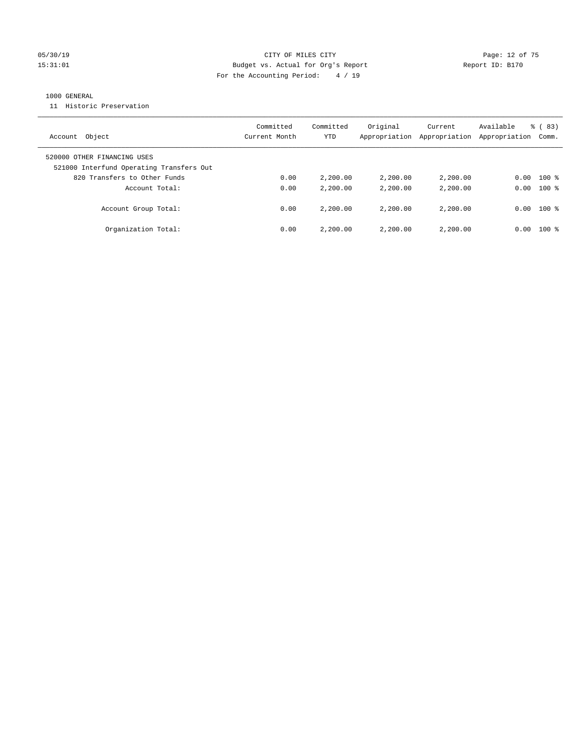### 05/30/19 Page: 12 of 75 15:31:01 Budget vs. Actual for Org's Report Report ID: B170 For the Accounting Period: 4 / 19

### 1000 GENERAL

11 Historic Preservation

| Object<br>Account                        | Committed<br>Current Month | Committed<br>YTD | Original<br>Appropriation | Current<br>Appropriation | Available<br>Appropriation | % (83)<br>Comm. |
|------------------------------------------|----------------------------|------------------|---------------------------|--------------------------|----------------------------|-----------------|
|                                          |                            |                  |                           |                          |                            |                 |
| 520000 OTHER FINANCING USES              |                            |                  |                           |                          |                            |                 |
| 521000 Interfund Operating Transfers Out |                            |                  |                           |                          |                            |                 |
| 820 Transfers to Other Funds             | 0.00                       | 2,200.00         | 2,200.00                  | 2,200.00                 | 0.00                       | $100$ %         |
| Account Total:                           | 0.00                       | 2,200.00         | 2,200.00                  | 2,200.00                 | 0.00                       | $100*$          |
| Account Group Total:                     | 0.00                       | 2,200.00         | 2,200.00                  | 2,200,00                 | 0.00                       | $100*$          |
| Organization Total:                      | 0.00                       | 2,200.00         | 2,200.00                  | 2,200,00                 | 0.00                       | $100*$          |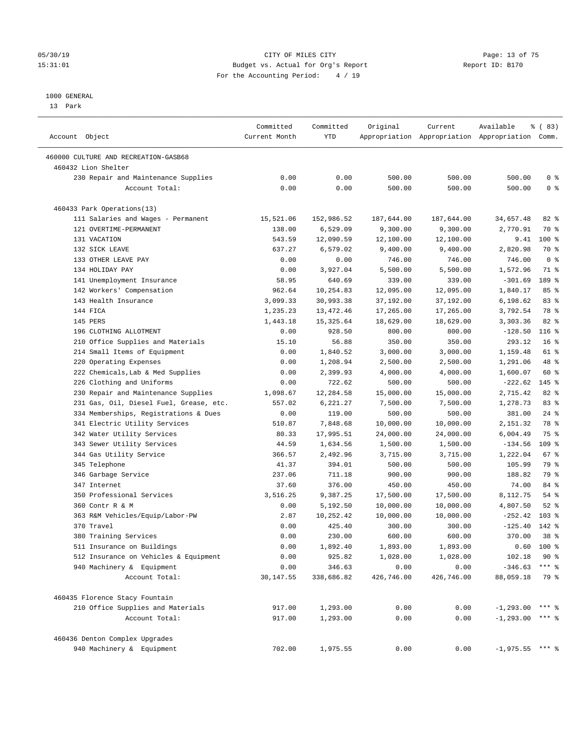#### 05/30/19 Page: 13 of 75 15:31:01 Budget vs. Actual for Org's Report Report ID: B170 For the Accounting Period: 4 / 19

————————————————————————————————————————————————————————————————————————————————————————————————————————————————————————————————————

#### 1000 GENERAL

13 Park

|                                         | Committed     | Committed  | Original   | Current    | Available                                       | % (83)          |
|-----------------------------------------|---------------|------------|------------|------------|-------------------------------------------------|-----------------|
| Account Object                          | Current Month | YTD        |            |            | Appropriation Appropriation Appropriation Comm. |                 |
| 460000 CULTURE AND RECREATION-GASB68    |               |            |            |            |                                                 |                 |
| 460432 Lion Shelter                     |               |            |            |            |                                                 |                 |
| 230 Repair and Maintenance Supplies     | 0.00          | 0.00       | 500.00     | 500.00     | 500.00                                          | 0 <sup>8</sup>  |
| Account Total:                          | 0.00          | 0.00       | 500.00     | 500.00     | 500.00                                          | 0 <sup>8</sup>  |
| 460433 Park Operations(13)              |               |            |            |            |                                                 |                 |
| 111 Salaries and Wages - Permanent      | 15,521.06     | 152,986.52 | 187,644.00 | 187,644.00 | 34,657.48                                       | 82 %            |
| 121 OVERTIME-PERMANENT                  | 138.00        | 6,529.09   | 9,300.00   | 9,300.00   | 2,770.91                                        | 70 %            |
| 131 VACATION                            | 543.59        | 12,090.59  | 12,100.00  | 12,100.00  | 9.41                                            | $100$ %         |
| 132 SICK LEAVE                          | 637.27        | 6,579.02   | 9,400.00   | 9,400.00   | 2,820.98                                        | 70 %            |
| 133 OTHER LEAVE PAY                     | 0.00          | 0.00       | 746.00     | 746.00     | 746.00                                          | 0 <sup>8</sup>  |
| 134 HOLIDAY PAY                         | 0.00          | 3,927.04   | 5,500.00   | 5,500.00   | 1,572.96                                        | 71 %            |
| 141 Unemployment Insurance              | 58.95         | 640.69     | 339.00     | 339.00     | $-301.69$                                       | 189 %           |
| 142 Workers' Compensation               | 962.64        | 10,254.83  | 12,095.00  | 12,095.00  | 1,840.17                                        | 85%             |
| 143 Health Insurance                    | 3,099.33      | 30,993.38  | 37,192.00  | 37,192.00  | 6,198.62                                        | 83%             |
| 144 FICA                                | 1,235.23      | 13,472.46  | 17,265.00  | 17,265.00  | 3,792.54                                        | 78 %            |
| 145 PERS                                | 1,443.18      | 15, 325.64 | 18,629.00  | 18,629.00  | 3,303.36                                        | $82$ $%$        |
| 196 CLOTHING ALLOTMENT                  | 0.00          | 928.50     | 800.00     | 800.00     | $-128.50$                                       | $116$ %         |
| 210 Office Supplies and Materials       | 15.10         | 56.88      | 350.00     | 350.00     | 293.12                                          | 16 <sup>°</sup> |
| 214 Small Items of Equipment            | 0.00          | 1,840.52   | 3,000.00   | 3,000.00   | 1,159.48                                        | 61 %            |
| 220 Operating Expenses                  | 0.00          | 1,208.94   | 2,500.00   | 2,500.00   | 1,291.06                                        | 48 %            |
| 222 Chemicals, Lab & Med Supplies       | 0.00          | 2,399.93   | 4,000.00   | 4,000.00   | 1,600.07                                        | 60 %            |
| 226 Clothing and Uniforms               | 0.00          | 722.62     | 500.00     | 500.00     | $-222.62$                                       | $145$ %         |
| 230 Repair and Maintenance Supplies     | 1,098.67      | 12,284.58  | 15,000.00  | 15,000.00  | 2,715.42                                        | $82$ $%$        |
| 231 Gas, Oil, Diesel Fuel, Grease, etc. | 557.02        | 6,221.27   | 7,500.00   | 7,500.00   | 1,278.73                                        | 83 %            |
| 334 Memberships, Registrations & Dues   | 0.00          | 119.00     | 500.00     | 500.00     | 381.00                                          | $24$ %          |
| 341 Electric Utility Services           | 510.87        | 7,848.68   | 10,000.00  | 10,000.00  | 2,151.32                                        | 78 %            |
| 342 Water Utility Services              | 80.33         | 17,995.51  | 24,000.00  | 24,000.00  | 6,004.49                                        | 75 %            |
| 343 Sewer Utility Services              | 44.59         | 1,634.56   | 1,500.00   | 1,500.00   | $-134.56$                                       | $109$ %         |
| 344 Gas Utility Service                 | 366.57        | 2,492.96   | 3,715.00   | 3,715.00   | 1,222.04                                        | 67%             |
| 345 Telephone                           | 41.37         | 394.01     | 500.00     | 500.00     | 105.99                                          | 79 %            |
| 346 Garbage Service                     | 237.06        | 711.18     | 900.00     | 900.00     | 188.82                                          | 79 %            |
| 347 Internet                            | 37.60         | 376.00     | 450.00     | 450.00     | 74.00                                           | 84 %            |
| 350 Professional Services               | 3,516.25      | 9,387.25   | 17,500.00  | 17,500.00  | 8,112.75                                        | 54 %            |
| 360 Contr R & M                         | 0.00          | 5,192.50   | 10,000.00  | 10,000.00  | 4,807.50                                        | $52$ $%$        |
| 363 R&M Vehicles/Equip/Labor-PW         | 2.87          | 10,252.42  | 10,000.00  | 10,000.00  | $-252.42$                                       | $103$ %         |
| 370 Travel                              | 0.00          | 425.40     | 300.00     | 300.00     | $-125.40$                                       | 142 %           |
| 380 Training Services                   | 0.00          | 230.00     | 600.00     | 600.00     | 370.00                                          | 38 <sup>8</sup> |
| 511 Insurance on Buildings              | 0.00          | 1,892.40   | 1,893.00   | 1,893.00   |                                                 | $0.60$ 100 %    |
| 512 Insurance on Vehicles & Equipment   | 0.00          | 925.82     | 1,028.00   | 1,028.00   | 102.18                                          | $90*$           |
| 940 Machinery & Equipment               | 0.00          | 346.63     | 0.00       | 0.00       | $-346.63$                                       | $***$ $_{8}$    |
| Account Total:                          | 30, 147.55    | 338,686.82 | 426,746.00 | 426,746.00 | 88,059.18                                       | 79 %            |
| 460435 Florence Stacy Fountain          |               |            |            |            |                                                 |                 |
| 210 Office Supplies and Materials       | 917.00        | 1,293.00   | 0.00       | 0.00       | $-1,293.00$ *** \$                              |                 |
| Account Total:                          | 917.00        | 1,293.00   | 0.00       | 0.00       | $-1,293.00$ *** \$                              |                 |
| 460436 Denton Complex Upgrades          |               |            |            |            |                                                 |                 |
| 940 Machinery & Equipment               | 702.00        | 1,975.55   | 0.00       | 0.00       | $-1,975.55$ *** \$                              |                 |
|                                         |               |            |            |            |                                                 |                 |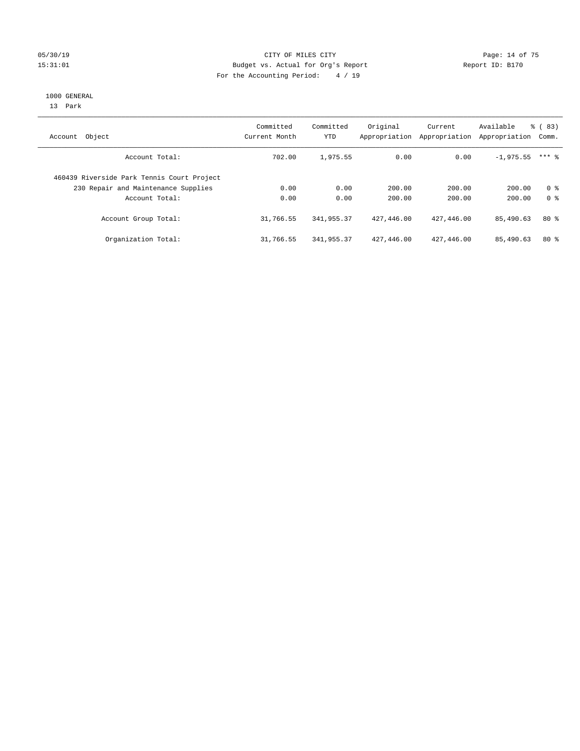### 05/30/19 Page: 14 of 75 15:31:01 Budget vs. Actual for Org's Report Changer Report ID: B170 For the Accounting Period: 4 / 19

#### 1000 GENERAL

13 Park

| Object<br>Account                          | Committed<br>Current Month | Committed<br>YTD | Original<br>Appropriation | Current<br>Appropriation | Available<br>Appropriation | % (83)<br>Comm. |
|--------------------------------------------|----------------------------|------------------|---------------------------|--------------------------|----------------------------|-----------------|
| Account Total:                             | 702.00                     | 1,975.55         | 0.00                      | 0.00                     | $-1,975.55$                | $***$ 2         |
| 460439 Riverside Park Tennis Court Project |                            |                  |                           |                          |                            |                 |
| 230 Repair and Maintenance Supplies        | 0.00                       | 0.00             | 200.00                    | 200.00                   | 200.00                     | 0 <sup>8</sup>  |
| Account Total:                             | 0.00                       | 0.00             | 200.00                    | 200.00                   | 200.00                     | 0 <sup>8</sup>  |
| Account Group Total:                       | 31,766.55                  | 341, 955, 37     | 427,446.00                | 427,446.00               | 85,490.63                  | $80*$           |
| Organization Total:                        | 31,766.55                  | 341,955.37       | 427,446.00                | 427,446.00               | 85,490.63                  | $80*$           |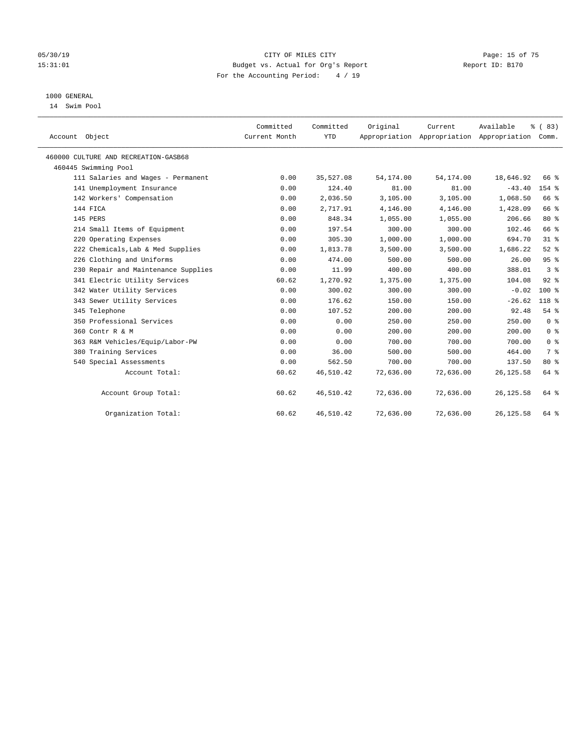### 05/30/19 Page: 15 of 75 15:31:01 Budget vs. Actual for Org's Report Report ID: B170 For the Accounting Period: 4 / 19

## 1000 GENERAL

14 Swim Pool

| Account Object                       | Committed<br>Current Month | Committed<br><b>YTD</b> | Original   | Current<br>Appropriation Appropriation Appropriation Comm. | Available  | % (83)         |
|--------------------------------------|----------------------------|-------------------------|------------|------------------------------------------------------------|------------|----------------|
| 460000 CULTURE AND RECREATION-GASB68 |                            |                         |            |                                                            |            |                |
| 460445 Swimming Pool                 |                            |                         |            |                                                            |            |                |
| 111 Salaries and Wages - Permanent   | 0.00                       | 35,527.08               | 54, 174.00 | 54,174.00                                                  | 18,646.92  | 66 %           |
| 141 Unemployment Insurance           | 0.00                       | 124.40                  | 81.00      | 81.00                                                      | $-43.40$   | 154 %          |
| 142 Workers' Compensation            | 0.00                       | 2,036.50                | 3,105.00   | 3,105.00                                                   | 1,068.50   | 66 %           |
| 144 FICA                             | 0.00                       | 2,717.91                | 4,146.00   | 4,146.00                                                   | 1,428.09   | 66 %           |
| 145 PERS                             | 0.00                       | 848.34                  | 1,055.00   | 1,055.00                                                   | 206.66     | $80*$          |
| 214 Small Items of Equipment         | 0.00                       | 197.54                  | 300.00     | 300.00                                                     | 102.46     | 66 %           |
| 220 Operating Expenses               | 0.00                       | 305.30                  | 1,000.00   | 1,000.00                                                   | 694.70     | 31.8           |
| 222 Chemicals, Lab & Med Supplies    | 0.00                       | 1,813.78                | 3,500.00   | 3,500.00                                                   | 1,686.22   | $52$ $%$       |
| 226 Clothing and Uniforms            | 0.00                       | 474.00                  | 500.00     | 500.00                                                     | 26.00      | 95%            |
| 230 Repair and Maintenance Supplies  | 0.00                       | 11.99                   | 400.00     | 400.00                                                     | 388.01     | 3 <sup>8</sup> |
| 341 Electric Utility Services        | 60.62                      | 1,270.92                | 1,375.00   | 1,375.00                                                   | 104.08     | $92$ $%$       |
| 342 Water Utility Services           | 0.00                       | 300.02                  | 300.00     | 300.00                                                     | $-0.02$    | $100*$         |
| 343 Sewer Utility Services           | 0.00                       | 176.62                  | 150.00     | 150.00                                                     | $-26.62$   | 118 %          |
| 345 Telephone                        | 0.00                       | 107.52                  | 200.00     | 200.00                                                     | 92.48      | 54%            |
| 350 Professional Services            | 0.00                       | 0.00                    | 250.00     | 250.00                                                     | 250.00     | 0 <sup>8</sup> |
| 360 Contr R & M                      | 0.00                       | 0.00                    | 200.00     | 200.00                                                     | 200.00     | 0 <sup>8</sup> |
| 363 R&M Vehicles/Equip/Labor-PW      | 0.00                       | 0.00                    | 700.00     | 700.00                                                     | 700.00     | 0 <sup>8</sup> |
| 380 Training Services                | 0.00                       | 36.00                   | 500.00     | 500.00                                                     | 464.00     | 7 <sup>°</sup> |
| 540 Special Assessments              | 0.00                       | 562.50                  | 700.00     | 700.00                                                     | 137.50     | $80*$          |
| Account Total:                       | 60.62                      | 46,510.42               | 72,636.00  | 72,636.00                                                  | 26, 125.58 | 64 %           |
| Account Group Total:                 | 60.62                      | 46,510.42               | 72,636.00  | 72,636.00                                                  | 26, 125.58 | 64 %           |
| Organization Total:                  | 60.62                      | 46,510.42               | 72,636.00  | 72,636.00                                                  | 26, 125.58 | 64 %           |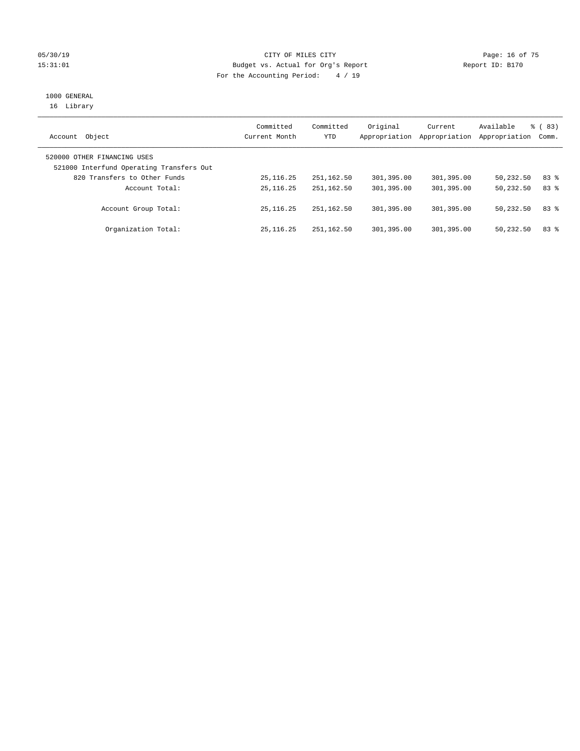### 05/30/19 Page: 16 of 75 15:31:01 Budget vs. Actual for Org's Report Report ID: B170 For the Accounting Period: 4 / 19

# 1000 GENERAL

16 Library

| Object<br>Account                                                       | Committed<br>Current Month | Committed<br>YTD | Original<br>Appropriation | Current<br>Appropriation | Available<br>Appropriation | % (83)<br>Comm. |
|-------------------------------------------------------------------------|----------------------------|------------------|---------------------------|--------------------------|----------------------------|-----------------|
| 520000 OTHER FINANCING USES<br>521000 Interfund Operating Transfers Out |                            |                  |                           |                          |                            |                 |
| 820 Transfers to Other Funds                                            | 25, 116. 25                | 251, 162.50      | 301,395.00                | 301,395.00               | 50,232.50                  | 83%             |
| Account Total:                                                          | 25, 116. 25                | 251, 162.50      | 301,395.00                | 301,395.00               | 50,232.50                  | 83%             |
| Account Group Total:                                                    | 25, 116, 25                | 251,162.50       | 301,395.00                | 301,395.00               | 50,232.50                  | 83 %            |
| Organization Total:                                                     | 25, 116, 25                | 251,162.50       | 301,395.00                | 301,395.00               | 50,232.50                  | 83%             |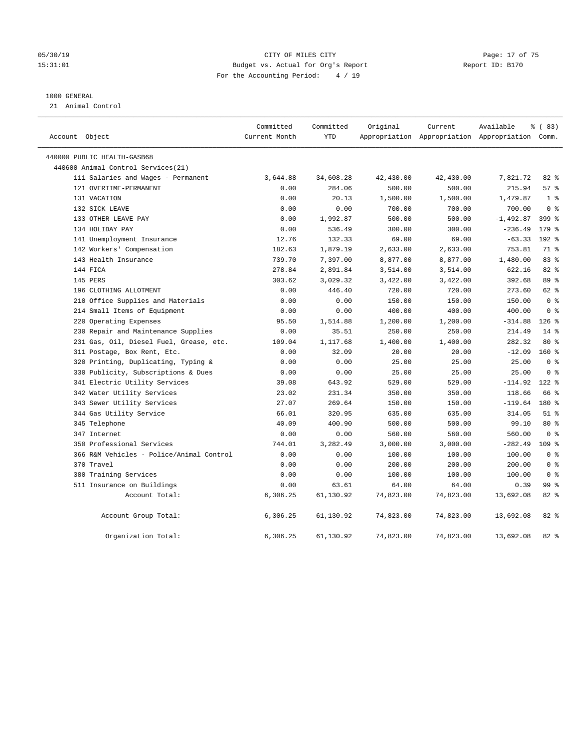#### 05/30/19 Page: 17 of 75 15:31:01 Budget vs. Actual for Org's Report Report ID: B170 For the Accounting Period: 4 / 19

#### 1000 GENERAL

21 Animal Control

| Account Object                           | Committed<br>Current Month | Committed<br><b>YTD</b> | Original  | Current   | Available<br>Appropriation Appropriation Appropriation Comm. | % (83)           |
|------------------------------------------|----------------------------|-------------------------|-----------|-----------|--------------------------------------------------------------|------------------|
| 440000 PUBLIC HEALTH-GASB68              |                            |                         |           |           |                                                              |                  |
| 440600 Animal Control Services (21)      |                            |                         |           |           |                                                              |                  |
| 111 Salaries and Wages - Permanent       | 3,644.88                   | 34,608.28               | 42,430.00 | 42,430.00 | 7,821.72                                                     | 82 %             |
| 121 OVERTIME-PERMANENT                   | 0.00                       | 284.06                  | 500.00    | 500.00    | 215.94                                                       | 57%              |
| 131 VACATION                             | 0.00                       | 20.13                   | 1,500.00  | 1,500.00  | 1,479.87                                                     | 1 <sup>°</sup>   |
| 132 SICK LEAVE                           | 0.00                       | 0.00                    | 700.00    | 700.00    | 700.00                                                       | 0 <sup>8</sup>   |
| 133 OTHER LEAVE PAY                      | 0.00                       | 1,992.87                | 500.00    | 500.00    | $-1,492.87$                                                  | $399$ $%$        |
| 134 HOLIDAY PAY                          | 0.00                       | 536.49                  | 300.00    | 300.00    | $-236.49$                                                    | $179$ $%$        |
| 141 Unemployment Insurance               | 12.76                      | 132.33                  | 69.00     | 69.00     | $-63.33$                                                     | 192 %            |
| 142 Workers' Compensation                | 182.63                     | 1,879.19                | 2,633.00  | 2,633.00  | 753.81                                                       | 71 %             |
| 143 Health Insurance                     | 739.70                     | 7,397.00                | 8,877.00  | 8,877.00  | 1,480.00                                                     | 83 %             |
| 144 FICA                                 | 278.84                     | 2,891.84                | 3,514.00  | 3,514.00  | 622.16                                                       | 82%              |
| 145 PERS                                 | 303.62                     | 3,029.32                | 3,422.00  | 3,422.00  | 392.68                                                       | 89%              |
| 196 CLOTHING ALLOTMENT                   | 0.00                       | 446.40                  | 720.00    | 720.00    | 273.60                                                       | 62 %             |
| 210 Office Supplies and Materials        | 0.00                       | 0.00                    | 150.00    | 150.00    | 150.00                                                       | 0 <sup>8</sup>   |
| 214 Small Items of Equipment             | 0.00                       | 0.00                    | 400.00    | 400.00    | 400.00                                                       | 0 <sup>8</sup>   |
| 220 Operating Expenses                   | 95.50                      | 1,514.88                | 1,200.00  | 1,200.00  | $-314.88$                                                    | $126$ %          |
| 230 Repair and Maintenance Supplies      | 0.00                       | 35.51                   | 250.00    | 250.00    | 214.49                                                       | $14*$            |
| 231 Gas, Oil, Diesel Fuel, Grease, etc.  | 109.04                     | 1,117.68                | 1,400.00  | 1,400.00  | 282.32                                                       | 80 %             |
| 311 Postage, Box Rent, Etc.              | 0.00                       | 32.09                   | 20.00     | 20.00     | $-12.09$                                                     | $160*$           |
| 320 Printing, Duplicating, Typing &      | 0.00                       | 0.00                    | 25.00     | 25.00     | 25.00                                                        | 0 <sup>8</sup>   |
| 330 Publicity, Subscriptions & Dues      | 0.00                       | 0.00                    | 25.00     | 25.00     | 25.00                                                        | 0 <sup>8</sup>   |
| 341 Electric Utility Services            | 39.08                      | 643.92                  | 529.00    | 529.00    | $-114.92$                                                    | $122*$           |
| 342 Water Utility Services               | 23.02                      | 231.34                  | 350.00    | 350.00    | 118.66                                                       | 66 %             |
| 343 Sewer Utility Services               | 27.07                      | 269.64                  | 150.00    | 150.00    | $-119.64$                                                    | 180 %            |
| 344 Gas Utility Service                  | 66.01                      | 320.95                  | 635.00    | 635.00    | 314.05                                                       | $51$ %           |
| 345 Telephone                            | 40.09                      | 400.90                  | 500.00    | 500.00    | 99.10                                                        | 80 %             |
| 347 Internet                             | 0.00                       | 0.00                    | 560.00    | 560.00    | 560.00                                                       | 0 <sup>8</sup>   |
| 350 Professional Services                | 744.01                     | 3,282.49                | 3,000.00  | 3,000.00  | $-282.49$                                                    | 109 <sub>8</sub> |
| 366 R&M Vehicles - Police/Animal Control | 0.00                       | 0.00                    | 100.00    | 100.00    | 100.00                                                       | 0 <sup>8</sup>   |
| 370 Travel                               | 0.00                       | 0.00                    | 200.00    | 200.00    | 200.00                                                       | 0 <sup>8</sup>   |
| 380 Training Services                    | 0.00                       | 0.00                    | 100.00    | 100.00    | 100.00                                                       | 0 <sup>8</sup>   |
| 511 Insurance on Buildings               | 0.00                       | 63.61                   | 64.00     | 64.00     | 0.39                                                         | 99 %             |
| Account Total:                           | 6,306.25                   | 61,130.92               | 74,823.00 | 74,823.00 | 13,692.08                                                    | 82 %             |
| Account Group Total:                     | 6,306.25                   | 61,130.92               | 74,823.00 | 74,823.00 | 13,692.08                                                    | 82%              |
| Organization Total:                      | 6,306.25                   | 61,130.92               | 74,823.00 | 74,823.00 | 13,692.08                                                    | 82%              |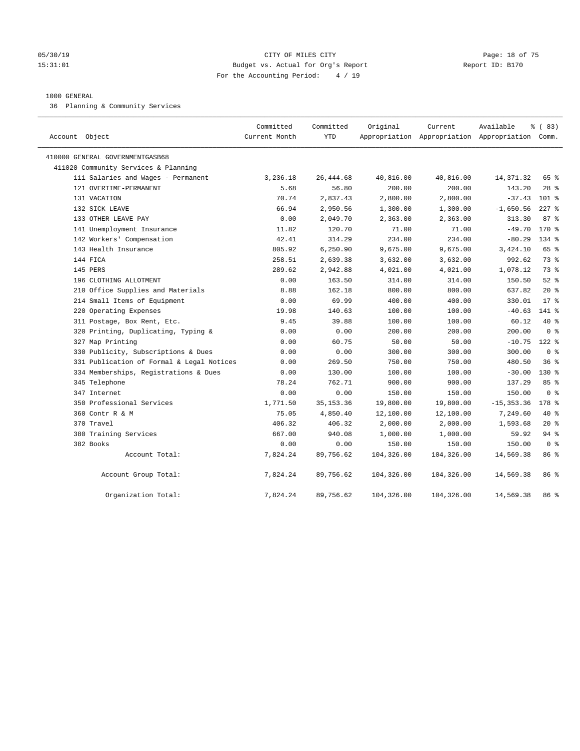#### 05/30/19 Page: 18 of 75 15:31:01 Budget vs. Actual for Org's Report Report ID: B170 For the Accounting Period: 4 / 19

#### 1000 GENERAL

36 Planning & Community Services

| Account Object                            | Committed<br>Current Month | Committed<br><b>YTD</b> | Original   | Current    | Available<br>Appropriation Appropriation Appropriation Comm. | % (83)         |
|-------------------------------------------|----------------------------|-------------------------|------------|------------|--------------------------------------------------------------|----------------|
| 410000 GENERAL GOVERNMENTGASB68           |                            |                         |            |            |                                                              |                |
| 411020 Community Services & Planning      |                            |                         |            |            |                                                              |                |
| 111 Salaries and Wages - Permanent        | 3,236.18                   | 26, 444.68              | 40,816.00  | 40,816.00  | 14,371.32                                                    | 65 %           |
| 121 OVERTIME-PERMANENT                    | 5.68                       | 56.80                   | 200.00     | 200.00     | 143.20                                                       | $28$ %         |
| 131 VACATION                              | 70.74                      | 2,837.43                | 2,800.00   | 2,800.00   | $-37.43$                                                     | $101$ %        |
| 132 SICK LEAVE                            | 66.94                      | 2,950.56                | 1,300.00   | 1,300.00   | $-1,650.56$                                                  | $227$ %        |
| 133 OTHER LEAVE PAY                       | 0.00                       | 2,049.70                | 2,363.00   | 2,363.00   | 313.30                                                       | 87%            |
| 141 Unemployment Insurance                | 11.82                      | 120.70                  | 71.00      | 71.00      | $-49.70$                                                     | 170 %          |
| 142 Workers' Compensation                 | 42.41                      | 314.29                  | 234.00     | 234.00     | $-80.29$                                                     | $134$ %        |
| 143 Health Insurance                      | 805.92                     | 6,250.90                | 9,675.00   | 9,675.00   | 3,424.10                                                     | 65 %           |
| 144 FICA                                  | 258.51                     | 2,639.38                | 3,632.00   | 3,632.00   | 992.62                                                       | 73 %           |
| 145 PERS                                  | 289.62                     | 2,942.88                | 4,021.00   | 4,021.00   | 1,078.12                                                     | 73.8           |
| 196 CLOTHING ALLOTMENT                    | 0.00                       | 163.50                  | 314.00     | 314.00     | 150.50                                                       | $52$ $%$       |
| 210 Office Supplies and Materials         | 8.88                       | 162.18                  | 800.00     | 800.00     | 637.82                                                       | $20*$          |
| 214 Small Items of Equipment              | 0.00                       | 69.99                   | 400.00     | 400.00     | 330.01                                                       | $17*$          |
| 220 Operating Expenses                    | 19.98                      | 140.63                  | 100.00     | 100.00     | $-40.63$                                                     | 141 %          |
| 311 Postage, Box Rent, Etc.               | 9.45                       | 39.88                   | 100.00     | 100.00     | 60.12                                                        | $40*$          |
| 320 Printing, Duplicating, Typing &       | 0.00                       | 0.00                    | 200.00     | 200.00     | 200.00                                                       | 0 <sup>8</sup> |
| 327 Map Printing                          | 0.00                       | 60.75                   | 50.00      | 50.00      | $-10.75$                                                     | $122$ %        |
| 330 Publicity, Subscriptions & Dues       | 0.00                       | 0.00                    | 300.00     | 300.00     | 300.00                                                       | 0 <sup>8</sup> |
| 331 Publication of Formal & Legal Notices | 0.00                       | 269.50                  | 750.00     | 750.00     | 480.50                                                       | 36%            |
| 334 Memberships, Registrations & Dues     | 0.00                       | 130.00                  | 100.00     | 100.00     | $-30.00$                                                     | $130*$         |
| 345 Telephone                             | 78.24                      | 762.71                  | 900.00     | 900.00     | 137.29                                                       | 85%            |
| 347 Internet                              | 0.00                       | 0.00                    | 150.00     | 150.00     | 150.00                                                       | 0 <sup>8</sup> |
| 350 Professional Services                 | 1,771.50                   | 35, 153. 36             | 19,800.00  | 19,800.00  | $-15, 353.36$                                                | $178$ %        |
| 360 Contr R & M                           | 75.05                      | 4,850.40                | 12,100.00  | 12,100.00  | 7,249.60                                                     | 40 %           |
| 370 Travel                                | 406.32                     | 406.32                  | 2,000.00   | 2,000.00   | 1,593.68                                                     | $20*$          |
| 380 Training Services                     | 667.00                     | 940.08                  | 1,000.00   | 1,000.00   | 59.92                                                        | 94 %           |
| 382 Books                                 | 0.00                       | 0.00                    | 150.00     | 150.00     | 150.00                                                       | 0 <sup>8</sup> |
| Account Total:                            | 7,824.24                   | 89,756.62               | 104,326.00 | 104,326.00 | 14,569.38                                                    | 86 %           |
| Account Group Total:                      | 7,824.24                   | 89,756.62               | 104,326.00 | 104,326.00 | 14,569.38                                                    | 86 %           |
| Organization Total:                       | 7,824.24                   | 89,756.62               | 104,326.00 | 104,326.00 | 14,569.38                                                    | 86 %           |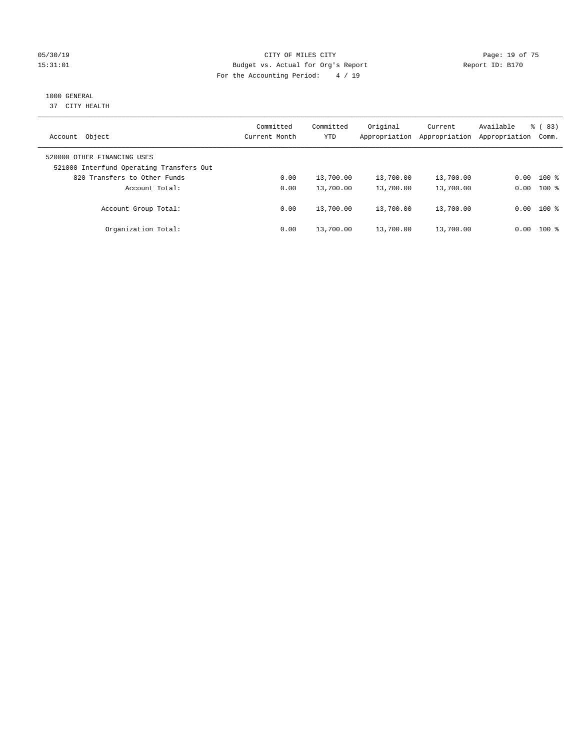### 05/30/19 Page: 19 of 75 15:31:01 Budget vs. Actual for Org's Report Report ID: B170 For the Accounting Period: 4 / 19

# 1000 GENERAL

37 CITY HEALTH

| Object<br>Account                                                       | Committed<br>Current Month | Committed<br><b>YTD</b> | Original<br>Appropriation | Current<br>Appropriation | Available<br>Appropriation | $\frac{8}{6}$ (83)<br>Comm. |
|-------------------------------------------------------------------------|----------------------------|-------------------------|---------------------------|--------------------------|----------------------------|-----------------------------|
| 520000 OTHER FINANCING USES<br>521000 Interfund Operating Transfers Out |                            |                         |                           |                          |                            |                             |
| 820 Transfers to Other Funds                                            | 0.00                       | 13,700.00               | 13,700.00                 | 13,700.00                | 0.00                       | $100*$                      |
| Account Total:                                                          | 0.00                       | 13,700.00               | 13,700.00                 | 13,700.00                | 0.00                       | $100*$                      |
| Account Group Total:                                                    | 0.00                       | 13,700.00               | 13,700.00                 | 13,700.00                |                            | $0.00$ 100 %                |
| Organization Total:                                                     | 0.00                       | 13,700.00               | 13,700.00                 | 13,700.00                | 0.00                       | $100*$                      |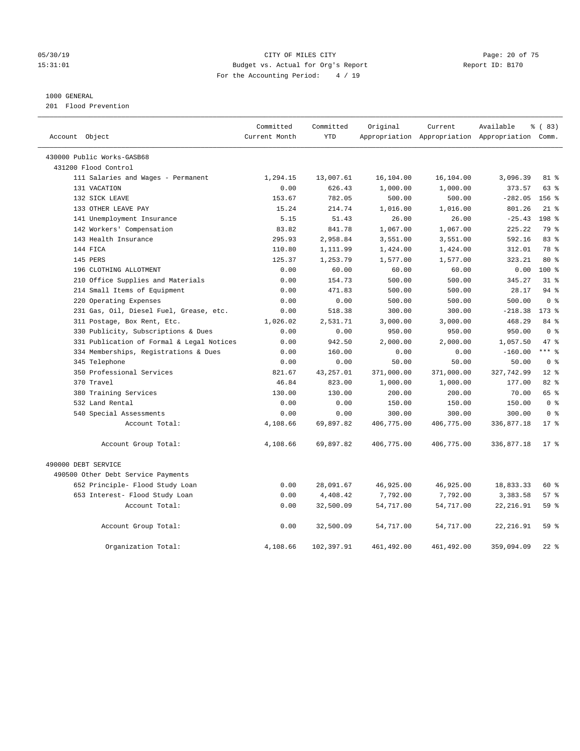#### 05/30/19 Page: 20 of 75 15:31:01 Budget vs. Actual for Org's Report Report ID: B170 For the Accounting Period: 4 / 19

#### 1000 GENERAL

201 Flood Prevention

| Account Object                            | Committed<br>Current Month | Committed<br><b>YTD</b> | Original   | Current     | Available<br>Appropriation Appropriation Appropriation Comm. | % (83)         |
|-------------------------------------------|----------------------------|-------------------------|------------|-------------|--------------------------------------------------------------|----------------|
|                                           |                            |                         |            |             |                                                              |                |
| 430000 Public Works-GASB68                |                            |                         |            |             |                                                              |                |
| 431200 Flood Control                      |                            |                         |            |             |                                                              |                |
| 111 Salaries and Wages - Permanent        | 1,294.15                   | 13,007.61               | 16,104.00  | 16,104.00   | 3,096.39                                                     | 81 %           |
| 131 VACATION                              | 0.00                       | 626.43                  | 1,000.00   | 1,000.00    | 373.57                                                       | $63$ $%$       |
| 132 SICK LEAVE                            | 153.67                     | 782.05                  | 500.00     | 500.00      | $-282.05$                                                    | 156 %          |
| 133 OTHER LEAVE PAY                       | 15.24                      | 214.74                  | 1,016.00   | 1,016.00    | 801.26                                                       | $21$ %         |
| 141 Unemployment Insurance                | 5.15                       | 51.43                   | 26.00      | 26.00       | $-25.43$                                                     | 198 %          |
| 142 Workers' Compensation                 | 83.82                      | 841.78                  | 1,067.00   | 1,067.00    | 225.22                                                       | 79 %           |
| 143 Health Insurance                      | 295.93                     | 2,958.84                | 3,551.00   | 3,551.00    | 592.16                                                       | 83%            |
| 144 FICA                                  | 110.80                     | 1,111.99                | 1,424.00   | 1,424.00    | 312.01                                                       | 78 %           |
| 145 PERS                                  | 125.37                     | 1,253.79                | 1,577.00   | 1,577.00    | 323.21                                                       | 80 %           |
| 196 CLOTHING ALLOTMENT                    | 0.00                       | 60.00                   | 60.00      | 60.00       | 0.00                                                         | $100*$         |
| 210 Office Supplies and Materials         | 0.00                       | 154.73                  | 500.00     | 500.00      | 345.27                                                       | 31.8           |
| 214 Small Items of Equipment              | 0.00                       | 471.83                  | 500.00     | 500.00      | 28.17                                                        | 94%            |
| 220 Operating Expenses                    | 0.00                       | 0.00                    | 500.00     | 500.00      | 500.00                                                       | 0 <sup>8</sup> |
| 231 Gas, Oil, Diesel Fuel, Grease, etc.   | 0.00                       | 518.38                  | 300.00     | 300.00      | $-218.38$                                                    | $173$ $%$      |
| 311 Postage, Box Rent, Etc.               | 1,026.02                   | 2,531.71                | 3,000.00   | 3,000.00    | 468.29                                                       | 84 %           |
| 330 Publicity, Subscriptions & Dues       | 0.00                       | 0.00                    | 950.00     | 950.00      | 950.00                                                       | 0 <sup>8</sup> |
| 331 Publication of Formal & Legal Notices | 0.00                       | 942.50                  | 2,000.00   | 2,000.00    | 1,057.50                                                     | 47.8           |
| 334 Memberships, Registrations & Dues     | 0.00                       | 160.00                  | 0.00       | 0.00        | $-160.00$                                                    | $***$ $_{8}$   |
| 345 Telephone                             | 0.00                       | 0.00                    | 50.00      | 50.00       | 50.00                                                        | 0 <sup>8</sup> |
| 350 Professional Services                 | 821.67                     | 43,257.01               | 371,000.00 | 371,000.00  | 327,742.99                                                   | $12*$          |
| 370 Travel                                | 46.84                      | 823.00                  | 1,000.00   | 1,000.00    | 177.00                                                       | 82%            |
| 380 Training Services                     | 130.00                     | 130.00                  | 200.00     | 200.00      | 70.00                                                        | 65 %           |
| 532 Land Rental                           | 0.00                       | 0.00                    | 150.00     | 150.00      | 150.00                                                       | 0 <sup>8</sup> |
| 540 Special Assessments                   | 0.00                       | 0.00                    | 300.00     | 300.00      | 300.00                                                       | 0 <sup>8</sup> |
| Account Total:                            | 4,108.66                   | 69,897.82               | 406,775.00 | 406,775.00  | 336,877.18                                                   | $17*$          |
| Account Group Total:                      | 4,108.66                   | 69,897.82               | 406,775.00 | 406,775.00  | 336,877.18                                                   | $17*$          |
| 490000 DEBT SERVICE                       |                            |                         |            |             |                                                              |                |
| 490500 Other Debt Service Payments        |                            |                         |            |             |                                                              |                |
| 652 Principle- Flood Study Loan           | 0.00                       | 28,091.67               | 46,925.00  | 46,925.00   | 18,833.33                                                    | 60 %           |
| 653 Interest- Flood Study Loan            | 0.00                       | 4,408.42                | 7,792.00   | 7,792.00    | 3,383.58                                                     | 57%            |
| Account Total:                            | 0.00                       | 32,500.09               | 54,717.00  | 54,717.00   | 22, 216.91                                                   | 59%            |
| Account Group Total:                      | 0.00                       | 32,500.09               | 54,717.00  | 54,717.00   | 22, 216.91                                                   | 59 %           |
| Organization Total:                       | 4,108.66                   | 102,397.91              | 461,492.00 | 461, 492.00 | 359,094.09                                                   | $22$ %         |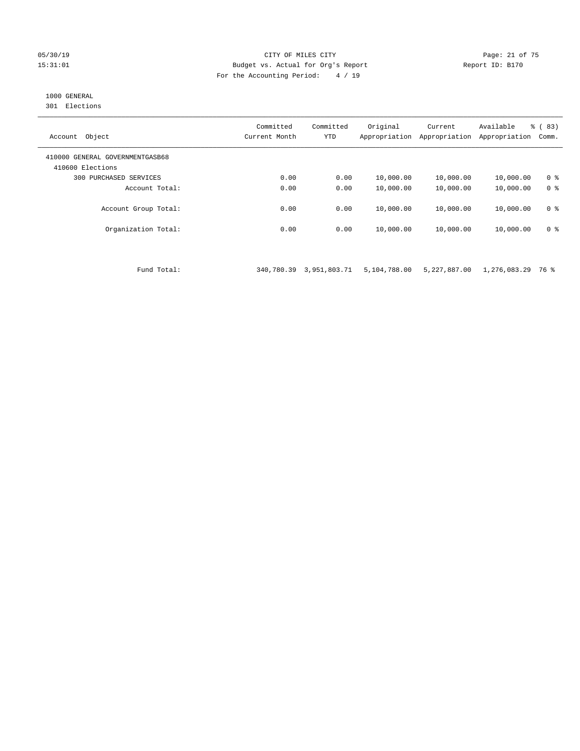#### 05/30/19 Page: 21 of 75 15:31:01 Budget vs. Actual for Org's Report Report ID: B170 For the Accounting Period: 4 / 19

## 1000 GENERAL

301 Elections

| Object<br>Account                                   | Committed<br>Current Month | Committed<br><b>YTD</b> | Original<br>Appropriation | Current<br>Appropriation | Available<br>Appropriation | % (83)<br>Comm. |
|-----------------------------------------------------|----------------------------|-------------------------|---------------------------|--------------------------|----------------------------|-----------------|
| 410000 GENERAL GOVERNMENTGASB68<br>410600 Elections |                            |                         |                           |                          |                            |                 |
| PURCHASED SERVICES<br>300                           | 0.00                       | 0.00                    | 10,000.00                 | 10,000.00                | 10,000.00                  | 0 <sup>8</sup>  |
| Account Total:                                      | 0.00                       | 0.00                    | 10,000.00                 | 10,000.00                | 10,000.00                  | 0 <sup>8</sup>  |
| Account Group Total:                                | 0.00                       | 0.00                    | 10,000.00                 | 10,000.00                | 10,000.00                  | 0 <sup>8</sup>  |
| Organization Total:                                 | 0.00                       | 0.00                    | 10,000.00                 | 10,000.00                | 10,000.00                  | 0 <sup>8</sup>  |

Fund Total: 340,780.39 3,951,803.71 5,104,788.00 5,227,887.00 1,276,083.29 76 %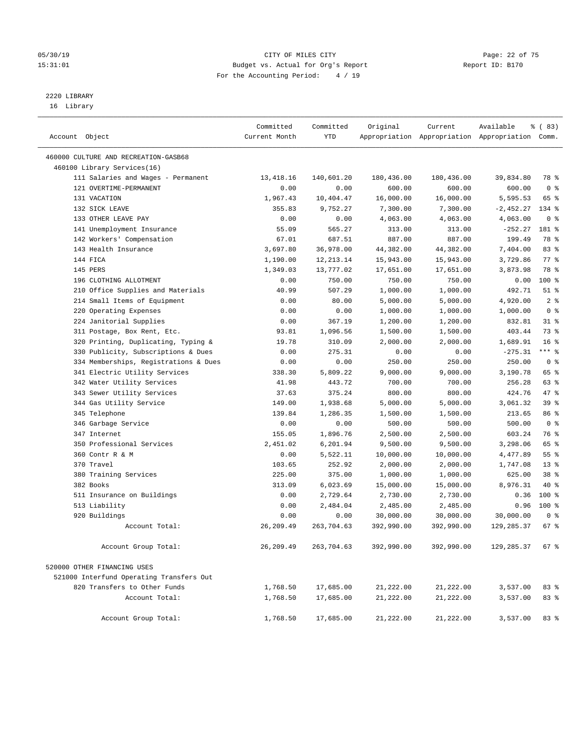#### 05/30/19 Page: 22 of 75 15:31:01 Budget vs. Actual for Org's Report Report ID: B170 For the Accounting Period: 4 / 19

————————————————————————————————————————————————————————————————————————————————————————————————————————————————————————————————————

# 2220 LIBRARY

16 Library

|                                          | Committed          | Committed  | Original   | Current                 | Available                                       | % (83)                   |
|------------------------------------------|--------------------|------------|------------|-------------------------|-------------------------------------------------|--------------------------|
| Account Object                           | Current Month      | YTD        |            |                         | Appropriation Appropriation Appropriation Comm. |                          |
| 460000 CULTURE AND RECREATION-GASB68     |                    |            |            |                         |                                                 |                          |
| 460100 Library Services(16)              |                    |            |            |                         |                                                 |                          |
| 111 Salaries and Wages - Permanent       | 13,418.16          | 140,601.20 | 180,436.00 | 180,436.00              | 39,834.80                                       | 78 %                     |
| 121 OVERTIME-PERMANENT                   | 0.00               | 0.00       | 600.00     | 600.00                  | 600.00                                          | 0 <sup>8</sup>           |
| 131 VACATION                             | 1,967.43           | 10,404.47  | 16,000.00  | 16,000.00               | 5,595.53                                        | 65 %                     |
| 132 SICK LEAVE                           | 355.83             | 9,752.27   | 7,300.00   | 7,300.00                | $-2,452.27$                                     | 134 %                    |
| 133 OTHER LEAVE PAY                      | 0.00               | 0.00       | 4,063.00   | 4,063.00                | 4,063.00                                        | 0 <sup>8</sup>           |
| 141 Unemployment Insurance               | 55.09              | 565.27     | 313.00     | 313.00                  | $-252.27$                                       | 181 %                    |
| 142 Workers' Compensation                | 67.01              | 687.51     | 887.00     | 887.00                  | 199.49                                          | 78 %                     |
| 143 Health Insurance                     | 3,697.80           | 36,978.00  | 44,382.00  | 44,382.00               | 7,404.00                                        | 83%                      |
| 144 FICA                                 | 1,190.00           | 12, 213.14 | 15,943.00  | 15,943.00               | 3,729.86                                        | $77$ $\frac{6}{9}$       |
| 145 PERS                                 | 1,349.03           | 13,777.02  | 17,651.00  | 17,651.00               | 3,873.98                                        | 78 %                     |
| 196 CLOTHING ALLOTMENT                   | 0.00               | 750.00     | 750.00     | 750.00                  | 0.00                                            | $100*$                   |
| 210 Office Supplies and Materials        | 40.99              | 507.29     | 1,000.00   | 1,000.00                | 492.71                                          | $51$ %                   |
| 214 Small Items of Equipment             | 0.00               | 80.00      | 5,000.00   | 5,000.00                | 4,920.00                                        | 2 <sub>8</sub>           |
| 220 Operating Expenses                   | 0.00               | 0.00       | 1,000.00   | 1,000.00                | 1,000.00                                        | 0 <sup>8</sup>           |
| 224 Janitorial Supplies                  | 0.00               | 367.19     | 1,200.00   | 1,200.00                | 832.81                                          | $31$ %                   |
| 311 Postage, Box Rent, Etc.              | 93.81              | 1,096.56   | 1,500.00   | 1,500.00                | 403.44                                          | 73 %                     |
| 320 Printing, Duplicating, Typing &      | 19.78              | 310.09     | 2,000.00   | 2,000.00                | 1,689.91                                        | 16 <sup>°</sup>          |
| 330 Publicity, Subscriptions & Dues      | 0.00               | 275.31     | 0.00       | 0.00                    | $-275.31$                                       | $***$ $-$                |
| 334 Memberships, Registrations & Dues    | 0.00               | 0.00       | 250.00     | 250.00                  | 250.00                                          | 0 <sup>8</sup>           |
| 341 Electric Utility Services            | 338.30             | 5,809.22   | 9,000.00   | 9,000.00                | 3,190.78                                        | 65 %                     |
| 342 Water Utility Services               | 41.98              | 443.72     | 700.00     | 700.00                  | 256.28                                          | 63 %                     |
| 343 Sewer Utility Services               | 37.63              | 375.24     | 800.00     | 800.00                  | 424.76                                          | 47 %                     |
| 344 Gas Utility Service                  | 149.00             | 1,938.68   | 5,000.00   | 5,000.00                | 3,061.32                                        | 39%                      |
| 345 Telephone                            | 139.84             | 1,286.35   | 1,500.00   | 1,500.00                | 213.65                                          | 86 %                     |
| 346 Garbage Service                      | 0.00               | 0.00       | 500.00     | 500.00                  | 500.00                                          | 0 <sup>8</sup>           |
| 347 Internet                             | 155.05             | 1,896.76   | 2,500.00   | 2,500.00                | 603.24                                          | 76 %                     |
| 350 Professional Services                | 2,451.02           | 6,201.94   | 9,500.00   | 9,500.00                | 3,298.06                                        | 65 %                     |
| 360 Contr R & M                          | 0.00               | 5,522.11   | 10,000.00  | 10,000.00               | 4,477.89                                        | $55$ $%$                 |
| 370 Travel                               | 103.65             | 252.92     | 2,000.00   | 2,000.00                | 1,747.08                                        | 13 <sup>°</sup>          |
| 380 Training Services                    | 225.00             | 375.00     | 1,000.00   | 1,000.00                | 625.00                                          | 38 <sup>8</sup>          |
| 382 Books                                | 313.09             | 6,023.69   | 15,000.00  | 15,000.00               | 8,976.31                                        | 40 %                     |
| 511 Insurance on Buildings               | 0.00               | 2,729.64   | 2,730.00   | 2,730.00                | 0.36                                            | $100*$                   |
| 513 Liability                            | 0.00               | 2,484.04   | 2,485.00   | 2,485.00                | 0.96                                            | $100*$                   |
| 920 Buildings                            | 0.00<br>26, 209.49 | 0.00       | 30,000.00  | 30,000.00<br>392,990.00 | 30,000.00                                       | 0 <sup>8</sup><br>$67$ % |
| Account Total:                           |                    | 263,704.63 | 392,990.00 |                         | 129,285.37                                      |                          |
| Account Group Total:                     | 26,209.49          | 263,704.63 | 392,990.00 | 392,990.00              | 129,285.37                                      | 678                      |
| 520000 OTHER FINANCING USES              |                    |            |            |                         |                                                 |                          |
| 521000 Interfund Operating Transfers Out |                    |            |            |                         |                                                 |                          |
| 820 Transfers to Other Funds             | 1,768.50           | 17,685.00  | 21,222.00  | 21,222.00               | 3,537.00                                        | 83%                      |
| Account Total:                           | 1,768.50           | 17,685.00  | 21,222.00  | 21,222.00               | 3,537.00                                        | 83 %                     |
| Account Group Total:                     | 1,768.50           | 17,685.00  | 21,222.00  | 21,222.00               | 3,537.00                                        | 83%                      |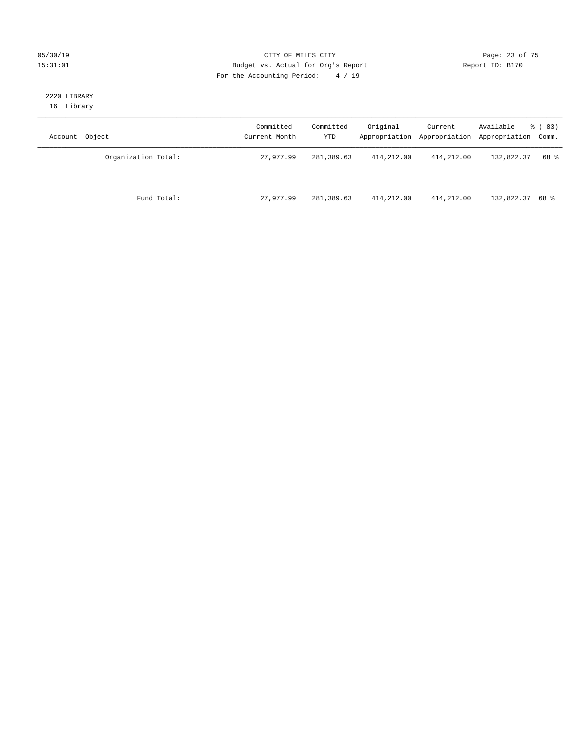#### 05/30/19 Page: 23 of 75 15:31:01 Budget vs. Actual for Org's Report Changer Report ID: B170 For the Accounting Period: 4 / 19

#### 2220 LIBRARY 16 Library

| Account Object      | Committed<br>Current Month | Committed<br>YTD | Original   | Current    | Available<br>Appropriation Appropriation Appropriation Comm. | % (83) |
|---------------------|----------------------------|------------------|------------|------------|--------------------------------------------------------------|--------|
| Organization Total: | 27,977.99                  | 281,389.63       | 414,212.00 | 414,212.00 | 132,822.37                                                   | 68 %   |
| Fund Total:         | 27,977.99                  | 281,389.63       | 414,212.00 | 414,212.00 | 132,822.37 68 %                                              |        |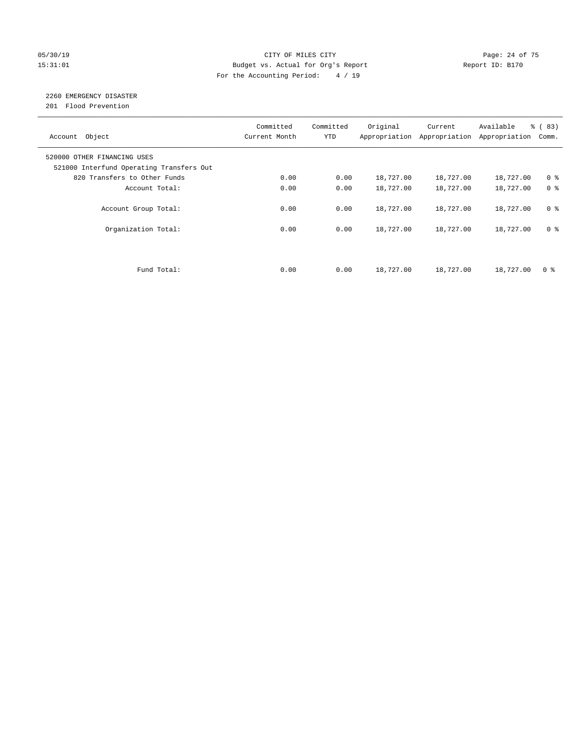### 05/30/19 Page: 24 of 75 15:31:01 Budget vs. Actual for Org's Report Changer Report ID: B170 For the Accounting Period: 4 / 19

# 2260 EMERGENCY DISASTER

201 Flood Prevention

| Account Object                                                          | Committed<br>Current Month | Committed<br><b>YTD</b> | Original  | Current<br>Appropriation Appropriation | Available<br>Appropriation | % (83)<br>Comm. |
|-------------------------------------------------------------------------|----------------------------|-------------------------|-----------|----------------------------------------|----------------------------|-----------------|
| 520000 OTHER FINANCING USES<br>521000 Interfund Operating Transfers Out |                            |                         |           |                                        |                            |                 |
| 820 Transfers to Other Funds                                            | 0.00                       | 0.00                    | 18,727.00 | 18,727.00                              | 18,727.00                  | 0 <sup>8</sup>  |
| Account Total:                                                          | 0.00                       | 0.00                    | 18,727.00 | 18,727.00                              | 18,727.00                  | 0 <sup>8</sup>  |
| Account Group Total:                                                    | 0.00                       | 0.00                    | 18,727.00 | 18,727.00                              | 18,727.00                  | 0 <sup>8</sup>  |
| Organization Total:                                                     | 0.00                       | 0.00                    | 18,727.00 | 18,727.00                              | 18,727.00                  | 0 <sup>8</sup>  |
|                                                                         |                            |                         |           |                                        |                            |                 |
| Fund Total:                                                             | 0.00                       | 0.00                    | 18,727.00 | 18,727.00                              | 18,727.00                  | 0 %             |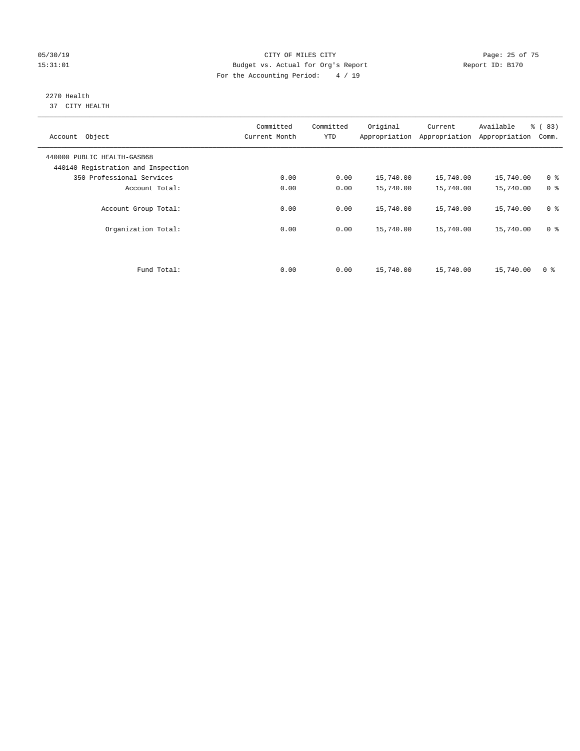#### 05/30/19 Page: 25 of 75 15:31:01 Budget vs. Actual for Org's Report Changer Report ID: B170 For the Accounting Period: 4 / 19

#### 2270 Health 37 CITY HEALTH

| Account Object                                                    | Committed<br>Current Month | Committed<br><b>YTD</b> | Original  | Current<br>Appropriation Appropriation | Available<br>Appropriation | % (83)<br>Comm. |
|-------------------------------------------------------------------|----------------------------|-------------------------|-----------|----------------------------------------|----------------------------|-----------------|
| 440000 PUBLIC HEALTH-GASB68<br>440140 Registration and Inspection |                            |                         |           |                                        |                            |                 |
| 350 Professional Services                                         | 0.00                       | 0.00                    | 15,740.00 | 15,740.00                              | 15,740.00                  | 0 <sup>8</sup>  |
| Account Total:                                                    | 0.00                       | 0.00                    | 15,740.00 | 15,740.00                              | 15,740.00                  | 0 <sup>8</sup>  |
| Account Group Total:                                              | 0.00                       | 0.00                    | 15,740.00 | 15,740.00                              | 15,740.00                  | 0 <sup>8</sup>  |
| Organization Total:                                               | 0.00                       | 0.00                    | 15,740.00 | 15,740.00                              | 15,740.00                  | 0 <sup>8</sup>  |
|                                                                   |                            |                         |           |                                        |                            |                 |
| Fund Total:                                                       | 0.00                       | 0.00                    | 15,740.00 | 15,740.00                              | 15,740.00                  | 0 %             |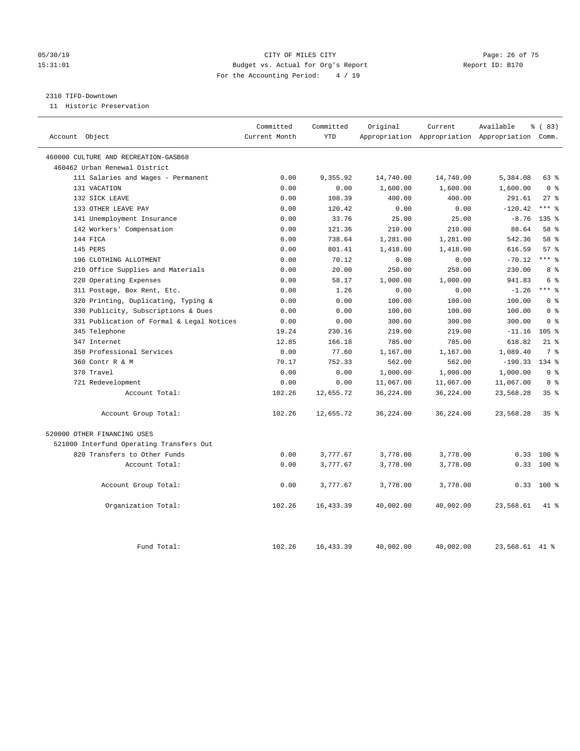#### 05/30/19 Page: 26 of 75 15:31:01 Budget vs. Actual for Org's Report Report ID: B170 For the Accounting Period: 4 / 19

#### 2310 TIFD-Downtown

11 Historic Preservation

| Account Object                            | Committed<br>Current Month | Committed<br><b>YTD</b> | Original  | Current   | Available<br>Appropriation Appropriation Appropriation Comm. | % (83)           |
|-------------------------------------------|----------------------------|-------------------------|-----------|-----------|--------------------------------------------------------------|------------------|
| 460000 CULTURE AND RECREATION-GASB68      |                            |                         |           |           |                                                              |                  |
| 460462 Urban Renewal District             |                            |                         |           |           |                                                              |                  |
| 111 Salaries and Wages - Permanent        | 0.00                       | 9,355.92                | 14,740.00 | 14,740.00 | 5,384.08                                                     | 63 %             |
| 131 VACATION                              | 0.00                       | 0.00                    | 1,600.00  | 1,600.00  | 1,600.00                                                     | 0 <sup>8</sup>   |
| 132 SICK LEAVE                            | 0.00                       | 108.39                  | 400.00    | 400.00    | 291.61                                                       | $27$ %           |
| 133 OTHER LEAVE PAY                       | 0.00                       | 120.42                  | 0.00      | 0.00      | $-120.42$                                                    | $***$ $%$        |
| 141 Unemployment Insurance                | 0.00                       | 33.76                   | 25.00     | 25.00     | $-8.76$                                                      | 135 <sub>8</sub> |
| 142 Workers' Compensation                 | 0.00                       | 121.36                  | 210.00    | 210.00    | 88.64                                                        | 58 %             |
| 144 FICA                                  | 0.00                       | 738.64                  | 1,281.00  | 1,281.00  | 542.36                                                       | 58 %             |
| 145 PERS                                  | 0.00                       | 801.41                  | 1,418.00  | 1,418.00  | 616.59                                                       | 57%              |
| 196 CLOTHING ALLOTMENT                    | 0.00                       | 70.12                   | 0.00      | 0.00      | $-70.12$                                                     | $***$ 2          |
| 210 Office Supplies and Materials         | 0.00                       | 20.00                   | 250.00    | 250.00    | 230.00                                                       | 8 %              |
| 220 Operating Expenses                    | 0.00                       | 58.17                   | 1,000.00  | 1,000.00  | 941.83                                                       | 6 %              |
| 311 Postage, Box Rent, Etc.               | 0.00                       | 1.26                    | 0.00      | 0.00      | $-1.26$                                                      | $***$ $%$        |
| 320 Printing, Duplicating, Typing &       | 0.00                       | 0.00                    | 100.00    | 100.00    | 100.00                                                       | 0 <sup>8</sup>   |
| 330 Publicity, Subscriptions & Dues       | 0.00                       | 0.00                    | 100.00    | 100.00    | 100.00                                                       | 0 <sup>8</sup>   |
| 331 Publication of Formal & Legal Notices | 0.00                       | 0.00                    | 300.00    | 300.00    | 300.00                                                       | 0 <sup>8</sup>   |
| 345 Telephone                             | 19.24                      | 230.16                  | 219.00    | 219.00    | $-11.16$                                                     | 105%             |
| 347 Internet                              | 12.85                      | 166.18                  | 785.00    | 785.00    | 618.82                                                       | $21$ %           |
| 350 Professional Services                 | 0.00                       | 77.60                   | 1,167.00  | 1,167.00  | 1,089.40                                                     | 7 <sup>°</sup>   |
| 360 Contr R & M                           | 70.17                      | 752.33                  | 562.00    | 562.00    | $-190.33$                                                    | 134 %            |
| 370 Travel                                | 0.00                       | 0.00                    | 1,000.00  | 1,000.00  | 1,000.00                                                     | 0 <sup>8</sup>   |
| 721 Redevelopment                         | 0.00                       | 0.00                    | 11,067.00 | 11,067.00 | 11,067.00                                                    | 0 <sup>8</sup>   |
| Account Total:                            | 102.26                     | 12,655.72               | 36,224.00 | 36,224.00 | 23,568.28                                                    | 35%              |
| Account Group Total:                      | 102.26                     | 12,655.72               | 36,224.00 | 36,224.00 | 23,568.28                                                    | 35%              |
| 520000 OTHER FINANCING USES               |                            |                         |           |           |                                                              |                  |
| 521000 Interfund Operating Transfers Out  |                            |                         |           |           |                                                              |                  |
| 820 Transfers to Other Funds              | 0.00                       | 3,777.67                | 3,778.00  | 3,778.00  | 0.33                                                         | 100 %            |
| Account Total:                            | 0.00                       | 3,777.67                | 3,778.00  | 3,778.00  | 0.33                                                         | $100*$           |
| Account Group Total:                      | 0.00                       | 3,777.67                | 3,778.00  | 3,778.00  |                                                              | $0.33$ 100 %     |
| Organization Total:                       | 102.26                     | 16, 433.39              | 40,002.00 | 40,002.00 | 23,568.61                                                    | 41 %             |
| Fund Total:                               | 102.26                     | 16, 433.39              | 40,002.00 | 40,002.00 | 23,568.61 41 %                                               |                  |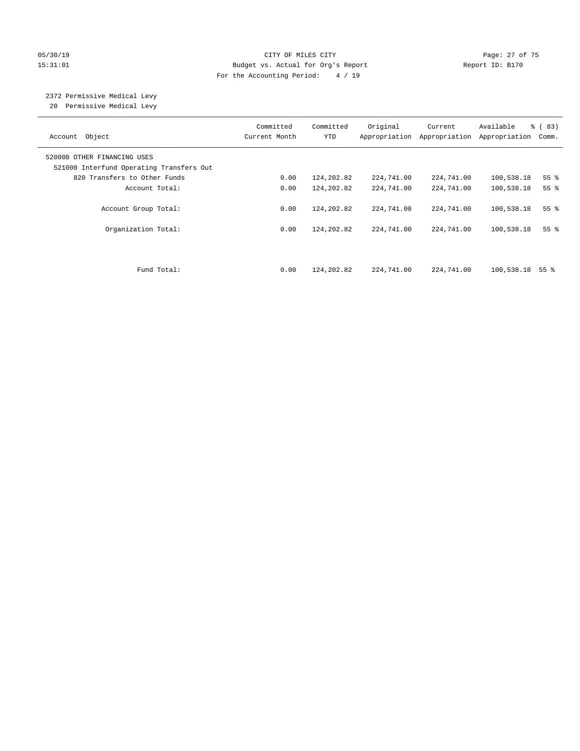### 05/30/19 Page: 27 of 75 15:31:01 Budget vs. Actual for Org's Report Report ID: B170 For the Accounting Period: 4 / 19

# 2372 Permissive Medical Levy

20 Permissive Medical Levy

| Account Object                                                          | Committed<br>Current Month | Committed<br><b>YTD</b> | Original<br>Appropriation | Current<br>Appropriation | Available<br>Appropriation | % (83)<br>Comm. |
|-------------------------------------------------------------------------|----------------------------|-------------------------|---------------------------|--------------------------|----------------------------|-----------------|
| 520000 OTHER FINANCING USES<br>521000 Interfund Operating Transfers Out |                            |                         |                           |                          |                            |                 |
| 820 Transfers to Other Funds                                            | 0.00                       | 124,202.82              | 224,741.00                | 224,741.00               | 100,538.18                 | $55$ $%$        |
| Account Total:                                                          | 0.00                       | 124,202.82              | 224,741.00                | 224,741.00               | 100,538.18                 | 55 <sup>8</sup> |
| Account Group Total:                                                    | 0.00                       | 124,202.82              | 224,741.00                | 224,741.00               | 100,538.18                 | 55 <sup>8</sup> |
| Organization Total:                                                     | 0.00                       | 124,202.82              | 224,741.00                | 224,741.00               | 100,538.18                 | 55 <sup>8</sup> |
| Fund Total:                                                             | 0.00                       | 124,202.82              | 224,741.00                | 224,741.00               | 100,538.18                 | 55 %            |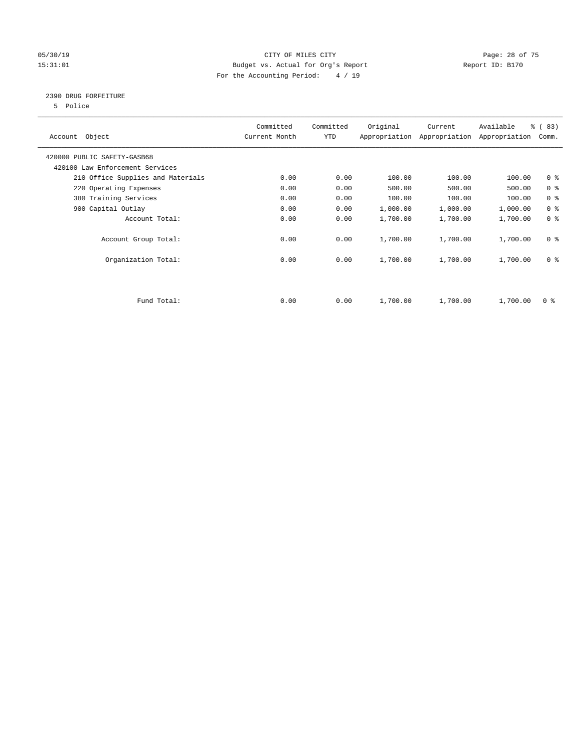### 05/30/19 Page: 28 of 75 15:31:01 Budget vs. Actual for Org's Report Changer Report ID: B170 For the Accounting Period: 4 / 19

### 2390 DRUG FORFEITURE

5 Police

| Account Object                    | Committed<br>Current Month | Committed<br>YTD | Original | Current<br>Appropriation Appropriation | Available<br>Appropriation | % (83)<br>Comm. |
|-----------------------------------|----------------------------|------------------|----------|----------------------------------------|----------------------------|-----------------|
| 420000 PUBLIC SAFETY-GASB68       |                            |                  |          |                                        |                            |                 |
| 420100 Law Enforcement Services   |                            |                  |          |                                        |                            |                 |
| 210 Office Supplies and Materials | 0.00                       | 0.00             | 100.00   | 100.00                                 | 100.00                     | 0 <sub>8</sub>  |
| 220 Operating Expenses            | 0.00                       | 0.00             | 500.00   | 500.00                                 | 500.00                     | 0 <sup>8</sup>  |
| 380 Training Services             | 0.00                       | 0.00             | 100.00   | 100.00                                 | 100.00                     | 0 <sup>8</sup>  |
| 900 Capital Outlay                | 0.00                       | 0.00             | 1,000.00 | 1,000.00                               | 1,000.00                   | 0 <sup>8</sup>  |
| Account Total:                    | 0.00                       | 0.00             | 1,700.00 | 1,700.00                               | 1,700.00                   | 0 <sup>8</sup>  |
| Account Group Total:              | 0.00                       | 0.00             | 1,700.00 | 1,700.00                               | 1,700.00                   | 0 <sup>8</sup>  |
| Organization Total:               | 0.00                       | 0.00             | 1,700.00 | 1,700.00                               | 1,700.00                   | 0 <sup>8</sup>  |
|                                   |                            |                  |          |                                        |                            |                 |
| Fund Total:                       | 0.00                       | 0.00             | 1,700.00 | 1,700.00                               | 1,700.00                   | 0 %             |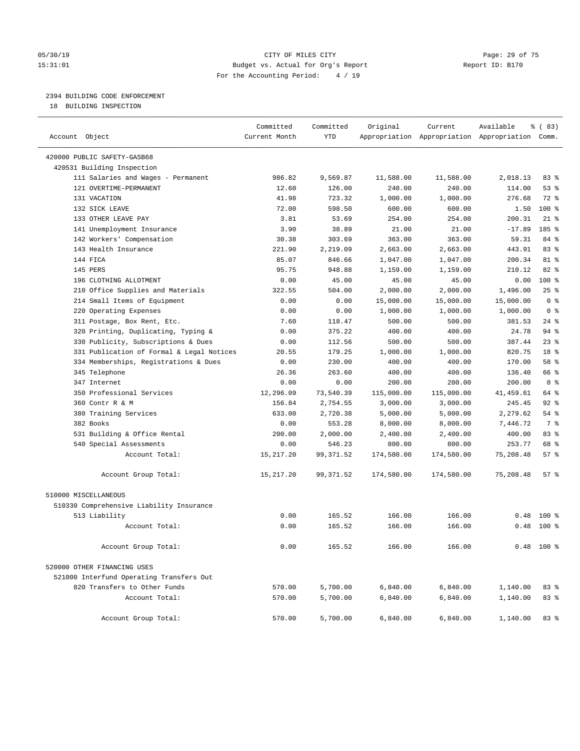#### 05/30/19 Page: 29 of 75 15:31:01 Budget vs. Actual for Org's Report Report ID: B170 For the Accounting Period: 4 / 19

## 2394 BUILDING CODE ENFORCEMENT

18 BUILDING INSPECTION

| Account Object                            | Committed<br>Current Month | Committed<br><b>YTD</b> | Original   | Current    | Available<br>Appropriation Appropriation Appropriation Comm. | % (83)          |
|-------------------------------------------|----------------------------|-------------------------|------------|------------|--------------------------------------------------------------|-----------------|
|                                           |                            |                         |            |            |                                                              |                 |
| 420000 PUBLIC SAFETY-GASB68               |                            |                         |            |            |                                                              |                 |
| 420531 Building Inspection                |                            |                         |            |            |                                                              |                 |
| 111 Salaries and Wages - Permanent        | 986.82                     | 9,569.87                | 11,588.00  | 11,588.00  | 2,018.13                                                     | 83%             |
| 121 OVERTIME-PERMANENT                    | 12.60                      | 126.00                  | 240.00     | 240.00     | 114.00                                                       | 53%             |
| 131 VACATION                              | 41.98                      | 723.32                  | 1,000.00   | 1,000.00   | 276.68                                                       | $72$ $%$        |
| 132 SICK LEAVE                            | 72.00                      | 598.50                  | 600.00     | 600.00     | 1.50                                                         | $100*$          |
| 133 OTHER LEAVE PAY                       | 3.81                       | 53.69                   | 254.00     | 254.00     | 200.31                                                       | $21$ %          |
| 141 Unemployment Insurance                | 3.90                       | 38.89                   | 21.00      | 21.00      | $-17.89$                                                     | 185 %           |
| 142 Workers' Compensation                 | 30.38                      | 303.69                  | 363.00     | 363.00     | 59.31                                                        | 84 %            |
| 143 Health Insurance                      | 221.90                     | 2,219.09                | 2,663.00   | 2,663.00   | 443.91                                                       | 83 %            |
| 144 FICA                                  | 85.07                      | 846.66                  | 1,047.00   | 1,047.00   | 200.34                                                       | 81 %            |
| 145 PERS                                  | 95.75                      | 948.88                  | 1,159.00   | 1,159.00   | 210.12                                                       | 82%             |
| 196 CLOTHING ALLOTMENT                    | 0.00                       | 45.00                   | 45.00      | 45.00      | 0.00                                                         | 100 %           |
| 210 Office Supplies and Materials         | 322.55                     | 504.00                  | 2,000.00   | 2,000.00   | 1,496.00                                                     | 25%             |
| 214 Small Items of Equipment              | 0.00                       | 0.00                    | 15,000.00  | 15,000.00  | 15,000.00                                                    | 0 <sup>8</sup>  |
| 220 Operating Expenses                    | 0.00                       | 0.00                    | 1,000.00   | 1,000.00   | 1,000.00                                                     | 0 <sup>8</sup>  |
| 311 Postage, Box Rent, Etc.               | 7.60                       | 118.47                  | 500.00     | 500.00     | 381.53                                                       | $24$ %          |
| 320 Printing, Duplicating, Typing &       | 0.00                       | 375.22                  | 400.00     | 400.00     | 24.78                                                        | 94 %            |
| 330 Publicity, Subscriptions & Dues       | 0.00                       | 112.56                  | 500.00     | 500.00     | 387.44                                                       | 23%             |
| 331 Publication of Formal & Legal Notices | 20.55                      | 179.25                  | 1,000.00   | 1,000.00   | 820.75                                                       | 18 <sup>8</sup> |
| 334 Memberships, Registrations & Dues     | 0.00                       | 230.00                  | 400.00     | 400.00     | 170.00                                                       | 58 %            |
| 345 Telephone                             | 26.36                      | 263.60                  | 400.00     | 400.00     | 136.40                                                       | 66 %            |
| 347 Internet                              | 0.00                       | 0.00                    | 200.00     | 200.00     | 200.00                                                       | 0 <sup>8</sup>  |
| 350 Professional Services                 | 12,296.09                  | 73,540.39               | 115,000.00 | 115,000.00 | 41,459.61                                                    | 64 %            |
| 360 Contr R & M                           | 156.84                     | 2,754.55                | 3,000.00   | 3,000.00   | 245.45                                                       | $92$ %          |
| 380 Training Services                     | 633.00                     | 2,720.38                | 5,000.00   | 5,000.00   | 2,279.62                                                     | 54%             |
| 382 Books                                 | 0.00                       | 553.28                  | 8,000.00   | 8,000.00   | 7,446.72                                                     | 7 %             |
| 531 Building & Office Rental              | 200.00                     | 2,000.00                | 2,400.00   | 2,400.00   | 400.00                                                       | 83 %            |
| 540 Special Assessments                   | 0.00                       | 546.23                  | 800.00     | 800.00     | 253.77                                                       | 68 %            |
| Account Total:                            | 15,217.20                  | 99, 371.52              | 174,580.00 | 174,580.00 | 75,208.48                                                    | 57%             |
| Account Group Total:                      | 15,217.20                  | 99, 371.52              | 174,580.00 | 174,580.00 | 75,208.48                                                    | 57%             |
| 510000 MISCELLANEOUS                      |                            |                         |            |            |                                                              |                 |
| 510330 Comprehensive Liability Insurance  |                            |                         |            |            |                                                              |                 |
| 513 Liability                             | 0.00                       | 165.52                  | 166.00     | 166.00     | 0.48                                                         | $100*$          |
| Account Total:                            | 0.00                       | 165.52                  | 166.00     | 166.00     | 0.48                                                         | $100*$          |
|                                           |                            |                         |            |            |                                                              |                 |
| Account Group Total:                      | 0.00                       | 165.52                  | 166.00     | 166.00     |                                                              | $0.48$ 100 %    |
| 520000 OTHER FINANCING USES               |                            |                         |            |            |                                                              |                 |
| 521000 Interfund Operating Transfers Out  |                            |                         |            |            |                                                              |                 |
| 820 Transfers to Other Funds              | 570.00                     | 5,700.00                | 6,840.00   | 6,840.00   | 1,140.00                                                     | 83 %            |
| Account Total:                            | 570.00                     | 5,700.00                | 6,840.00   | 6,840.00   | 1,140.00                                                     | 83 %            |
| Account Group Total:                      | 570.00                     | 5,700.00                | 6,840.00   | 6,840.00   | 1,140.00                                                     | 83%             |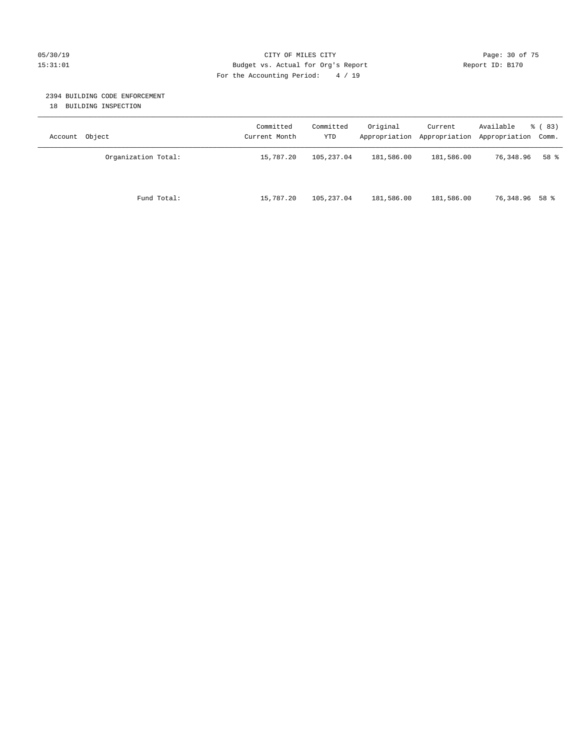#### 05/30/19 Page: 30 of 75 15:31:01 Budget vs. Actual for Org's Report Report ID: B170 For the Accounting Period: 4 / 19

#### 2394 BUILDING CODE ENFORCEMENT

18 BUILDING INSPECTION

| Account Object      | Committed<br>Current Month | Committed<br>YTD | Original   | Current<br>Appropriation Appropriation | Available<br>Appropriation Comm. | % (83) |
|---------------------|----------------------------|------------------|------------|----------------------------------------|----------------------------------|--------|
| Organization Total: | 15,787.20                  | 105,237.04       | 181,586.00 | 181,586.00                             | 76,348.96                        | 58 %   |
| Fund Total:         | 15,787.20                  | 105,237.04       | 181,586.00 | 181,586.00                             | 76,348.96 58 %                   |        |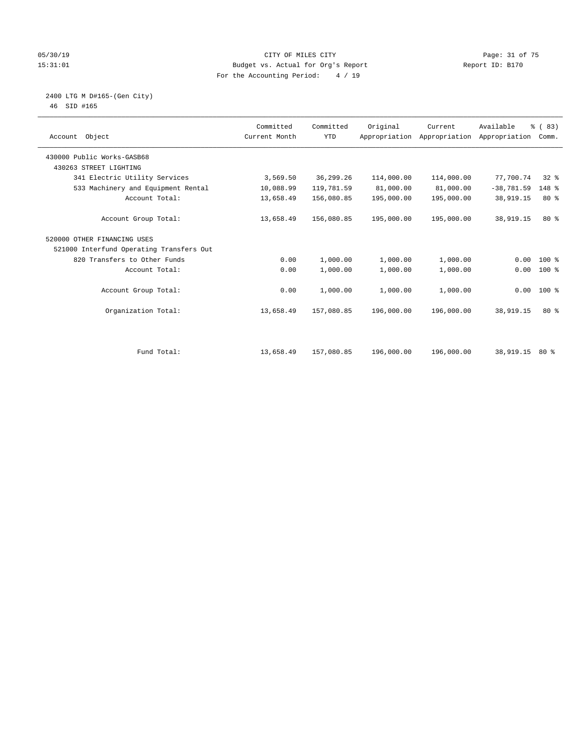#### 05/30/19 Page: 31 of 75 15:31:01 Budget vs. Actual for Org's Report Report ID: B170 For the Accounting Period: 4 / 19

#### 2400 LTG M D#165-(Gen City) 46 SID #165

| Account Object                           | Committed<br>Current Month | Committed<br><b>YTD</b> | Original   | Current<br>Appropriation Appropriation | Available<br>Appropriation | % (83)<br>Comm. |  |
|------------------------------------------|----------------------------|-------------------------|------------|----------------------------------------|----------------------------|-----------------|--|
| 430000 Public Works-GASB68               |                            |                         |            |                                        |                            |                 |  |
| 430263 STREET LIGHTING                   |                            |                         |            |                                        |                            |                 |  |
| 341 Electric Utility Services            | 3,569.50                   | 36,299.26               | 114,000.00 | 114,000.00                             | 77,700.74                  | $32*$           |  |
| 533 Machinery and Equipment Rental       | 10,088.99                  | 119,781.59              | 81,000.00  | 81,000.00                              | $-38,781.59$               | 148 %           |  |
| Account Total:                           | 13,658.49                  | 156,080.85              | 195,000.00 | 195,000.00                             | 38,919.15                  | $80*$           |  |
| Account Group Total:                     | 13,658.49                  | 156,080.85              | 195,000.00 | 195,000.00                             | 38,919.15                  | $80*$           |  |
| 520000 OTHER FINANCING USES              |                            |                         |            |                                        |                            |                 |  |
| 521000 Interfund Operating Transfers Out |                            |                         |            |                                        |                            |                 |  |
| 820 Transfers to Other Funds             | 0.00                       | 1,000.00                | 1,000.00   | 1,000.00                               | 0.00                       | $100*$          |  |
| Account Total:                           | 0.00                       | 1,000.00                | 1,000.00   | 1,000.00                               | 0.00                       | $100*$          |  |
| Account Group Total:                     | 0.00                       | 1,000.00                | 1,000.00   | 1,000.00                               | 0.00                       | 100 %           |  |
| Organization Total:                      | 13,658.49                  | 157,080.85              | 196,000.00 | 196,000.00                             | 38,919.15                  | $80*$           |  |
| Fund Total:                              | 13,658.49                  | 157,080.85              | 196,000.00 | 196,000.00                             | 38,919.15                  | 80%             |  |
|                                          |                            |                         |            |                                        |                            |                 |  |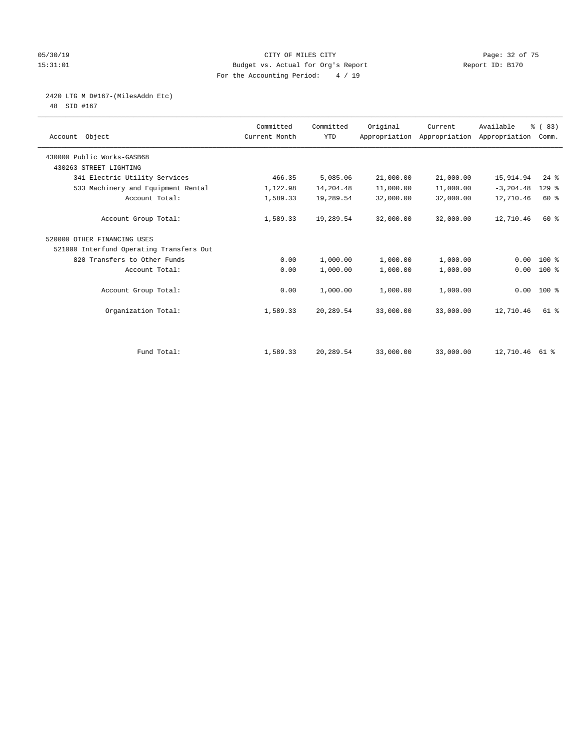#### 05/30/19 Page: 32 of 75 15:31:01 Budget vs. Actual for Org's Report Report ID: B170 For the Accounting Period: 4 / 19

# 2420 LTG M D#167-(MilesAddn Etc)

48 SID #167

| Account Object                           | Committed<br>Current Month | Committed<br><b>YTD</b> | Original  | Current<br>Appropriation Appropriation | Available<br>Appropriation | % (83)<br>Comm. |  |
|------------------------------------------|----------------------------|-------------------------|-----------|----------------------------------------|----------------------------|-----------------|--|
| 430000 Public Works-GASB68               |                            |                         |           |                                        |                            |                 |  |
| 430263 STREET LIGHTING                   |                            |                         |           |                                        |                            |                 |  |
| 341 Electric Utility Services            | 466.35                     | 5,085.06                | 21,000.00 | 21,000.00                              | 15,914.94                  | $24$ $%$        |  |
| 533 Machinery and Equipment Rental       | 1,122.98                   | 14,204.48               | 11,000.00 | 11,000.00                              | $-3, 204.48$               | $129$ %         |  |
| Account Total:                           | 1,589.33                   | 19,289.54               | 32,000.00 | 32,000.00                              | 12,710.46                  | 60 %            |  |
| Account Group Total:                     | 1,589.33                   | 19,289.54               | 32,000.00 | 32,000.00                              | 12,710.46                  | 60 %            |  |
| 520000 OTHER FINANCING USES              |                            |                         |           |                                        |                            |                 |  |
| 521000 Interfund Operating Transfers Out |                            |                         |           |                                        |                            |                 |  |
| 820 Transfers to Other Funds             | 0.00                       | 1,000.00                | 1,000.00  | 1,000.00                               | 0.00                       | $100*$          |  |
| Account Total:                           | 0.00                       | 1,000.00                | 1,000.00  | 1,000.00                               | 0.00                       | $100*$          |  |
| Account Group Total:                     | 0.00                       | 1,000.00                | 1,000.00  | 1,000.00                               |                            | $0.00$ 100 %    |  |
| Organization Total:                      | 1,589.33                   | 20,289.54               | 33,000.00 | 33,000.00                              | 12,710.46                  | $61$ $%$        |  |
|                                          |                            |                         |           |                                        |                            |                 |  |
| Fund Total:                              | 1,589.33                   | 20,289.54               | 33,000.00 | 33,000.00                              | 12,710.46 61 %             |                 |  |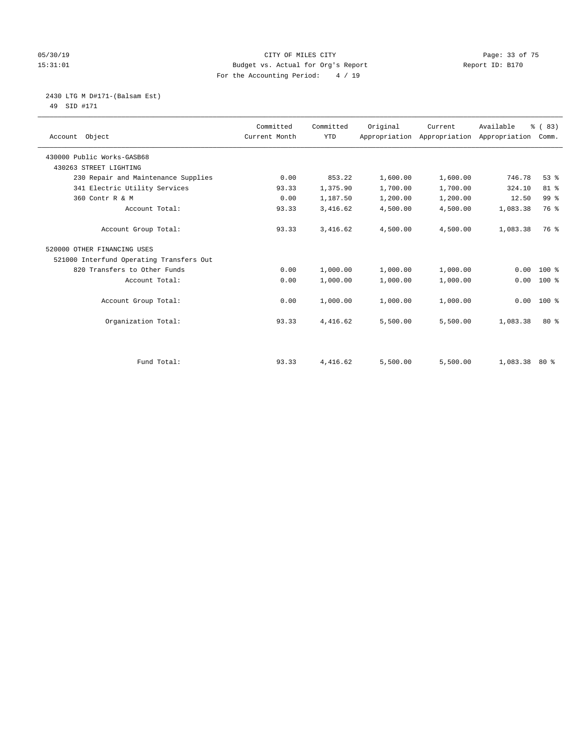#### 05/30/19 Page: 33 of 75 15:31:01 Budget vs. Actual for Org's Report Report ID: B170 For the Accounting Period: 4 / 19

#### 2430 LTG M D#171-(Balsam Est) 49 SID #171

| Account Object                           | Committed<br>Current Month | Committed<br><b>YTD</b> | Original | Current<br>Appropriation Appropriation Appropriation Comm. | Available       | % (83)          |
|------------------------------------------|----------------------------|-------------------------|----------|------------------------------------------------------------|-----------------|-----------------|
| 430000 Public Works-GASB68               |                            |                         |          |                                                            |                 |                 |
| 430263 STREET LIGHTING                   |                            |                         |          |                                                            |                 |                 |
| 230 Repair and Maintenance Supplies      | 0.00                       | 853.22                  | 1,600.00 | 1,600.00                                                   | 746.78          | 53%             |
| 341 Electric Utility Services            | 93.33                      | 1,375.90                | 1,700.00 | 1,700.00                                                   | 324.10          | 81 %            |
| 360 Contr R & M                          | 0.00                       | 1,187.50                | 1,200.00 | 1,200.00                                                   | 12.50           | 99 <sup>°</sup> |
| Account Total:                           | 93.33                      | 3,416.62                | 4,500.00 | 4,500.00                                                   | 1,083.38        | 76 %            |
| Account Group Total:                     | 93.33                      | 3,416.62                | 4,500.00 | 4,500.00                                                   | 1,083.38        | 76 %            |
| 520000 OTHER FINANCING USES              |                            |                         |          |                                                            |                 |                 |
| 521000 Interfund Operating Transfers Out |                            |                         |          |                                                            |                 |                 |
| 820 Transfers to Other Funds             | 0.00                       | 1,000.00                | 1,000.00 | 1,000.00                                                   | 0.00            | $100*$          |
| Account Total:                           | 0.00                       | 1,000.00                | 1,000.00 | 1,000.00                                                   | 0.00            | $100*$          |
| Account Group Total:                     | 0.00                       | 1,000.00                | 1,000.00 | 1,000.00                                                   | 0.00            | $100*$          |
| Organization Total:                      | 93.33                      | 4,416.62                | 5,500.00 | 5,500.00                                                   | 1,083.38        | $80*$           |
|                                          |                            |                         |          |                                                            |                 |                 |
| Fund Total:                              | 93.33                      | 4,416.62                | 5,500.00 | 5,500.00                                                   | $1,083.38$ 80 % |                 |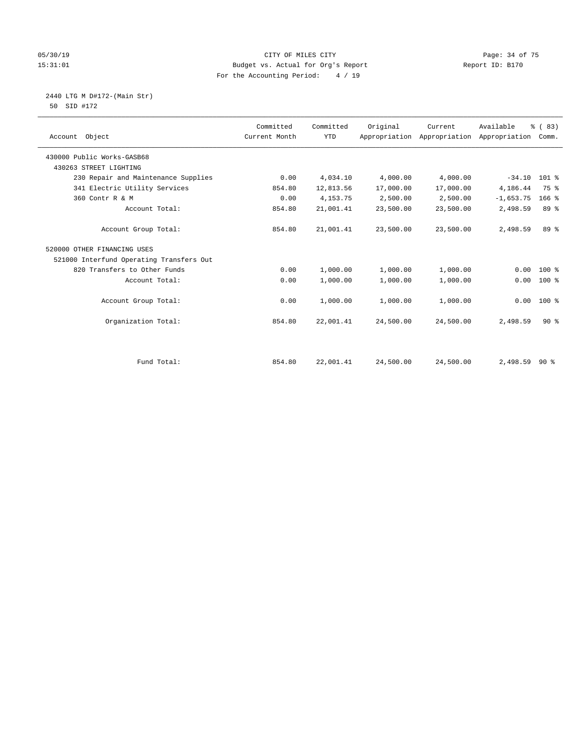#### 05/30/19 CITY OF MILES CITY CHE CONTROLLER CONTROLLER PAGE: 34 of 75<br>Budget vs. Actual for Org's Report (1997) Report TD: B170 15:31:01 Budget vs. Actual for Org's Report For the Accounting Period: 4 / 19

 2440 LTG M D#172-(Main Str) 50 SID #172

| Account Object                           | Committed<br>Current Month | Committed<br><b>YTD</b> | Original  | Current   | Available<br>Appropriation Appropriation Appropriation | % (83)<br>Comm. |  |
|------------------------------------------|----------------------------|-------------------------|-----------|-----------|--------------------------------------------------------|-----------------|--|
| 430000 Public Works-GASB68               |                            |                         |           |           |                                                        |                 |  |
| 430263 STREET LIGHTING                   |                            |                         |           |           |                                                        |                 |  |
| 230 Repair and Maintenance Supplies      | 0.00                       | 4,034.10                | 4,000.00  | 4,000.00  | $-34.10$                                               | 101 %           |  |
| 341 Electric Utility Services            | 854.80                     | 12,813.56               | 17,000.00 | 17,000.00 | 4,186.44                                               | 75 %            |  |
| 360 Contr R & M                          | 0.00                       | 4, 153. 75              | 2,500.00  | 2,500.00  | $-1,653.75$                                            | $166$ %         |  |
| Account Total:                           | 854.80                     | 21,001.41               | 23,500.00 | 23,500.00 | 2,498.59                                               | 89 %            |  |
| Account Group Total:                     | 854.80                     | 21,001.41               | 23,500.00 | 23,500.00 | 2,498.59                                               | 89 %            |  |
| 520000 OTHER FINANCING USES              |                            |                         |           |           |                                                        |                 |  |
| 521000 Interfund Operating Transfers Out |                            |                         |           |           |                                                        |                 |  |
| 820 Transfers to Other Funds             | 0.00                       | 1,000.00                | 1,000.00  | 1,000.00  | 0.00                                                   | $100$ %         |  |
| Account Total:                           | 0.00                       | 1,000.00                | 1,000.00  | 1,000.00  | 0.00                                                   | $100*$          |  |
| Account Group Total:                     | 0.00                       | 1,000.00                | 1,000.00  | 1,000.00  | 0.00                                                   | $100*$          |  |
| Organization Total:                      | 854.80                     | 22,001.41               | 24,500.00 | 24,500.00 | 2,498.59                                               | 90%             |  |
|                                          |                            |                         |           |           |                                                        |                 |  |
| Fund Total:                              | 854.80                     | 22,001.41               | 24,500.00 | 24,500.00 | $2,498.59$ 90 %                                        |                 |  |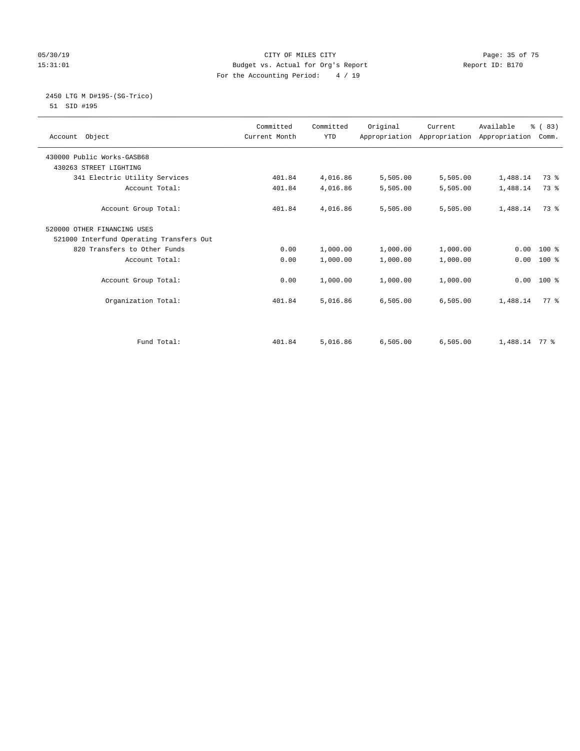#### 05/30/19 Page: 35 of 75 15:31:01 Budget vs. Actual for Org's Report Report ID: B170 For the Accounting Period: 4 / 19

# 2450 LTG M D#195-(SG-Trico)

51 SID #195

| Account Object                           | Committed<br>Current Month | Committed<br><b>YTD</b> | Original | Current<br>Appropriation Appropriation Appropriation | Available     | % (83)<br>Comm. |  |
|------------------------------------------|----------------------------|-------------------------|----------|------------------------------------------------------|---------------|-----------------|--|
| 430000 Public Works-GASB68               |                            |                         |          |                                                      |               |                 |  |
| 430263 STREET LIGHTING                   |                            |                         |          |                                                      |               |                 |  |
| 341 Electric Utility Services            | 401.84                     | 4,016.86                | 5,505.00 | 5,505.00                                             | 1,488.14      | 73 %            |  |
| Account Total:                           | 401.84                     | 4,016.86                | 5,505.00 | 5,505.00                                             | 1,488.14      | 73 %            |  |
| Account Group Total:                     | 401.84                     | 4,016.86                | 5,505.00 | 5,505.00                                             | 1,488.14      | 73 %            |  |
| 520000 OTHER FINANCING USES              |                            |                         |          |                                                      |               |                 |  |
| 521000 Interfund Operating Transfers Out |                            |                         |          |                                                      |               |                 |  |
| 820 Transfers to Other Funds             | 0.00                       | 1,000.00                | 1,000.00 | 1,000.00                                             | 0.00          | $100*$          |  |
| Account Total:                           | 0.00                       | 1,000.00                | 1,000.00 | 1,000.00                                             | 0.00          | $100*$          |  |
| Account Group Total:                     | 0.00                       | 1,000.00                | 1,000.00 | 1,000.00                                             | 0.00          | $100*$          |  |
| Organization Total:                      | 401.84                     | 5,016.86                | 6,505.00 | 6,505.00                                             | 1,488.14      | 77 %            |  |
|                                          |                            |                         |          |                                                      |               |                 |  |
| Fund Total:                              | 401.84                     | 5,016.86                | 6,505.00 | 6,505.00                                             | 1,488.14 77 % |                 |  |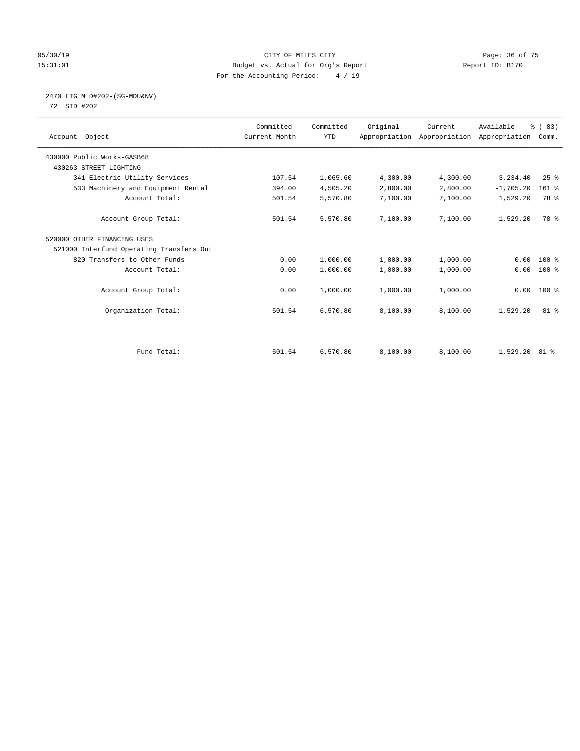#### 05/30/19 Page: 36 of 75 15:31:01 Budget vs. Actual for Org's Report Report ID: B170 For the Accounting Period: 4 / 19

# 2470 LTG M D#202-(SG-MDU&NV)

72 SID #202

| Account Object                           | Committed<br>Current Month | Committed<br><b>YTD</b> | Original | Current  | Available<br>Appropriation Appropriation Appropriation | % (83)<br>Comm. |  |
|------------------------------------------|----------------------------|-------------------------|----------|----------|--------------------------------------------------------|-----------------|--|
| 430000 Public Works-GASB68               |                            |                         |          |          |                                                        |                 |  |
| 430263 STREET LIGHTING                   |                            |                         |          |          |                                                        |                 |  |
| 341 Electric Utility Services            | 107.54                     | 1,065.60                | 4,300.00 | 4,300.00 | 3,234.40                                               | $25$ $%$        |  |
| 533 Machinery and Equipment Rental       | 394.00                     | 4,505.20                | 2,800.00 | 2,800.00 | $-1,705.20$                                            | 161 %           |  |
| Account Total:                           | 501.54                     | 5,570.80                | 7,100.00 | 7,100.00 | 1,529.20                                               | 78 %            |  |
| Account Group Total:                     | 501.54                     | 5,570.80                | 7,100.00 | 7,100.00 | 1,529.20                                               | 78 %            |  |
| 520000 OTHER FINANCING USES              |                            |                         |          |          |                                                        |                 |  |
| 521000 Interfund Operating Transfers Out |                            |                         |          |          |                                                        |                 |  |
| 820 Transfers to Other Funds             | 0.00                       | 1,000.00                | 1,000.00 | 1,000.00 | 0.00                                                   | $100*$          |  |
| Account Total:                           | 0.00                       | 1,000.00                | 1,000.00 | 1,000.00 | 0.00                                                   | $100$ %         |  |
| Account Group Total:                     | 0.00                       | 1,000.00                | 1,000.00 | 1,000.00 | 0.00                                                   | $100*$          |  |
| Organization Total:                      | 501.54                     | 6,570.80                | 8,100.00 | 8,100.00 | 1,529.20                                               | $81$ %          |  |
|                                          |                            |                         |          |          |                                                        |                 |  |
| Fund Total:                              | 501.54                     | 6,570.80                | 8,100.00 | 8,100.00 | $1,529.20$ 81 %                                        |                 |  |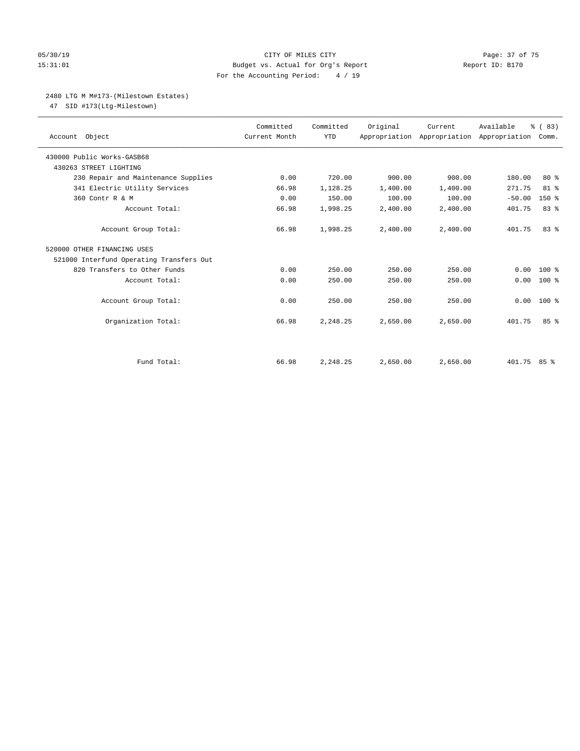#### 05/30/19 Page: 37 of 75 15:31:01 Budget vs. Actual for Org's Report Report ID: B170 For the Accounting Period: 4 / 19

## 2480 LTG M M#173-(Milestown Estates)

47 SID #173(Ltg-Milestown)

| Account Object                           | Committed<br>Current Month | Committed<br><b>YTD</b> | Original | Current  | Available<br>Appropriation Appropriation Appropriation | % (83)<br>Comm. |
|------------------------------------------|----------------------------|-------------------------|----------|----------|--------------------------------------------------------|-----------------|
| 430000 Public Works-GASB68               |                            |                         |          |          |                                                        |                 |
| 430263 STREET LIGHTING                   |                            |                         |          |          |                                                        |                 |
| 230 Repair and Maintenance Supplies      | 0.00                       | 720.00                  | 900.00   | 900.00   | 180.00                                                 | $80*$           |
| 341 Electric Utility Services            | 66.98                      | 1,128.25                | 1,400.00 | 1,400.00 | 271.75                                                 | 81 %            |
| 360 Contr R & M                          | 0.00                       | 150.00                  | 100.00   | 100.00   | $-50.00$                                               | $150*$          |
| Account Total:                           | 66.98                      | 1,998.25                | 2,400.00 | 2,400.00 | 401.75                                                 | 83%             |
| Account Group Total:                     | 66.98                      | 1,998.25                | 2,400.00 | 2,400.00 | 401.75                                                 | 83%             |
| 520000 OTHER FINANCING USES              |                            |                         |          |          |                                                        |                 |
| 521000 Interfund Operating Transfers Out |                            |                         |          |          |                                                        |                 |
| 820 Transfers to Other Funds             | 0.00                       | 250.00                  | 250.00   | 250.00   | 0.00                                                   | $100*$          |
| Account Total:                           | 0.00                       | 250.00                  | 250.00   | 250.00   | 0.00                                                   | $100$ %         |
| Account Group Total:                     | 0.00                       | 250.00                  | 250.00   | 250.00   | 0.00                                                   | $100*$          |
| Organization Total:                      | 66.98                      | 2,248.25                | 2,650.00 | 2,650.00 | 401.75                                                 | 85%             |
|                                          |                            |                         |          |          |                                                        |                 |
| Fund Total:                              | 66.98                      | 2,248.25                | 2,650.00 | 2,650.00 | 401.75 85 %                                            |                 |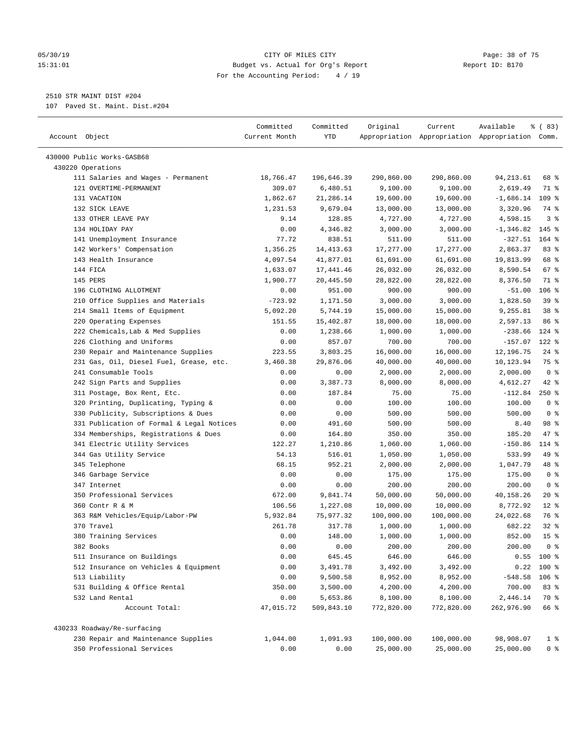#### 05/30/19 Page: 38 of 75 15:31:01 Budget vs. Actual for Org's Report Report ID: B170 For the Accounting Period: 4 / 19

————————————————————————————————————————————————————————————————————————————————————————————————————————————————————————————————————

## 2510 STR MAINT DIST #204

107 Paved St. Maint. Dist.#204

| Account Object<br>Current Month<br>YTD<br>Appropriation Appropriation Appropriation Comm.<br>430000 Public Works-GASB68<br>430220 Operations<br>111 Salaries and Wages - Permanent<br>18,766.47<br>196,646.39<br>290,860.00<br>290,860.00<br>94,213.61<br>68 %<br>2,619.49<br>121 OVERTIME-PERMANENT<br>309.07<br>6,480.51<br>9,100.00<br>9,100.00<br>71 %<br>131 VACATION<br>21,286.14<br>$109$ %<br>1,862.67<br>19,600.00<br>19,600.00<br>$-1,686.14$<br>132 SICK LEAVE<br>1,231.53<br>9,679.04<br>13,000.00<br>13,000.00<br>3,320.96<br>74 %<br>4,598.15<br>3 <sup>8</sup><br>133 OTHER LEAVE PAY<br>9.14<br>128.85<br>4,727.00<br>4,727.00<br>134 HOLIDAY PAY<br>$-1, 346.82$<br>$145$ %<br>0.00<br>4,346.82<br>3,000.00<br>3,000.00<br>141 Unemployment Insurance<br>838.51<br>$-327.51$<br>164 %<br>77.72<br>511.00<br>511.00<br>142 Workers' Compensation<br>17,277.00<br>17,277.00<br>2,863.37<br>83%<br>1,356.25<br>14,413.63<br>143 Health Insurance<br>68 %<br>4,097.54<br>41,877.01<br>61,691.00<br>61,691.00<br>19,813.99<br>67%<br>144 FICA<br>1,633.07<br>17,441.46<br>26,032.00<br>26,032.00<br>8,590.54<br>145 PERS<br>71 %<br>1,900.77<br>20,445.50<br>28,822.00<br>28,822.00<br>8,376.50<br>951.00<br>$106$ %<br>196 CLOTHING ALLOTMENT<br>0.00<br>900.00<br>900.00<br>$-51.00$<br>210 Office Supplies and Materials<br>1,828.50<br>39%<br>$-723.92$<br>1,171.50<br>3,000.00<br>3,000.00<br>214 Small Items of Equipment<br>9,255.81<br>38 <sup>8</sup><br>5,092.20<br>5,744.19<br>15,000.00<br>15,000.00<br>220 Operating Expenses<br>86 %<br>151.55<br>15,402.87<br>18,000.00<br>18,000.00<br>2,597.13<br>222 Chemicals, Lab & Med Supplies<br>$-238.66$<br>$124$ %<br>0.00<br>1,238.66<br>1,000.00<br>1,000.00<br>226 Clothing and Uniforms<br>$-157.07$<br>$122$ %<br>0.00<br>857.07<br>700.00<br>700.00<br>230 Repair and Maintenance Supplies<br>16,000.00<br>16,000.00<br>12,196.75<br>$24$ %<br>223.55<br>3,803.25<br>231 Gas, Oil, Diesel Fuel, Grease, etc.<br>29,876.06<br>75 %<br>3,460.38<br>40,000.00<br>40,000.00<br>10,123.94<br>241 Consumable Tools<br>0 <sup>8</sup><br>0.00<br>0.00<br>2,000.00<br>2,000.00<br>2,000.00<br>242 Sign Parts and Supplies<br>3,387.73<br>8,000.00<br>8,000.00<br>42 %<br>0.00<br>4,612.27<br>$250$ %<br>311 Postage, Box Rent, Etc.<br>0.00<br>187.84<br>75.00<br>75.00<br>$-112.84$<br>320 Printing, Duplicating, Typing &<br>0.00<br>0 <sup>8</sup><br>0.00<br>100.00<br>100.00<br>100.00<br>330 Publicity, Subscriptions & Dues<br>500.00<br>0 <sup>8</sup><br>0.00<br>0.00<br>500.00<br>500.00<br>331 Publication of Formal & Legal Notices<br>98 %<br>0.00<br>491.60<br>500.00<br>500.00<br>8.40<br>47 %<br>334 Memberships, Registrations & Dues<br>185.20<br>0.00<br>164.80<br>350.00<br>350.00<br>341 Electric Utility Services<br>$-150.86$<br>114 %<br>122.27<br>1,210.86<br>1,060.00<br>1,060.00<br>344 Gas Utility Service<br>54.13<br>49 %<br>516.01<br>1,050.00<br>1,050.00<br>533.99<br>48 %<br>345 Telephone<br>68.15<br>1,047.79<br>952.21<br>2,000.00<br>2,000.00<br>0 <sup>8</sup><br>346 Garbage Service<br>0.00<br>0.00<br>175.00<br>175.00<br>175.00<br>0 <sup>8</sup><br>347 Internet<br>0.00<br>0.00<br>200.00<br>200.00<br>200.00<br>350 Professional Services<br>672.00<br>9,841.74<br>50,000.00<br>50,000.00<br>40,158.26<br>20%<br>360 Contr R & M<br>8,772.92<br>$12*$<br>106.56<br>1,227.08<br>10,000.00<br>10,000.00<br>363 R&M Vehicles/Equip/Labor-PW<br>75,977.32<br>24,022.68<br>76 %<br>5,932.84<br>100,000.00<br>100,000.00<br>370 Travel<br>$32$ $%$<br>261.78<br>317.78<br>1,000.00<br>1,000.00<br>682.22<br>15 <sup>°</sup><br>380 Training Services<br>0.00<br>852.00<br>148.00<br>1,000.00<br>1,000.00<br>382 Books<br>0.00<br>200.00<br>0 %<br>0.00<br>200.00<br>200.00<br>511 Insurance on Buildings<br>$0.55$ 100 %<br>0.00<br>645.45<br>646.00<br>646.00<br>512 Insurance on Vehicles & Equipment<br>0.00<br>3,491.78<br>3,492.00<br>3,492.00<br>$0.22$ 100 %<br>513 Liability<br>9,500.58<br>$-548.58$<br>106 %<br>0.00<br>8,952.00<br>8,952.00<br>531 Building & Office Rental<br>3,500.00<br>4,200.00<br>4,200.00<br>700.00<br>83 %<br>350.00<br>5,653.86<br>8,100.00<br>2,446.14<br>532 Land Rental<br>0.00<br>8,100.00<br>70 %<br>Account Total:<br>47,015.72<br>509,843.10<br>772,820.00<br>772,820.00<br>262,976.90<br>66 %<br>430233 Roadway/Re-surfacing<br>230 Repair and Maintenance Supplies<br>100,000.00<br>100,000.00<br>1,044.00<br>1,091.93<br>98,908.07<br>1 <sup>8</sup> | Committed | Committed | Original | Current | Available | % (83) |
|---------------------------------------------------------------------------------------------------------------------------------------------------------------------------------------------------------------------------------------------------------------------------------------------------------------------------------------------------------------------------------------------------------------------------------------------------------------------------------------------------------------------------------------------------------------------------------------------------------------------------------------------------------------------------------------------------------------------------------------------------------------------------------------------------------------------------------------------------------------------------------------------------------------------------------------------------------------------------------------------------------------------------------------------------------------------------------------------------------------------------------------------------------------------------------------------------------------------------------------------------------------------------------------------------------------------------------------------------------------------------------------------------------------------------------------------------------------------------------------------------------------------------------------------------------------------------------------------------------------------------------------------------------------------------------------------------------------------------------------------------------------------------------------------------------------------------------------------------------------------------------------------------------------------------------------------------------------------------------------------------------------------------------------------------------------------------------------------------------------------------------------------------------------------------------------------------------------------------------------------------------------------------------------------------------------------------------------------------------------------------------------------------------------------------------------------------------------------------------------------------------------------------------------------------------------------------------------------------------------------------------------------------------------------------------------------------------------------------------------------------------------------------------------------------------------------------------------------------------------------------------------------------------------------------------------------------------------------------------------------------------------------------------------------------------------------------------------------------------------------------------------------------------------------------------------------------------------------------------------------------------------------------------------------------------------------------------------------------------------------------------------------------------------------------------------------------------------------------------------------------------------------------------------------------------------------------------------------------------------------------------------------------------------------------------------------------------------------------------------------------------------------------------------------------------------------------------------------------------------------------------------------------------------------------------------------------------------------------------------------------------------------------------------------------------------------------------------------------------------------------------------------------------------------------------------------------------------------------------------------------------------------------------------------------------------------------------------------------------------------------------------------------------------------------------------------------------------------------------------------------------------|-----------|-----------|----------|---------|-----------|--------|
|                                                                                                                                                                                                                                                                                                                                                                                                                                                                                                                                                                                                                                                                                                                                                                                                                                                                                                                                                                                                                                                                                                                                                                                                                                                                                                                                                                                                                                                                                                                                                                                                                                                                                                                                                                                                                                                                                                                                                                                                                                                                                                                                                                                                                                                                                                                                                                                                                                                                                                                                                                                                                                                                                                                                                                                                                                                                                                                                                                                                                                                                                                                                                                                                                                                                                                                                                                                                                                                                                                                                                                                                                                                                                                                                                                                                                                                                                                                                                                                                                                                                                                                                                                                                                                                                                                                                                                                                                                                                                                               |           |           |          |         |           |        |
|                                                                                                                                                                                                                                                                                                                                                                                                                                                                                                                                                                                                                                                                                                                                                                                                                                                                                                                                                                                                                                                                                                                                                                                                                                                                                                                                                                                                                                                                                                                                                                                                                                                                                                                                                                                                                                                                                                                                                                                                                                                                                                                                                                                                                                                                                                                                                                                                                                                                                                                                                                                                                                                                                                                                                                                                                                                                                                                                                                                                                                                                                                                                                                                                                                                                                                                                                                                                                                                                                                                                                                                                                                                                                                                                                                                                                                                                                                                                                                                                                                                                                                                                                                                                                                                                                                                                                                                                                                                                                                               |           |           |          |         |           |        |
|                                                                                                                                                                                                                                                                                                                                                                                                                                                                                                                                                                                                                                                                                                                                                                                                                                                                                                                                                                                                                                                                                                                                                                                                                                                                                                                                                                                                                                                                                                                                                                                                                                                                                                                                                                                                                                                                                                                                                                                                                                                                                                                                                                                                                                                                                                                                                                                                                                                                                                                                                                                                                                                                                                                                                                                                                                                                                                                                                                                                                                                                                                                                                                                                                                                                                                                                                                                                                                                                                                                                                                                                                                                                                                                                                                                                                                                                                                                                                                                                                                                                                                                                                                                                                                                                                                                                                                                                                                                                                                               |           |           |          |         |           |        |
|                                                                                                                                                                                                                                                                                                                                                                                                                                                                                                                                                                                                                                                                                                                                                                                                                                                                                                                                                                                                                                                                                                                                                                                                                                                                                                                                                                                                                                                                                                                                                                                                                                                                                                                                                                                                                                                                                                                                                                                                                                                                                                                                                                                                                                                                                                                                                                                                                                                                                                                                                                                                                                                                                                                                                                                                                                                                                                                                                                                                                                                                                                                                                                                                                                                                                                                                                                                                                                                                                                                                                                                                                                                                                                                                                                                                                                                                                                                                                                                                                                                                                                                                                                                                                                                                                                                                                                                                                                                                                                               |           |           |          |         |           |        |
|                                                                                                                                                                                                                                                                                                                                                                                                                                                                                                                                                                                                                                                                                                                                                                                                                                                                                                                                                                                                                                                                                                                                                                                                                                                                                                                                                                                                                                                                                                                                                                                                                                                                                                                                                                                                                                                                                                                                                                                                                                                                                                                                                                                                                                                                                                                                                                                                                                                                                                                                                                                                                                                                                                                                                                                                                                                                                                                                                                                                                                                                                                                                                                                                                                                                                                                                                                                                                                                                                                                                                                                                                                                                                                                                                                                                                                                                                                                                                                                                                                                                                                                                                                                                                                                                                                                                                                                                                                                                                                               |           |           |          |         |           |        |
|                                                                                                                                                                                                                                                                                                                                                                                                                                                                                                                                                                                                                                                                                                                                                                                                                                                                                                                                                                                                                                                                                                                                                                                                                                                                                                                                                                                                                                                                                                                                                                                                                                                                                                                                                                                                                                                                                                                                                                                                                                                                                                                                                                                                                                                                                                                                                                                                                                                                                                                                                                                                                                                                                                                                                                                                                                                                                                                                                                                                                                                                                                                                                                                                                                                                                                                                                                                                                                                                                                                                                                                                                                                                                                                                                                                                                                                                                                                                                                                                                                                                                                                                                                                                                                                                                                                                                                                                                                                                                                               |           |           |          |         |           |        |
|                                                                                                                                                                                                                                                                                                                                                                                                                                                                                                                                                                                                                                                                                                                                                                                                                                                                                                                                                                                                                                                                                                                                                                                                                                                                                                                                                                                                                                                                                                                                                                                                                                                                                                                                                                                                                                                                                                                                                                                                                                                                                                                                                                                                                                                                                                                                                                                                                                                                                                                                                                                                                                                                                                                                                                                                                                                                                                                                                                                                                                                                                                                                                                                                                                                                                                                                                                                                                                                                                                                                                                                                                                                                                                                                                                                                                                                                                                                                                                                                                                                                                                                                                                                                                                                                                                                                                                                                                                                                                                               |           |           |          |         |           |        |
|                                                                                                                                                                                                                                                                                                                                                                                                                                                                                                                                                                                                                                                                                                                                                                                                                                                                                                                                                                                                                                                                                                                                                                                                                                                                                                                                                                                                                                                                                                                                                                                                                                                                                                                                                                                                                                                                                                                                                                                                                                                                                                                                                                                                                                                                                                                                                                                                                                                                                                                                                                                                                                                                                                                                                                                                                                                                                                                                                                                                                                                                                                                                                                                                                                                                                                                                                                                                                                                                                                                                                                                                                                                                                                                                                                                                                                                                                                                                                                                                                                                                                                                                                                                                                                                                                                                                                                                                                                                                                                               |           |           |          |         |           |        |
|                                                                                                                                                                                                                                                                                                                                                                                                                                                                                                                                                                                                                                                                                                                                                                                                                                                                                                                                                                                                                                                                                                                                                                                                                                                                                                                                                                                                                                                                                                                                                                                                                                                                                                                                                                                                                                                                                                                                                                                                                                                                                                                                                                                                                                                                                                                                                                                                                                                                                                                                                                                                                                                                                                                                                                                                                                                                                                                                                                                                                                                                                                                                                                                                                                                                                                                                                                                                                                                                                                                                                                                                                                                                                                                                                                                                                                                                                                                                                                                                                                                                                                                                                                                                                                                                                                                                                                                                                                                                                                               |           |           |          |         |           |        |
|                                                                                                                                                                                                                                                                                                                                                                                                                                                                                                                                                                                                                                                                                                                                                                                                                                                                                                                                                                                                                                                                                                                                                                                                                                                                                                                                                                                                                                                                                                                                                                                                                                                                                                                                                                                                                                                                                                                                                                                                                                                                                                                                                                                                                                                                                                                                                                                                                                                                                                                                                                                                                                                                                                                                                                                                                                                                                                                                                                                                                                                                                                                                                                                                                                                                                                                                                                                                                                                                                                                                                                                                                                                                                                                                                                                                                                                                                                                                                                                                                                                                                                                                                                                                                                                                                                                                                                                                                                                                                                               |           |           |          |         |           |        |
|                                                                                                                                                                                                                                                                                                                                                                                                                                                                                                                                                                                                                                                                                                                                                                                                                                                                                                                                                                                                                                                                                                                                                                                                                                                                                                                                                                                                                                                                                                                                                                                                                                                                                                                                                                                                                                                                                                                                                                                                                                                                                                                                                                                                                                                                                                                                                                                                                                                                                                                                                                                                                                                                                                                                                                                                                                                                                                                                                                                                                                                                                                                                                                                                                                                                                                                                                                                                                                                                                                                                                                                                                                                                                                                                                                                                                                                                                                                                                                                                                                                                                                                                                                                                                                                                                                                                                                                                                                                                                                               |           |           |          |         |           |        |
|                                                                                                                                                                                                                                                                                                                                                                                                                                                                                                                                                                                                                                                                                                                                                                                                                                                                                                                                                                                                                                                                                                                                                                                                                                                                                                                                                                                                                                                                                                                                                                                                                                                                                                                                                                                                                                                                                                                                                                                                                                                                                                                                                                                                                                                                                                                                                                                                                                                                                                                                                                                                                                                                                                                                                                                                                                                                                                                                                                                                                                                                                                                                                                                                                                                                                                                                                                                                                                                                                                                                                                                                                                                                                                                                                                                                                                                                                                                                                                                                                                                                                                                                                                                                                                                                                                                                                                                                                                                                                                               |           |           |          |         |           |        |
|                                                                                                                                                                                                                                                                                                                                                                                                                                                                                                                                                                                                                                                                                                                                                                                                                                                                                                                                                                                                                                                                                                                                                                                                                                                                                                                                                                                                                                                                                                                                                                                                                                                                                                                                                                                                                                                                                                                                                                                                                                                                                                                                                                                                                                                                                                                                                                                                                                                                                                                                                                                                                                                                                                                                                                                                                                                                                                                                                                                                                                                                                                                                                                                                                                                                                                                                                                                                                                                                                                                                                                                                                                                                                                                                                                                                                                                                                                                                                                                                                                                                                                                                                                                                                                                                                                                                                                                                                                                                                                               |           |           |          |         |           |        |
|                                                                                                                                                                                                                                                                                                                                                                                                                                                                                                                                                                                                                                                                                                                                                                                                                                                                                                                                                                                                                                                                                                                                                                                                                                                                                                                                                                                                                                                                                                                                                                                                                                                                                                                                                                                                                                                                                                                                                                                                                                                                                                                                                                                                                                                                                                                                                                                                                                                                                                                                                                                                                                                                                                                                                                                                                                                                                                                                                                                                                                                                                                                                                                                                                                                                                                                                                                                                                                                                                                                                                                                                                                                                                                                                                                                                                                                                                                                                                                                                                                                                                                                                                                                                                                                                                                                                                                                                                                                                                                               |           |           |          |         |           |        |
|                                                                                                                                                                                                                                                                                                                                                                                                                                                                                                                                                                                                                                                                                                                                                                                                                                                                                                                                                                                                                                                                                                                                                                                                                                                                                                                                                                                                                                                                                                                                                                                                                                                                                                                                                                                                                                                                                                                                                                                                                                                                                                                                                                                                                                                                                                                                                                                                                                                                                                                                                                                                                                                                                                                                                                                                                                                                                                                                                                                                                                                                                                                                                                                                                                                                                                                                                                                                                                                                                                                                                                                                                                                                                                                                                                                                                                                                                                                                                                                                                                                                                                                                                                                                                                                                                                                                                                                                                                                                                                               |           |           |          |         |           |        |
|                                                                                                                                                                                                                                                                                                                                                                                                                                                                                                                                                                                                                                                                                                                                                                                                                                                                                                                                                                                                                                                                                                                                                                                                                                                                                                                                                                                                                                                                                                                                                                                                                                                                                                                                                                                                                                                                                                                                                                                                                                                                                                                                                                                                                                                                                                                                                                                                                                                                                                                                                                                                                                                                                                                                                                                                                                                                                                                                                                                                                                                                                                                                                                                                                                                                                                                                                                                                                                                                                                                                                                                                                                                                                                                                                                                                                                                                                                                                                                                                                                                                                                                                                                                                                                                                                                                                                                                                                                                                                                               |           |           |          |         |           |        |
|                                                                                                                                                                                                                                                                                                                                                                                                                                                                                                                                                                                                                                                                                                                                                                                                                                                                                                                                                                                                                                                                                                                                                                                                                                                                                                                                                                                                                                                                                                                                                                                                                                                                                                                                                                                                                                                                                                                                                                                                                                                                                                                                                                                                                                                                                                                                                                                                                                                                                                                                                                                                                                                                                                                                                                                                                                                                                                                                                                                                                                                                                                                                                                                                                                                                                                                                                                                                                                                                                                                                                                                                                                                                                                                                                                                                                                                                                                                                                                                                                                                                                                                                                                                                                                                                                                                                                                                                                                                                                                               |           |           |          |         |           |        |
|                                                                                                                                                                                                                                                                                                                                                                                                                                                                                                                                                                                                                                                                                                                                                                                                                                                                                                                                                                                                                                                                                                                                                                                                                                                                                                                                                                                                                                                                                                                                                                                                                                                                                                                                                                                                                                                                                                                                                                                                                                                                                                                                                                                                                                                                                                                                                                                                                                                                                                                                                                                                                                                                                                                                                                                                                                                                                                                                                                                                                                                                                                                                                                                                                                                                                                                                                                                                                                                                                                                                                                                                                                                                                                                                                                                                                                                                                                                                                                                                                                                                                                                                                                                                                                                                                                                                                                                                                                                                                                               |           |           |          |         |           |        |
|                                                                                                                                                                                                                                                                                                                                                                                                                                                                                                                                                                                                                                                                                                                                                                                                                                                                                                                                                                                                                                                                                                                                                                                                                                                                                                                                                                                                                                                                                                                                                                                                                                                                                                                                                                                                                                                                                                                                                                                                                                                                                                                                                                                                                                                                                                                                                                                                                                                                                                                                                                                                                                                                                                                                                                                                                                                                                                                                                                                                                                                                                                                                                                                                                                                                                                                                                                                                                                                                                                                                                                                                                                                                                                                                                                                                                                                                                                                                                                                                                                                                                                                                                                                                                                                                                                                                                                                                                                                                                                               |           |           |          |         |           |        |
|                                                                                                                                                                                                                                                                                                                                                                                                                                                                                                                                                                                                                                                                                                                                                                                                                                                                                                                                                                                                                                                                                                                                                                                                                                                                                                                                                                                                                                                                                                                                                                                                                                                                                                                                                                                                                                                                                                                                                                                                                                                                                                                                                                                                                                                                                                                                                                                                                                                                                                                                                                                                                                                                                                                                                                                                                                                                                                                                                                                                                                                                                                                                                                                                                                                                                                                                                                                                                                                                                                                                                                                                                                                                                                                                                                                                                                                                                                                                                                                                                                                                                                                                                                                                                                                                                                                                                                                                                                                                                                               |           |           |          |         |           |        |
|                                                                                                                                                                                                                                                                                                                                                                                                                                                                                                                                                                                                                                                                                                                                                                                                                                                                                                                                                                                                                                                                                                                                                                                                                                                                                                                                                                                                                                                                                                                                                                                                                                                                                                                                                                                                                                                                                                                                                                                                                                                                                                                                                                                                                                                                                                                                                                                                                                                                                                                                                                                                                                                                                                                                                                                                                                                                                                                                                                                                                                                                                                                                                                                                                                                                                                                                                                                                                                                                                                                                                                                                                                                                                                                                                                                                                                                                                                                                                                                                                                                                                                                                                                                                                                                                                                                                                                                                                                                                                                               |           |           |          |         |           |        |
|                                                                                                                                                                                                                                                                                                                                                                                                                                                                                                                                                                                                                                                                                                                                                                                                                                                                                                                                                                                                                                                                                                                                                                                                                                                                                                                                                                                                                                                                                                                                                                                                                                                                                                                                                                                                                                                                                                                                                                                                                                                                                                                                                                                                                                                                                                                                                                                                                                                                                                                                                                                                                                                                                                                                                                                                                                                                                                                                                                                                                                                                                                                                                                                                                                                                                                                                                                                                                                                                                                                                                                                                                                                                                                                                                                                                                                                                                                                                                                                                                                                                                                                                                                                                                                                                                                                                                                                                                                                                                                               |           |           |          |         |           |        |
|                                                                                                                                                                                                                                                                                                                                                                                                                                                                                                                                                                                                                                                                                                                                                                                                                                                                                                                                                                                                                                                                                                                                                                                                                                                                                                                                                                                                                                                                                                                                                                                                                                                                                                                                                                                                                                                                                                                                                                                                                                                                                                                                                                                                                                                                                                                                                                                                                                                                                                                                                                                                                                                                                                                                                                                                                                                                                                                                                                                                                                                                                                                                                                                                                                                                                                                                                                                                                                                                                                                                                                                                                                                                                                                                                                                                                                                                                                                                                                                                                                                                                                                                                                                                                                                                                                                                                                                                                                                                                                               |           |           |          |         |           |        |
|                                                                                                                                                                                                                                                                                                                                                                                                                                                                                                                                                                                                                                                                                                                                                                                                                                                                                                                                                                                                                                                                                                                                                                                                                                                                                                                                                                                                                                                                                                                                                                                                                                                                                                                                                                                                                                                                                                                                                                                                                                                                                                                                                                                                                                                                                                                                                                                                                                                                                                                                                                                                                                                                                                                                                                                                                                                                                                                                                                                                                                                                                                                                                                                                                                                                                                                                                                                                                                                                                                                                                                                                                                                                                                                                                                                                                                                                                                                                                                                                                                                                                                                                                                                                                                                                                                                                                                                                                                                                                                               |           |           |          |         |           |        |
|                                                                                                                                                                                                                                                                                                                                                                                                                                                                                                                                                                                                                                                                                                                                                                                                                                                                                                                                                                                                                                                                                                                                                                                                                                                                                                                                                                                                                                                                                                                                                                                                                                                                                                                                                                                                                                                                                                                                                                                                                                                                                                                                                                                                                                                                                                                                                                                                                                                                                                                                                                                                                                                                                                                                                                                                                                                                                                                                                                                                                                                                                                                                                                                                                                                                                                                                                                                                                                                                                                                                                                                                                                                                                                                                                                                                                                                                                                                                                                                                                                                                                                                                                                                                                                                                                                                                                                                                                                                                                                               |           |           |          |         |           |        |
|                                                                                                                                                                                                                                                                                                                                                                                                                                                                                                                                                                                                                                                                                                                                                                                                                                                                                                                                                                                                                                                                                                                                                                                                                                                                                                                                                                                                                                                                                                                                                                                                                                                                                                                                                                                                                                                                                                                                                                                                                                                                                                                                                                                                                                                                                                                                                                                                                                                                                                                                                                                                                                                                                                                                                                                                                                                                                                                                                                                                                                                                                                                                                                                                                                                                                                                                                                                                                                                                                                                                                                                                                                                                                                                                                                                                                                                                                                                                                                                                                                                                                                                                                                                                                                                                                                                                                                                                                                                                                                               |           |           |          |         |           |        |
|                                                                                                                                                                                                                                                                                                                                                                                                                                                                                                                                                                                                                                                                                                                                                                                                                                                                                                                                                                                                                                                                                                                                                                                                                                                                                                                                                                                                                                                                                                                                                                                                                                                                                                                                                                                                                                                                                                                                                                                                                                                                                                                                                                                                                                                                                                                                                                                                                                                                                                                                                                                                                                                                                                                                                                                                                                                                                                                                                                                                                                                                                                                                                                                                                                                                                                                                                                                                                                                                                                                                                                                                                                                                                                                                                                                                                                                                                                                                                                                                                                                                                                                                                                                                                                                                                                                                                                                                                                                                                                               |           |           |          |         |           |        |
|                                                                                                                                                                                                                                                                                                                                                                                                                                                                                                                                                                                                                                                                                                                                                                                                                                                                                                                                                                                                                                                                                                                                                                                                                                                                                                                                                                                                                                                                                                                                                                                                                                                                                                                                                                                                                                                                                                                                                                                                                                                                                                                                                                                                                                                                                                                                                                                                                                                                                                                                                                                                                                                                                                                                                                                                                                                                                                                                                                                                                                                                                                                                                                                                                                                                                                                                                                                                                                                                                                                                                                                                                                                                                                                                                                                                                                                                                                                                                                                                                                                                                                                                                                                                                                                                                                                                                                                                                                                                                                               |           |           |          |         |           |        |
|                                                                                                                                                                                                                                                                                                                                                                                                                                                                                                                                                                                                                                                                                                                                                                                                                                                                                                                                                                                                                                                                                                                                                                                                                                                                                                                                                                                                                                                                                                                                                                                                                                                                                                                                                                                                                                                                                                                                                                                                                                                                                                                                                                                                                                                                                                                                                                                                                                                                                                                                                                                                                                                                                                                                                                                                                                                                                                                                                                                                                                                                                                                                                                                                                                                                                                                                                                                                                                                                                                                                                                                                                                                                                                                                                                                                                                                                                                                                                                                                                                                                                                                                                                                                                                                                                                                                                                                                                                                                                                               |           |           |          |         |           |        |
|                                                                                                                                                                                                                                                                                                                                                                                                                                                                                                                                                                                                                                                                                                                                                                                                                                                                                                                                                                                                                                                                                                                                                                                                                                                                                                                                                                                                                                                                                                                                                                                                                                                                                                                                                                                                                                                                                                                                                                                                                                                                                                                                                                                                                                                                                                                                                                                                                                                                                                                                                                                                                                                                                                                                                                                                                                                                                                                                                                                                                                                                                                                                                                                                                                                                                                                                                                                                                                                                                                                                                                                                                                                                                                                                                                                                                                                                                                                                                                                                                                                                                                                                                                                                                                                                                                                                                                                                                                                                                                               |           |           |          |         |           |        |
|                                                                                                                                                                                                                                                                                                                                                                                                                                                                                                                                                                                                                                                                                                                                                                                                                                                                                                                                                                                                                                                                                                                                                                                                                                                                                                                                                                                                                                                                                                                                                                                                                                                                                                                                                                                                                                                                                                                                                                                                                                                                                                                                                                                                                                                                                                                                                                                                                                                                                                                                                                                                                                                                                                                                                                                                                                                                                                                                                                                                                                                                                                                                                                                                                                                                                                                                                                                                                                                                                                                                                                                                                                                                                                                                                                                                                                                                                                                                                                                                                                                                                                                                                                                                                                                                                                                                                                                                                                                                                                               |           |           |          |         |           |        |
|                                                                                                                                                                                                                                                                                                                                                                                                                                                                                                                                                                                                                                                                                                                                                                                                                                                                                                                                                                                                                                                                                                                                                                                                                                                                                                                                                                                                                                                                                                                                                                                                                                                                                                                                                                                                                                                                                                                                                                                                                                                                                                                                                                                                                                                                                                                                                                                                                                                                                                                                                                                                                                                                                                                                                                                                                                                                                                                                                                                                                                                                                                                                                                                                                                                                                                                                                                                                                                                                                                                                                                                                                                                                                                                                                                                                                                                                                                                                                                                                                                                                                                                                                                                                                                                                                                                                                                                                                                                                                                               |           |           |          |         |           |        |
|                                                                                                                                                                                                                                                                                                                                                                                                                                                                                                                                                                                                                                                                                                                                                                                                                                                                                                                                                                                                                                                                                                                                                                                                                                                                                                                                                                                                                                                                                                                                                                                                                                                                                                                                                                                                                                                                                                                                                                                                                                                                                                                                                                                                                                                                                                                                                                                                                                                                                                                                                                                                                                                                                                                                                                                                                                                                                                                                                                                                                                                                                                                                                                                                                                                                                                                                                                                                                                                                                                                                                                                                                                                                                                                                                                                                                                                                                                                                                                                                                                                                                                                                                                                                                                                                                                                                                                                                                                                                                                               |           |           |          |         |           |        |
|                                                                                                                                                                                                                                                                                                                                                                                                                                                                                                                                                                                                                                                                                                                                                                                                                                                                                                                                                                                                                                                                                                                                                                                                                                                                                                                                                                                                                                                                                                                                                                                                                                                                                                                                                                                                                                                                                                                                                                                                                                                                                                                                                                                                                                                                                                                                                                                                                                                                                                                                                                                                                                                                                                                                                                                                                                                                                                                                                                                                                                                                                                                                                                                                                                                                                                                                                                                                                                                                                                                                                                                                                                                                                                                                                                                                                                                                                                                                                                                                                                                                                                                                                                                                                                                                                                                                                                                                                                                                                                               |           |           |          |         |           |        |
|                                                                                                                                                                                                                                                                                                                                                                                                                                                                                                                                                                                                                                                                                                                                                                                                                                                                                                                                                                                                                                                                                                                                                                                                                                                                                                                                                                                                                                                                                                                                                                                                                                                                                                                                                                                                                                                                                                                                                                                                                                                                                                                                                                                                                                                                                                                                                                                                                                                                                                                                                                                                                                                                                                                                                                                                                                                                                                                                                                                                                                                                                                                                                                                                                                                                                                                                                                                                                                                                                                                                                                                                                                                                                                                                                                                                                                                                                                                                                                                                                                                                                                                                                                                                                                                                                                                                                                                                                                                                                                               |           |           |          |         |           |        |
|                                                                                                                                                                                                                                                                                                                                                                                                                                                                                                                                                                                                                                                                                                                                                                                                                                                                                                                                                                                                                                                                                                                                                                                                                                                                                                                                                                                                                                                                                                                                                                                                                                                                                                                                                                                                                                                                                                                                                                                                                                                                                                                                                                                                                                                                                                                                                                                                                                                                                                                                                                                                                                                                                                                                                                                                                                                                                                                                                                                                                                                                                                                                                                                                                                                                                                                                                                                                                                                                                                                                                                                                                                                                                                                                                                                                                                                                                                                                                                                                                                                                                                                                                                                                                                                                                                                                                                                                                                                                                                               |           |           |          |         |           |        |
|                                                                                                                                                                                                                                                                                                                                                                                                                                                                                                                                                                                                                                                                                                                                                                                                                                                                                                                                                                                                                                                                                                                                                                                                                                                                                                                                                                                                                                                                                                                                                                                                                                                                                                                                                                                                                                                                                                                                                                                                                                                                                                                                                                                                                                                                                                                                                                                                                                                                                                                                                                                                                                                                                                                                                                                                                                                                                                                                                                                                                                                                                                                                                                                                                                                                                                                                                                                                                                                                                                                                                                                                                                                                                                                                                                                                                                                                                                                                                                                                                                                                                                                                                                                                                                                                                                                                                                                                                                                                                                               |           |           |          |         |           |        |
|                                                                                                                                                                                                                                                                                                                                                                                                                                                                                                                                                                                                                                                                                                                                                                                                                                                                                                                                                                                                                                                                                                                                                                                                                                                                                                                                                                                                                                                                                                                                                                                                                                                                                                                                                                                                                                                                                                                                                                                                                                                                                                                                                                                                                                                                                                                                                                                                                                                                                                                                                                                                                                                                                                                                                                                                                                                                                                                                                                                                                                                                                                                                                                                                                                                                                                                                                                                                                                                                                                                                                                                                                                                                                                                                                                                                                                                                                                                                                                                                                                                                                                                                                                                                                                                                                                                                                                                                                                                                                                               |           |           |          |         |           |        |
|                                                                                                                                                                                                                                                                                                                                                                                                                                                                                                                                                                                                                                                                                                                                                                                                                                                                                                                                                                                                                                                                                                                                                                                                                                                                                                                                                                                                                                                                                                                                                                                                                                                                                                                                                                                                                                                                                                                                                                                                                                                                                                                                                                                                                                                                                                                                                                                                                                                                                                                                                                                                                                                                                                                                                                                                                                                                                                                                                                                                                                                                                                                                                                                                                                                                                                                                                                                                                                                                                                                                                                                                                                                                                                                                                                                                                                                                                                                                                                                                                                                                                                                                                                                                                                                                                                                                                                                                                                                                                                               |           |           |          |         |           |        |
|                                                                                                                                                                                                                                                                                                                                                                                                                                                                                                                                                                                                                                                                                                                                                                                                                                                                                                                                                                                                                                                                                                                                                                                                                                                                                                                                                                                                                                                                                                                                                                                                                                                                                                                                                                                                                                                                                                                                                                                                                                                                                                                                                                                                                                                                                                                                                                                                                                                                                                                                                                                                                                                                                                                                                                                                                                                                                                                                                                                                                                                                                                                                                                                                                                                                                                                                                                                                                                                                                                                                                                                                                                                                                                                                                                                                                                                                                                                                                                                                                                                                                                                                                                                                                                                                                                                                                                                                                                                                                                               |           |           |          |         |           |        |
|                                                                                                                                                                                                                                                                                                                                                                                                                                                                                                                                                                                                                                                                                                                                                                                                                                                                                                                                                                                                                                                                                                                                                                                                                                                                                                                                                                                                                                                                                                                                                                                                                                                                                                                                                                                                                                                                                                                                                                                                                                                                                                                                                                                                                                                                                                                                                                                                                                                                                                                                                                                                                                                                                                                                                                                                                                                                                                                                                                                                                                                                                                                                                                                                                                                                                                                                                                                                                                                                                                                                                                                                                                                                                                                                                                                                                                                                                                                                                                                                                                                                                                                                                                                                                                                                                                                                                                                                                                                                                                               |           |           |          |         |           |        |
|                                                                                                                                                                                                                                                                                                                                                                                                                                                                                                                                                                                                                                                                                                                                                                                                                                                                                                                                                                                                                                                                                                                                                                                                                                                                                                                                                                                                                                                                                                                                                                                                                                                                                                                                                                                                                                                                                                                                                                                                                                                                                                                                                                                                                                                                                                                                                                                                                                                                                                                                                                                                                                                                                                                                                                                                                                                                                                                                                                                                                                                                                                                                                                                                                                                                                                                                                                                                                                                                                                                                                                                                                                                                                                                                                                                                                                                                                                                                                                                                                                                                                                                                                                                                                                                                                                                                                                                                                                                                                                               |           |           |          |         |           |        |
|                                                                                                                                                                                                                                                                                                                                                                                                                                                                                                                                                                                                                                                                                                                                                                                                                                                                                                                                                                                                                                                                                                                                                                                                                                                                                                                                                                                                                                                                                                                                                                                                                                                                                                                                                                                                                                                                                                                                                                                                                                                                                                                                                                                                                                                                                                                                                                                                                                                                                                                                                                                                                                                                                                                                                                                                                                                                                                                                                                                                                                                                                                                                                                                                                                                                                                                                                                                                                                                                                                                                                                                                                                                                                                                                                                                                                                                                                                                                                                                                                                                                                                                                                                                                                                                                                                                                                                                                                                                                                                               |           |           |          |         |           |        |
|                                                                                                                                                                                                                                                                                                                                                                                                                                                                                                                                                                                                                                                                                                                                                                                                                                                                                                                                                                                                                                                                                                                                                                                                                                                                                                                                                                                                                                                                                                                                                                                                                                                                                                                                                                                                                                                                                                                                                                                                                                                                                                                                                                                                                                                                                                                                                                                                                                                                                                                                                                                                                                                                                                                                                                                                                                                                                                                                                                                                                                                                                                                                                                                                                                                                                                                                                                                                                                                                                                                                                                                                                                                                                                                                                                                                                                                                                                                                                                                                                                                                                                                                                                                                                                                                                                                                                                                                                                                                                                               |           |           |          |         |           |        |
|                                                                                                                                                                                                                                                                                                                                                                                                                                                                                                                                                                                                                                                                                                                                                                                                                                                                                                                                                                                                                                                                                                                                                                                                                                                                                                                                                                                                                                                                                                                                                                                                                                                                                                                                                                                                                                                                                                                                                                                                                                                                                                                                                                                                                                                                                                                                                                                                                                                                                                                                                                                                                                                                                                                                                                                                                                                                                                                                                                                                                                                                                                                                                                                                                                                                                                                                                                                                                                                                                                                                                                                                                                                                                                                                                                                                                                                                                                                                                                                                                                                                                                                                                                                                                                                                                                                                                                                                                                                                                                               |           |           |          |         |           |        |
|                                                                                                                                                                                                                                                                                                                                                                                                                                                                                                                                                                                                                                                                                                                                                                                                                                                                                                                                                                                                                                                                                                                                                                                                                                                                                                                                                                                                                                                                                                                                                                                                                                                                                                                                                                                                                                                                                                                                                                                                                                                                                                                                                                                                                                                                                                                                                                                                                                                                                                                                                                                                                                                                                                                                                                                                                                                                                                                                                                                                                                                                                                                                                                                                                                                                                                                                                                                                                                                                                                                                                                                                                                                                                                                                                                                                                                                                                                                                                                                                                                                                                                                                                                                                                                                                                                                                                                                                                                                                                                               |           |           |          |         |           |        |
|                                                                                                                                                                                                                                                                                                                                                                                                                                                                                                                                                                                                                                                                                                                                                                                                                                                                                                                                                                                                                                                                                                                                                                                                                                                                                                                                                                                                                                                                                                                                                                                                                                                                                                                                                                                                                                                                                                                                                                                                                                                                                                                                                                                                                                                                                                                                                                                                                                                                                                                                                                                                                                                                                                                                                                                                                                                                                                                                                                                                                                                                                                                                                                                                                                                                                                                                                                                                                                                                                                                                                                                                                                                                                                                                                                                                                                                                                                                                                                                                                                                                                                                                                                                                                                                                                                                                                                                                                                                                                                               |           |           |          |         |           |        |
|                                                                                                                                                                                                                                                                                                                                                                                                                                                                                                                                                                                                                                                                                                                                                                                                                                                                                                                                                                                                                                                                                                                                                                                                                                                                                                                                                                                                                                                                                                                                                                                                                                                                                                                                                                                                                                                                                                                                                                                                                                                                                                                                                                                                                                                                                                                                                                                                                                                                                                                                                                                                                                                                                                                                                                                                                                                                                                                                                                                                                                                                                                                                                                                                                                                                                                                                                                                                                                                                                                                                                                                                                                                                                                                                                                                                                                                                                                                                                                                                                                                                                                                                                                                                                                                                                                                                                                                                                                                                                                               |           |           |          |         |           |        |
| 350 Professional Services<br>0.00<br>25,000.00<br>25,000.00<br>0.00<br>25,000.00<br>0 %                                                                                                                                                                                                                                                                                                                                                                                                                                                                                                                                                                                                                                                                                                                                                                                                                                                                                                                                                                                                                                                                                                                                                                                                                                                                                                                                                                                                                                                                                                                                                                                                                                                                                                                                                                                                                                                                                                                                                                                                                                                                                                                                                                                                                                                                                                                                                                                                                                                                                                                                                                                                                                                                                                                                                                                                                                                                                                                                                                                                                                                                                                                                                                                                                                                                                                                                                                                                                                                                                                                                                                                                                                                                                                                                                                                                                                                                                                                                                                                                                                                                                                                                                                                                                                                                                                                                                                                                                       |           |           |          |         |           |        |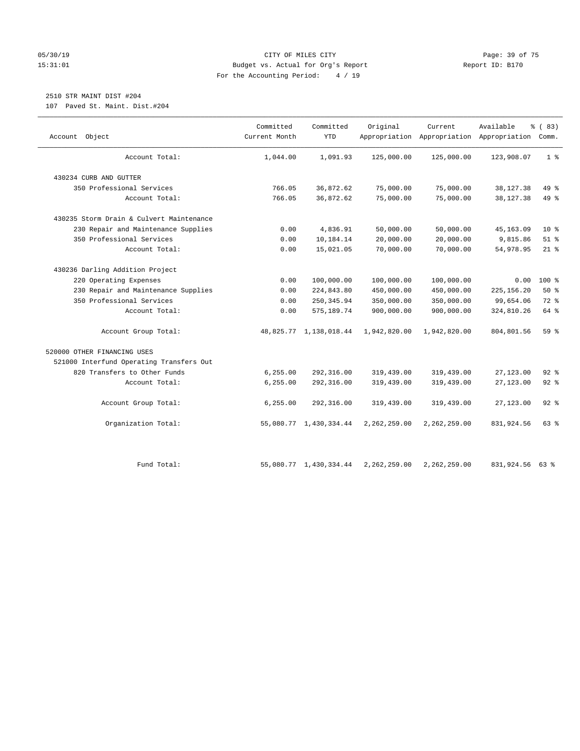#### 05/30/19 Page: 39 of 75 15:31:01 Budget vs. Actual for Org's Report Report ID: B170 For the Accounting Period: 4 / 19

# 2510 STR MAINT DIST #204

107 Paved St. Maint. Dist.#204

| Object<br>Account                        | Committed<br>Current Month | Committed<br><b>YTD</b> | Original     | Current      | Available<br>Appropriation Appropriation Appropriation Comm. | % (83)         |
|------------------------------------------|----------------------------|-------------------------|--------------|--------------|--------------------------------------------------------------|----------------|
| Account Total:                           | 1,044.00                   | 1,091.93                | 125,000.00   | 125,000.00   | 123,908.07                                                   | 1 <sup>°</sup> |
| 430234 CURB AND GUTTER                   |                            |                         |              |              |                                                              |                |
| 350 Professional Services                | 766.05                     | 36,872.62               | 75,000.00    | 75,000.00    | 38, 127. 38                                                  | 49 %           |
| Account Total:                           | 766.05                     | 36,872.62               | 75,000.00    | 75,000.00    | 38, 127. 38                                                  | 49 %           |
| 430235 Storm Drain & Culvert Maintenance |                            |                         |              |              |                                                              |                |
| 230 Repair and Maintenance Supplies      | 0.00                       | 4,836.91                | 50,000.00    | 50,000.00    | 45, 163.09                                                   | $10*$          |
| 350 Professional Services                | 0.00                       | 10,184.14               | 20,000.00    | 20,000.00    | 9,815.86                                                     | $51$ %         |
| Account Total:                           | 0.00                       | 15,021.05               | 70,000.00    | 70,000.00    | 54,978.95                                                    | $21$ %         |
| 430236 Darling Addition Project          |                            |                         |              |              |                                                              |                |
| 220 Operating Expenses                   | 0.00                       | 100,000.00              | 100,000.00   | 100,000.00   | 0.00                                                         | 100 %          |
| 230 Repair and Maintenance Supplies      | 0.00                       | 224,843.80              | 450,000.00   | 450,000.00   | 225, 156.20                                                  | 50%            |
| 350 Professional Services                | 0.00                       | 250, 345.94             | 350,000.00   | 350,000.00   | 99,654.06                                                    | 72 %           |
| Account Total:                           | 0.00                       | 575, 189.74             | 900,000.00   | 900,000.00   | 324,810.26                                                   | 64 %           |
| Account Group Total:                     |                            | 48,825.77 1,138,018.44  | 1,942,820.00 | 1,942,820.00 | 804,801.56                                                   | 59 %           |
| 520000 OTHER FINANCING USES              |                            |                         |              |              |                                                              |                |
| 521000 Interfund Operating Transfers Out |                            |                         |              |              |                                                              |                |
| 820 Transfers to Other Funds             | 6, 255.00                  | 292,316.00              | 319,439.00   | 319,439.00   | 27, 123.00                                                   | $92$ $%$       |
| Account Total:                           | 6, 255.00                  | 292,316.00              | 319,439.00   | 319,439.00   | 27, 123.00                                                   | $92$ $%$       |
| Account Group Total:                     | 6, 255.00                  | 292,316.00              | 319,439.00   | 319,439.00   | 27,123.00                                                    | $92$ $%$       |
| Organization Total:                      |                            | 55,080.77 1,430,334.44  | 2,262,259.00 | 2,262,259.00 | 831,924.56                                                   | 63 %           |
| Fund Total:                              |                            | 55,080.77 1,430,334.44  | 2,262,259.00 | 2,262,259.00 | 831,924.56 63 %                                              |                |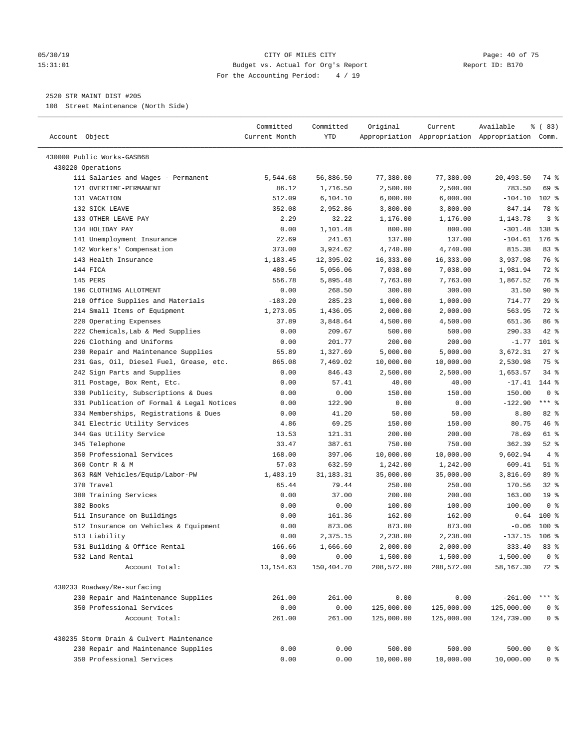#### 05/30/19 Page: 40 of 75 15:31:01 Budget vs. Actual for Org's Report Report ID: B170 For the Accounting Period: 4 / 19

————————————————————————————————————————————————————————————————————————————————————————————————————————————————————————————————————

#### 2520 STR MAINT DIST #205

108 Street Maintenance (North Side)

| Account Object                                             | Committed<br>Current Month | Committed<br>YTD | Original   | Current    | Available<br>Appropriation Appropriation Appropriation Comm. | % (83)          |
|------------------------------------------------------------|----------------------------|------------------|------------|------------|--------------------------------------------------------------|-----------------|
| 430000 Public Works-GASB68                                 |                            |                  |            |            |                                                              |                 |
| 430220 Operations                                          |                            |                  |            |            |                                                              |                 |
| 111 Salaries and Wages - Permanent                         | 5,544.68                   | 56,886.50        | 77,380.00  | 77,380.00  | 20,493.50                                                    | 74 %            |
| 121 OVERTIME-PERMANENT                                     | 86.12                      | 1,716.50         | 2,500.00   | 2,500.00   | 783.50                                                       | 69 %            |
| 131 VACATION                                               | 512.09                     | 6, 104.10        | 6,000.00   | 6,000.00   | $-104.10$                                                    | $102$ %         |
| 132 SICK LEAVE                                             | 352.08                     | 2,952.86         | 3,800.00   | 3,800.00   | 847.14                                                       | 78 %            |
| 133 OTHER LEAVE PAY                                        | 2.29                       | 32.22            | 1,176.00   | 1,176.00   | 1,143.78                                                     | 3 <sup>°</sup>  |
| 134 HOLIDAY PAY                                            | 0.00                       | 1,101.48         | 800.00     | 800.00     | $-301.48$                                                    | 138 %           |
| 141 Unemployment Insurance                                 | 22.69                      | 241.61           | 137.00     | 137.00     | $-104.61$                                                    | $176$ %         |
| 142 Workers' Compensation                                  | 373.00                     | 3,924.62         | 4,740.00   | 4,740.00   | 815.38                                                       | 83%             |
| 143 Health Insurance                                       | 1,183.45                   | 12,395.02        | 16, 333.00 | 16,333.00  | 3,937.98                                                     | 76 %            |
| 144 FICA                                                   | 480.56                     | 5,056.06         | 7,038.00   | 7,038.00   | 1,981.94                                                     | 72 %            |
| 145 PERS                                                   | 556.78                     | 5,895.48         | 7,763.00   | 7,763.00   | 1,867.52                                                     | 76 %            |
| 196 CLOTHING ALLOTMENT                                     | 0.00                       | 268.50           | 300.00     | 300.00     | 31.50                                                        | 90%             |
| 210 Office Supplies and Materials                          | $-183.20$                  | 285.23           | 1,000.00   | 1,000.00   | 714.77                                                       | 29%             |
| 214 Small Items of Equipment                               | 1,273.05                   | 1,436.05         | 2,000.00   | 2,000.00   | 563.95                                                       | 72 %            |
| 220 Operating Expenses                                     | 37.89                      | 3,848.64         | 4,500.00   | 4,500.00   | 651.36                                                       | 86 %            |
| 222 Chemicals, Lab & Med Supplies                          | 0.00                       | 209.67           | 500.00     | 500.00     | 290.33                                                       | 42 %            |
| 226 Clothing and Uniforms                                  | 0.00                       | 201.77           | 200.00     | 200.00     | $-1.77$                                                      | $101$ %         |
| 230 Repair and Maintenance Supplies                        | 55.89                      | 1,327.69         | 5,000.00   | 5,000.00   | 3,672.31                                                     | $27$ %          |
| 231 Gas, Oil, Diesel Fuel, Grease, etc.                    | 865.08                     | 7,469.02         | 10,000.00  | 10,000.00  | 2,530.98                                                     | 75 %            |
|                                                            |                            | 846.43           | 2,500.00   | 2,500.00   | 1,653.57                                                     | $34$ $%$        |
| 242 Sign Parts and Supplies<br>311 Postage, Box Rent, Etc. | 0.00                       |                  |            |            |                                                              | 144 %           |
|                                                            | 0.00                       | 57.41            | 40.00      | 40.00      | $-17.41$                                                     | 0 <sup>8</sup>  |
| 330 Publicity, Subscriptions & Dues                        | 0.00                       | 0.00             | 150.00     | 150.00     | 150.00                                                       | $***$ $%$       |
| 331 Publication of Formal & Legal Notices                  | 0.00                       | 122.90           | 0.00       | 0.00       | $-122.90$                                                    |                 |
| 334 Memberships, Registrations & Dues                      | 0.00                       | 41.20            | 50.00      | 50.00      | 8.80                                                         | 82 %            |
| 341 Electric Utility Services                              | 4.86                       | 69.25            | 150.00     | 150.00     | 80.75                                                        | 46 %            |
| 344 Gas Utility Service                                    | 13.53                      | 121.31           | 200.00     | 200.00     | 78.69                                                        | 61 %            |
| 345 Telephone                                              | 33.47                      | 387.61           | 750.00     | 750.00     | 362.39                                                       | $52$ $%$        |
| 350 Professional Services                                  | 168.00                     | 397.06           | 10,000.00  | 10,000.00  | 9,602.94                                                     | 4%              |
| 360 Contr R & M                                            | 57.03                      | 632.59           | 1,242.00   | 1,242.00   | 609.41                                                       | $51$ %          |
| 363 R&M Vehicles/Equip/Labor-PW                            | 1,483.19                   | 31, 183. 31      | 35,000.00  | 35,000.00  | 3,816.69                                                     | 89 %            |
| 370 Travel                                                 | 65.44                      | 79.44            | 250.00     | 250.00     | 170.56                                                       | $32$ $%$        |
| 380 Training Services                                      | 0.00                       | 37.00            | 200.00     | 200.00     | 163.00                                                       | 19 <sup>°</sup> |
| 382 Books                                                  | 0.00                       | 0.00             | 100.00     | 100.00     | 100.00                                                       | 0 <sup>8</sup>  |
| 511 Insurance on Buildings                                 | 0.00                       | 161.36           | 162.00     | 162.00     | 0.64                                                         | 100 %           |
| 512 Insurance on Vehicles & Equipment                      | 0.00                       | 873.06           | 873.00     | 873.00     | $-0.06$                                                      | $100*$          |
| 513 Liability                                              | 0.00                       | 2,375.15         | 2,238.00   | 2,238.00   | $-137.15$                                                    | $106$ %         |
| 531 Building & Office Rental                               | 166.66                     | 1,666.60         | 2,000.00   | 2,000.00   | 333.40                                                       | 83 %            |
| 532 Land Rental                                            | 0.00                       | 0.00             | 1,500.00   | 1,500.00   | 1,500.00                                                     | 0 <sup>8</sup>  |
| Account Total:                                             | 13, 154.63                 | 150,404.70       | 208,572.00 | 208,572.00 | 58,167.30                                                    | 72 %            |
| 430233 Roadway/Re-surfacing                                |                            |                  |            |            |                                                              |                 |
| 230 Repair and Maintenance Supplies                        | 261.00                     | 261.00           | 0.00       | 0.00       | $-261.00$                                                    | $***$ $%$       |
| 350 Professional Services                                  | 0.00                       | 0.00             | 125,000.00 | 125,000.00 | 125,000.00                                                   | 0 <sup>°</sup>  |
| Account Total:                                             | 261.00                     | 261.00           | 125,000.00 | 125,000.00 | 124,739.00                                                   | 0 <sup>°</sup>  |
| 430235 Storm Drain & Culvert Maintenance                   |                            |                  |            |            |                                                              |                 |
| 230 Repair and Maintenance Supplies                        | 0.00                       | 0.00             | 500.00     | 500.00     | 500.00                                                       | 0 <sup>8</sup>  |
| 350 Professional Services                                  | 0.00                       | 0.00             | 10,000.00  | 10,000.00  | 10,000.00                                                    | $0$ %           |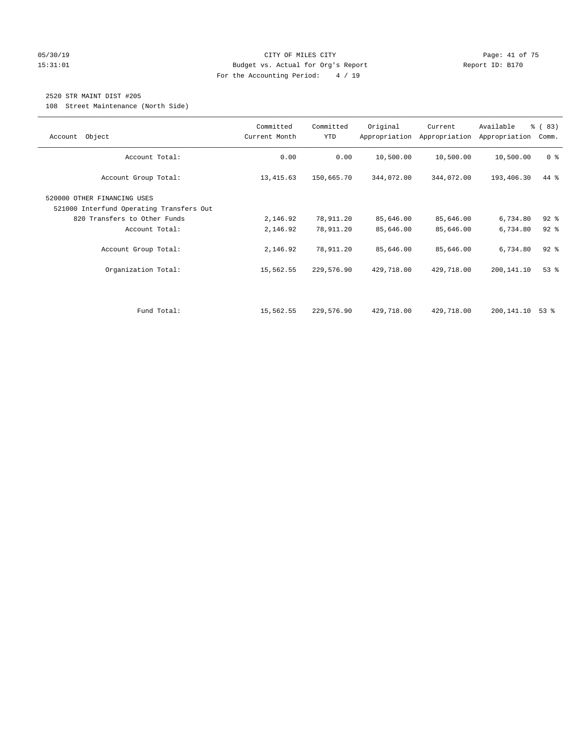#### 05/30/19 Page: 41 of 75 15:31:01 Budget vs. Actual for Org's Report Report ID: B170 For the Accounting Period: 4 / 19

### 2520 STR MAINT DIST #205

108 Street Maintenance (North Side)

| Object<br>Account                                                       | Committed<br>Current Month | Committed<br><b>YTD</b> | Original   | Current<br>Appropriation Appropriation | Available<br>Appropriation | % (83)<br>Comm. |
|-------------------------------------------------------------------------|----------------------------|-------------------------|------------|----------------------------------------|----------------------------|-----------------|
| Account Total:                                                          | 0.00                       | 0.00                    | 10,500.00  | 10,500.00                              | 10,500.00                  | 0 <sup>8</sup>  |
| Account Group Total:                                                    | 13, 415.63                 | 150,665.70              | 344,072.00 | 344,072.00                             | 193,406.30                 | 44 %            |
| 520000 OTHER FINANCING USES<br>521000 Interfund Operating Transfers Out |                            |                         |            |                                        |                            |                 |
| 820 Transfers to Other Funds                                            | 2,146.92                   | 78,911.20               | 85,646.00  | 85,646.00                              | 6,734.80                   | $92$ $%$        |
| Account Total:                                                          | 2,146.92                   | 78,911.20               | 85,646.00  | 85,646.00                              | 6,734.80                   | $92$ $%$        |
| Account Group Total:                                                    | 2,146.92                   | 78,911.20               | 85,646.00  | 85,646.00                              | 6,734.80                   | $92$ $%$        |
| Organization Total:                                                     | 15,562.55                  | 229,576.90              | 429,718.00 | 429,718.00                             | 200,141.10                 | 53%             |
|                                                                         |                            |                         |            |                                        |                            |                 |
| Fund Total:                                                             | 15,562.55                  | 229,576.90              | 429,718.00 | 429,718.00                             | 200,141.10                 | 53 %            |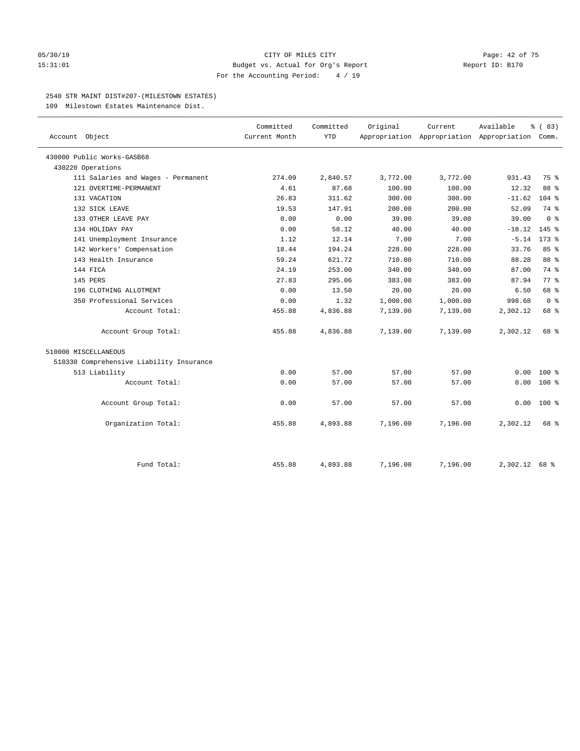#### 05/30/19 CITY OF MILES CITY Page: 42 of 75 15:31:01 Budget vs. Actual for Org's Report Report ID: B170 For the Accounting Period: 4 / 19

#### 2540 STR MAINT DIST#207-(MILESTOWN ESTATES)

109 Milestown Estates Maintenance Dist.

| Account Object                           | Committed<br>Current Month | Committed<br>YTD | Original | Current  | Available<br>Appropriation Appropriation Appropriation Comm. | % (83)         |
|------------------------------------------|----------------------------|------------------|----------|----------|--------------------------------------------------------------|----------------|
| 430000 Public Works-GASB68               |                            |                  |          |          |                                                              |                |
| 430220 Operations                        |                            |                  |          |          |                                                              |                |
| 111 Salaries and Wages - Permanent       | 274.09                     | 2,840.57         | 3,772.00 | 3,772.00 | 931.43                                                       | 75 %           |
| 121 OVERTIME-PERMANENT                   | 4.61                       | 87.68            | 100.00   | 100.00   | 12.32                                                        | 88 %           |
| 131 VACATION                             | 26.83                      | 311.62           | 300.00   | 300.00   | $-11.62$                                                     | $104$ %        |
| 132 SICK LEAVE                           | 19.53                      | 147.91           | 200.00   | 200.00   | 52.09                                                        | 74 %           |
| 133 OTHER LEAVE PAY                      | 0.00                       | 0.00             | 39.00    | 39.00    | 39.00                                                        | 0 <sup>8</sup> |
| 134 HOLIDAY PAY                          | 0.00                       | 58.12            | 40.00    | 40.00    | $-18.12$                                                     | 145 %          |
| 141 Unemployment Insurance               | 1.12                       | 12.14            | 7.00     | 7.00     | $-5.14$                                                      | $173$ %        |
| 142 Workers' Compensation                | 18.44                      | 194.24           | 228.00   | 228.00   | 33.76                                                        | 85%            |
| 143 Health Insurance                     | 59.24                      | 621.72           | 710.00   | 710.00   | 88.28                                                        | 88 %           |
| 144 FICA                                 | 24.19                      | 253.00           | 340.00   | 340.00   | 87.00                                                        | 74 %           |
| 145 PERS                                 | 27.83                      | 295.06           | 383.00   | 383.00   | 87.94                                                        | 77 %           |
| 196 CLOTHING ALLOTMENT                   | 0.00                       | 13.50            | 20.00    | 20.00    | 6.50                                                         | 68 %           |
| 350 Professional Services                | 0.00                       | 1.32             | 1,000.00 | 1,000.00 | 998.68                                                       | 0 <sup>8</sup> |
| Account Total:                           | 455.88                     | 4,836.88         | 7,139.00 | 7,139.00 | 2,302.12                                                     | 68 %           |
| Account Group Total:                     | 455.88                     | 4,836.88         | 7,139.00 | 7,139.00 | 2,302.12                                                     | 68 %           |
| 510000 MISCELLANEOUS                     |                            |                  |          |          |                                                              |                |
| 510330 Comprehensive Liability Insurance |                            |                  |          |          |                                                              |                |
| 513 Liability                            | 0.00                       | 57.00            | 57.00    | 57.00    | 0.00                                                         | $100*$         |
| Account Total:                           | 0.00                       | 57.00            | 57.00    | 57.00    | 0.00                                                         | 100 %          |
| Account Group Total:                     | 0.00                       | 57.00            | 57.00    | 57.00    | 0.00                                                         | $100*$         |
| Organization Total:                      | 455.88                     | 4,893.88         | 7,196.00 | 7,196.00 | 2,302.12                                                     | 68 %           |
| Fund Total:                              | 455.88                     | 4,893.88         | 7.196.00 | 7,196.00 | $2.302.12$ 68 %                                              |                |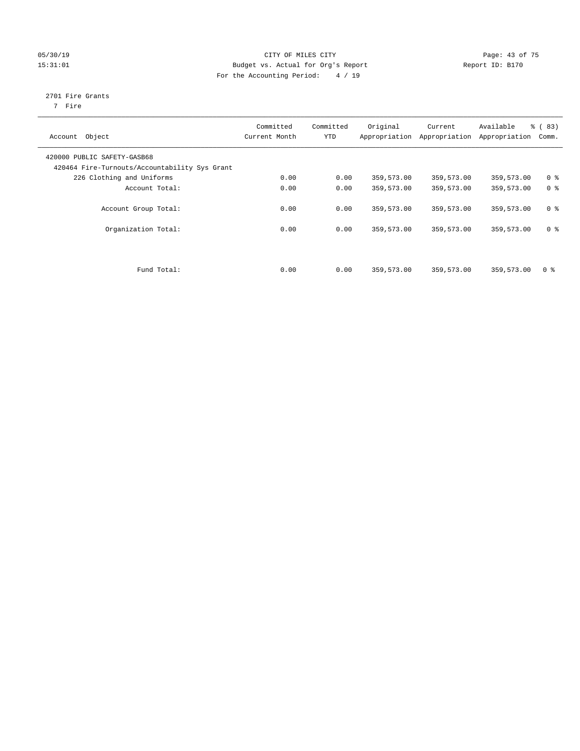#### 05/30/19 Page: 43 of 75 15:31:01 Budget vs. Actual for Org's Report Changer Report ID: B170 For the Accounting Period: 4 / 19

## 2701 Fire Grants

7 Fire

| Object<br>Account                             | Committed<br>Current Month | Committed<br><b>YTD</b> | Original<br>Appropriation | Current<br>Appropriation | Available<br>Appropriation | % (83)<br>Comm. |
|-----------------------------------------------|----------------------------|-------------------------|---------------------------|--------------------------|----------------------------|-----------------|
|                                               |                            |                         |                           |                          |                            |                 |
| 420000 PUBLIC SAFETY-GASB68                   |                            |                         |                           |                          |                            |                 |
| 420464 Fire-Turnouts/Accountability Sys Grant |                            |                         |                           |                          |                            |                 |
| 226 Clothing and Uniforms                     | 0.00                       | 0.00                    | 359,573.00                | 359,573.00               | 359,573.00                 | 0 <sup>8</sup>  |
| Account Total:                                | 0.00                       | 0.00                    | 359,573.00                | 359,573.00               | 359,573.00                 | 0 <sup>8</sup>  |
|                                               |                            |                         |                           |                          |                            |                 |
| Account Group Total:                          | 0.00                       | 0.00                    | 359,573.00                | 359,573.00               | 359,573.00                 | 0 <sup>8</sup>  |
|                                               |                            |                         |                           |                          |                            |                 |
| Organization Total:                           | 0.00                       | 0.00                    | 359,573.00                | 359,573.00               | 359,573.00                 | 0 <sup>8</sup>  |
|                                               |                            |                         |                           |                          |                            |                 |
|                                               |                            |                         |                           |                          |                            |                 |
|                                               |                            |                         |                           |                          |                            |                 |
| Fund Total:                                   | 0.00                       | 0.00                    | 359,573.00                | 359,573.00               | 359,573.00                 | 0 <sup>8</sup>  |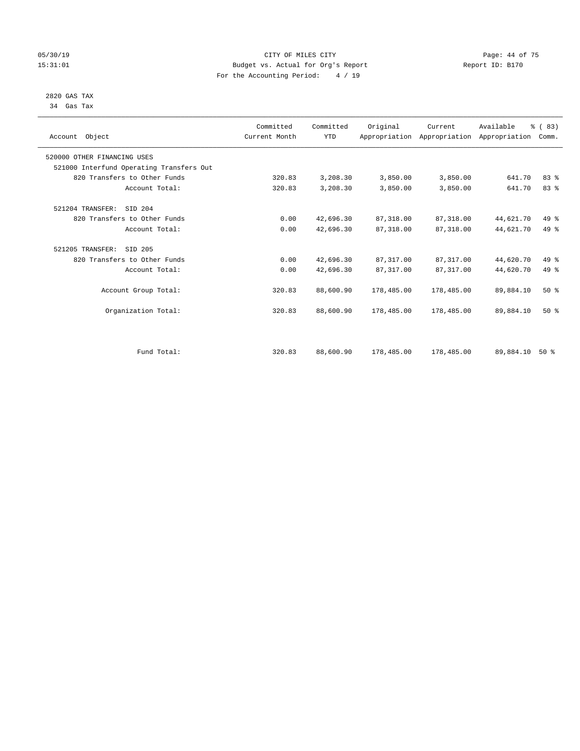#### 05/30/19 Page: 44 of 75 15:31:01 Budget vs. Actual for Org's Report Report ID: B170 For the Accounting Period: 4 / 19

#### 2820 GAS TAX 34 Gas Tax

| Account Object                           |                | Committed<br>Current Month | Committed<br><b>YTD</b> | Original   | Current<br>Appropriation Appropriation Appropriation | Available | % (83)<br>Comm. |  |
|------------------------------------------|----------------|----------------------------|-------------------------|------------|------------------------------------------------------|-----------|-----------------|--|
| 520000 OTHER FINANCING USES              |                |                            |                         |            |                                                      |           |                 |  |
| 521000 Interfund Operating Transfers Out |                |                            |                         |            |                                                      |           |                 |  |
| 820 Transfers to Other Funds             |                | 320.83                     | 3,208.30                | 3,850.00   | 3,850.00                                             | 641.70    | 83%             |  |
|                                          | Account Total: | 320.83                     | 3,208.30                | 3,850.00   | 3,850.00                                             | 641.70    | 83 %            |  |
| 521204 TRANSFER:<br>SID 204              |                |                            |                         |            |                                                      |           |                 |  |
| 820 Transfers to Other Funds             |                | 0.00                       | 42,696.30               | 87, 318.00 | 87,318.00                                            | 44,621.70 | $49*$           |  |
|                                          | Account Total: | 0.00                       | 42,696.30               | 87, 318.00 | 87,318.00                                            | 44,621.70 | 49 %            |  |
| 521205 TRANSFER:<br>SID 205              |                |                            |                         |            |                                                      |           |                 |  |
| 820 Transfers to Other Funds             |                | 0.00                       | 42,696.30               | 87, 317.00 | 87, 317.00                                           | 44,620.70 | 49 %            |  |
|                                          | Account Total: | 0.00                       | 42,696.30               | 87, 317.00 | 87,317.00                                            | 44,620.70 | $49*$           |  |
| Account Group Total:                     |                | 320.83                     | 88,600.90               | 178,485.00 | 178,485.00                                           | 89,884.10 | $50*$           |  |
| Organization Total:                      |                | 320.83                     | 88,600.90               | 178,485.00 | 178,485.00                                           | 89,884.10 | $50*$           |  |
|                                          |                |                            |                         |            |                                                      |           |                 |  |
|                                          | Fund Total:    | 320.83                     | 88,600.90               | 178,485.00 | 178,485.00                                           | 89,884.10 | $50*$           |  |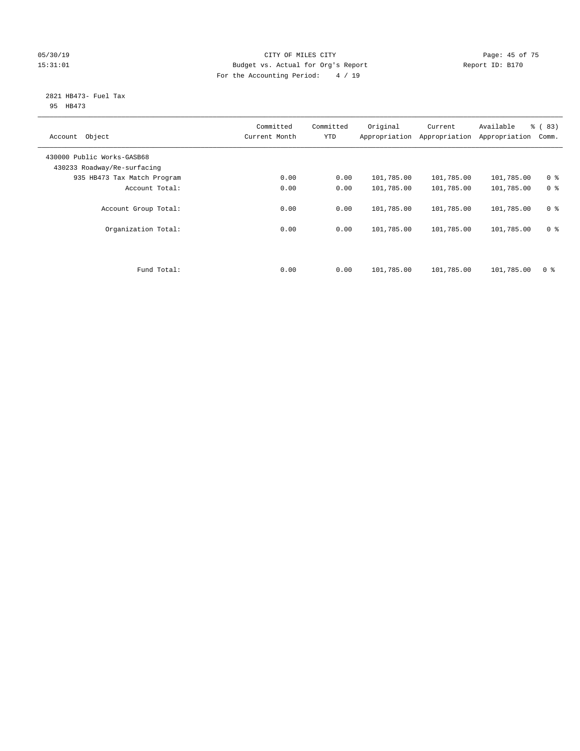#### 05/30/19 Page: 45 of 75 15:31:01 Budget vs. Actual for Org's Report Changer Report ID: B170 For the Accounting Period: 4 / 19

#### 2821 HB473- Fuel Tax 95 HB473

| Object<br>Account                                         | Committed<br>Current Month | Committed<br><b>YTD</b> | Original<br>Appropriation | Current<br>Appropriation | Available<br>Appropriation | % (83)<br>Comm. |
|-----------------------------------------------------------|----------------------------|-------------------------|---------------------------|--------------------------|----------------------------|-----------------|
| 430000 Public Works-GASB68<br>430233 Roadway/Re-surfacing |                            |                         |                           |                          |                            |                 |
| 935 HB473 Tax Match Program                               | 0.00                       | 0.00                    | 101,785.00                | 101,785.00               | 101,785.00                 | 0 <sup>8</sup>  |
| Account Total:                                            | 0.00                       | 0.00                    | 101,785.00                | 101,785.00               | 101,785.00                 | 0 <sup>8</sup>  |
| Account Group Total:                                      | 0.00                       | 0.00                    | 101,785.00                | 101,785.00               | 101,785.00                 | 0 <sup>8</sup>  |
| Organization Total:                                       | 0.00                       | 0.00                    | 101,785.00                | 101,785.00               | 101,785.00                 | 0 <sup>8</sup>  |
|                                                           |                            |                         |                           |                          |                            |                 |
| Fund Total:                                               | 0.00                       | 0.00                    | 101,785.00                | 101,785.00               | 101,785.00                 | 0 %             |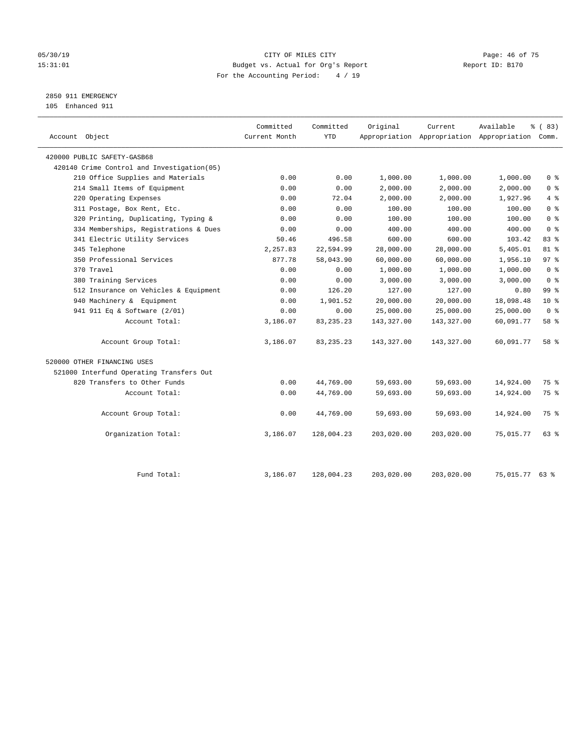#### 05/30/19 Page: 46 of 75 15:31:01 Budget vs. Actual for Org's Report Report ID: B170 For the Accounting Period: 4 / 19

## 2850 911 EMERGENCY

105 Enhanced 911

| Account Object                             | Committed<br>Current Month | Committed<br><b>YTD</b> | Original   | Current    | Available<br>Appropriation Appropriation Appropriation Comm. | 8 ( 83)         |
|--------------------------------------------|----------------------------|-------------------------|------------|------------|--------------------------------------------------------------|-----------------|
| 420000 PUBLIC SAFETY-GASB68                |                            |                         |            |            |                                                              |                 |
| 420140 Crime Control and Investigation(05) |                            |                         |            |            |                                                              |                 |
| 210 Office Supplies and Materials          | 0.00                       | 0.00                    | 1,000.00   | 1,000.00   | 1,000.00                                                     | 0 <sup>8</sup>  |
| 214 Small Items of Equipment               | 0.00                       | 0.00                    | 2,000.00   | 2,000.00   | 2,000.00                                                     | 0 <sup>8</sup>  |
| 220 Operating Expenses                     | 0.00                       | 72.04                   | 2,000.00   | 2,000.00   | 1,927.96                                                     | 4%              |
| 311 Postage, Box Rent, Etc.                | 0.00                       | 0.00                    | 100.00     | 100.00     | 100.00                                                       | 0 <sup>°</sup>  |
| 320 Printing, Duplicating, Typing &        | 0.00                       | 0.00                    | 100.00     | 100.00     | 100.00                                                       | 0 <sup>8</sup>  |
| 334 Memberships, Registrations & Dues      | 0.00                       | 0.00                    | 400.00     | 400.00     | 400.00                                                       | 0 <sup>8</sup>  |
| 341 Electric Utility Services              | 50.46                      | 496.58                  | 600.00     | 600.00     | 103.42                                                       | 83 %            |
| 345 Telephone                              | 2,257.83                   | 22,594.99               | 28,000.00  | 28,000.00  | 5,405.01                                                     | $81 - 8$        |
| 350 Professional Services                  | 877.78                     | 58,043.90               | 60,000.00  | 60,000.00  | 1,956.10                                                     | 97%             |
| 370 Travel                                 | 0.00                       | 0.00                    | 1,000.00   | 1,000.00   | 1,000.00                                                     | 0 <sup>8</sup>  |
| 380 Training Services                      | 0.00                       | 0.00                    | 3,000.00   | 3,000.00   | 3,000.00                                                     | 0 <sup>8</sup>  |
| 512 Insurance on Vehicles & Equipment      | 0.00                       | 126.20                  | 127.00     | 127.00     | 0.80                                                         | 99 <sub>8</sub> |
| 940 Machinery & Equipment                  | 0.00                       | 1,901.52                | 20,000.00  | 20,000.00  | 18,098.48                                                    | $10*$           |
| 941 911 Eq & Software (2/01)               | 0.00                       | 0.00                    | 25,000.00  | 25,000.00  | 25,000.00                                                    | 0 <sup>8</sup>  |
| Account Total:                             | 3,186.07                   | 83, 235. 23             | 143,327.00 | 143,327.00 | 60,091.77                                                    | 58 %            |
| Account Group Total:                       | 3,186.07                   | 83, 235. 23             | 143,327.00 | 143,327.00 | 60,091.77                                                    | 58 %            |
| 520000 OTHER FINANCING USES                |                            |                         |            |            |                                                              |                 |
| 521000 Interfund Operating Transfers Out   |                            |                         |            |            |                                                              |                 |
| 820 Transfers to Other Funds               | 0.00                       | 44,769.00               | 59,693.00  | 59,693.00  | 14,924.00                                                    | 75 %            |
| Account Total:                             | 0.00                       | 44,769.00               | 59,693.00  | 59,693.00  | 14,924.00                                                    | 75 %            |
| Account Group Total:                       | 0.00                       | 44,769.00               | 59,693.00  | 59,693.00  | 14,924.00                                                    | 75 %            |
| Organization Total:                        | 3,186.07                   | 128,004.23              | 203,020.00 | 203,020.00 | 75,015.77                                                    | 63 %            |
| Fund Total:                                | 3,186.07                   | 128,004.23              | 203,020.00 | 203,020.00 | 75,015.77 63 %                                               |                 |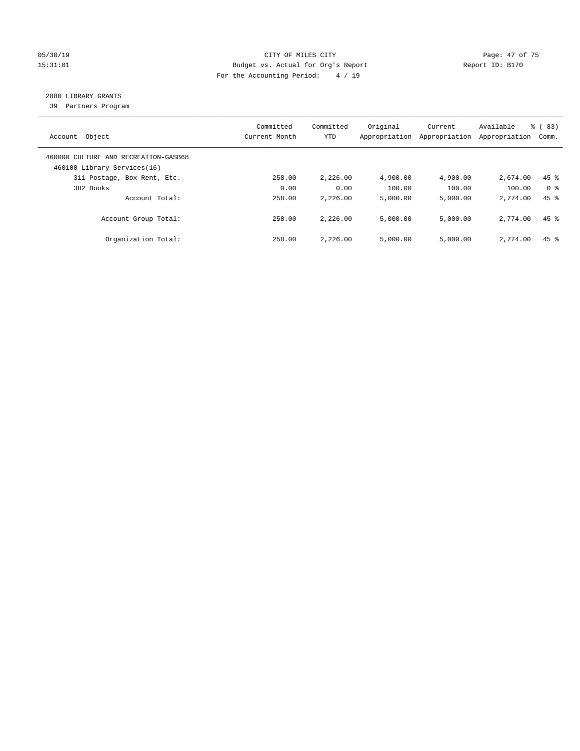#### 05/30/19 Page: 47 of 75 15:31:01 Budget vs. Actual for Org's Report Changer Report ID: B170 For the Accounting Period: 4 / 19

## 2880 LIBRARY GRANTS

39 Partners Program

| Account Object                                                      | Committed<br>Current Month | Committed<br><b>YTD</b> | Original<br>Appropriation | Current<br>Appropriation | Available<br>Appropriation | % (83)<br>Comm.    |
|---------------------------------------------------------------------|----------------------------|-------------------------|---------------------------|--------------------------|----------------------------|--------------------|
| 460000 CULTURE AND RECREATION-GASB68<br>460100 Library Services(16) |                            |                         |                           |                          |                            |                    |
| 311 Postage, Box Rent, Etc.                                         | 258.00                     | 2,226.00                | 4,900.00                  | 4,900.00                 | 2,674.00                   | $45$ %             |
| 382 Books                                                           | 0.00                       | 0.00                    | 100.00                    | 100.00                   | 100.00                     | 0 <sup>8</sup>     |
| Account Total:                                                      | 258.00                     | 2,226.00                | 5,000.00                  | 5,000.00                 | 2,774.00                   | $45$ $%$           |
| Account Group Total:                                                | 258.00                     | 2,226.00                | 5,000.00                  | 5,000.00                 | 2,774.00                   | $45$ $%$           |
| Organization Total:                                                 | 258.00                     | 2,226.00                | 5.000.00                  | 5,000.00                 | 2,774.00                   | $45$ $\frac{6}{3}$ |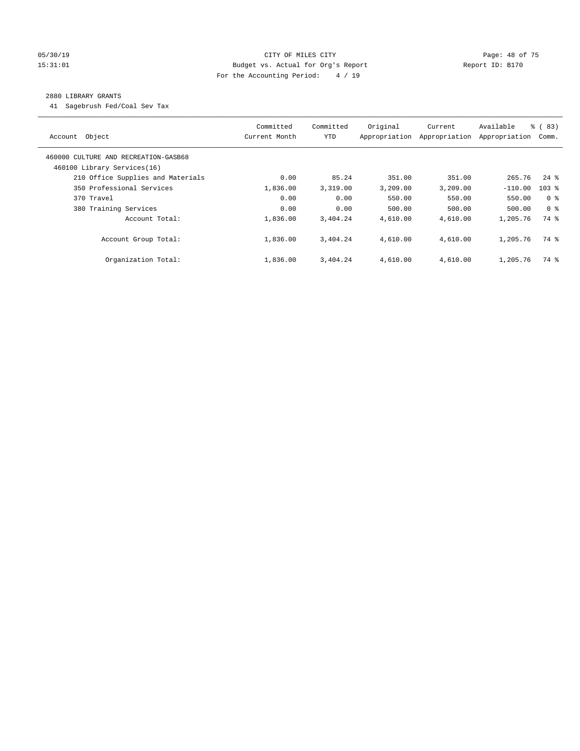#### 05/30/19 Page: 48 of 75 15:31:01 Budget vs. Actual for Org's Report Report ID: B170 For the Accounting Period: 4 / 19

#### 2880 LIBRARY GRANTS

41 Sagebrush Fed/Coal Sev Tax

| Account Object                                                      | Committed<br>Current Month | Committed<br><b>YTD</b> | Original<br>Appropriation | Current<br>Appropriation | Available<br>Appropriation | % (83)<br>Comm.    |
|---------------------------------------------------------------------|----------------------------|-------------------------|---------------------------|--------------------------|----------------------------|--------------------|
| 460000 CULTURE AND RECREATION-GASB68<br>460100 Library Services(16) |                            |                         |                           |                          |                            |                    |
| 210 Office Supplies and Materials                                   | 0.00                       | 85.24                   | 351.00                    | 351.00                   | 265.76                     | $24$ $\frac{6}{3}$ |
| 350 Professional Services                                           | 1,836.00                   | 3,319.00                | 3,209.00                  | 3,209.00                 | $-110.00$                  | $103$ %            |
| 370 Travel                                                          | 0.00                       | 0.00                    | 550.00                    | 550.00                   | 550.00                     | 0 <sup>8</sup>     |
| 380 Training Services                                               | 0.00                       | 0.00                    | 500.00                    | 500.00                   | 500.00                     | 0 <sup>8</sup>     |
| Account Total:                                                      | 1,836.00                   | 3,404.24                | 4,610.00                  | 4,610.00                 | 1,205.76                   | 74 %               |
| Account Group Total:                                                | 1,836.00                   | 3,404.24                | 4,610.00                  | 4,610.00                 | 1,205.76                   | 74 %               |
| Organization Total:                                                 | 1,836.00                   | 3,404.24                | 4,610.00                  | 4,610.00                 | 1,205.76                   | 74 %               |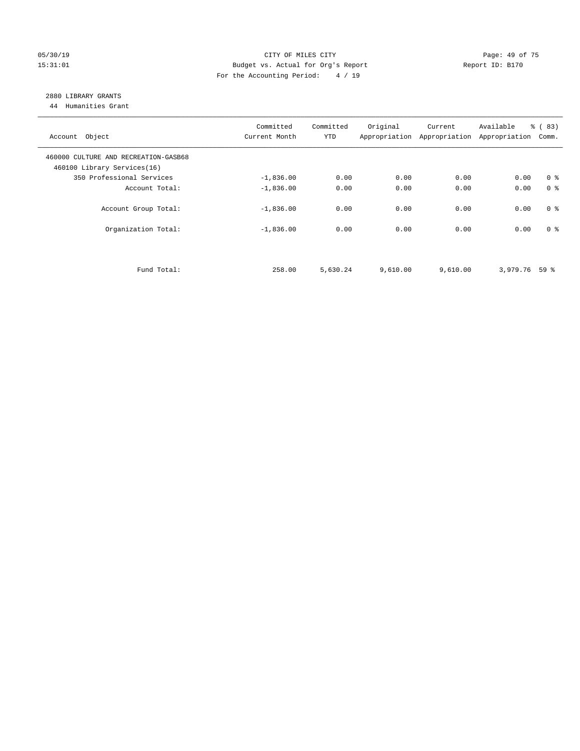#### 05/30/19 Page: 49 of 75 15:31:01 Budget vs. Actual for Org's Report Changer Report ID: B170 For the Accounting Period: 4 / 19

## 2880 LIBRARY GRANTS

44 Humanities Grant

| Account Object                                                      | Committed<br>Current Month | Committed<br><b>YTD</b> | Original | Current<br>Appropriation Appropriation Appropriation | Available       | % (83)<br>Comm. |
|---------------------------------------------------------------------|----------------------------|-------------------------|----------|------------------------------------------------------|-----------------|-----------------|
| 460000 CULTURE AND RECREATION-GASB68<br>460100 Library Services(16) |                            |                         |          |                                                      |                 |                 |
| 350 Professional Services                                           | $-1,836.00$                | 0.00                    | 0.00     | 0.00                                                 | 0.00            | 0 <sup>8</sup>  |
| Account Total:                                                      | $-1,836.00$                | 0.00                    | 0.00     | 0.00                                                 | 0.00            | 0 <sup>8</sup>  |
| Account Group Total:                                                | $-1,836.00$                | 0.00                    | 0.00     | 0.00                                                 | 0.00            | 0 <sup>8</sup>  |
| Organization Total:                                                 | $-1,836.00$                | 0.00                    | 0.00     | 0.00                                                 | 0.00            | 0 <sup>8</sup>  |
| Fund Total:                                                         | 258.00                     | 5,630.24                | 9,610.00 | 9,610.00                                             | $3,979.76$ 59 % |                 |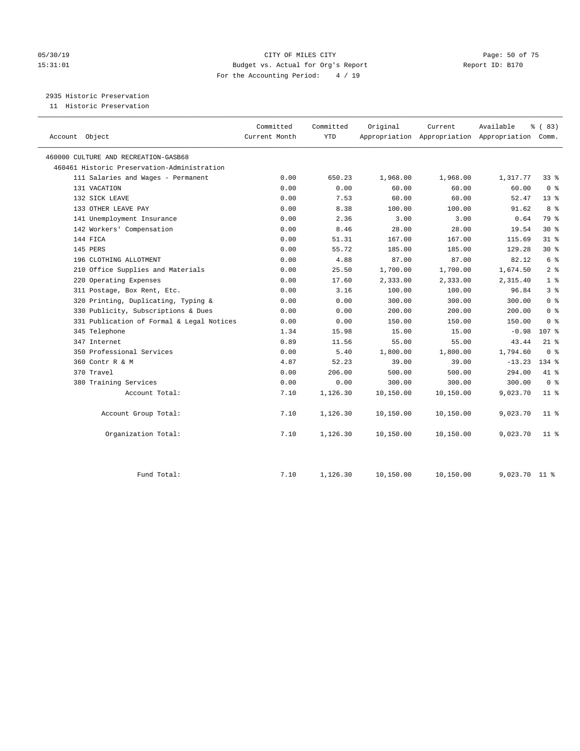#### 05/30/19 Page: 50 of 75 15:31:01 Budget vs. Actual for Org's Report Report ID: B170 For the Accounting Period: 4 / 19

2935 Historic Preservation

11 Historic Preservation

| Account Object                              | Committed<br>Current Month | Committed<br><b>YTD</b> | Original  | Current   | Available<br>Appropriation Appropriation Appropriation Comm. | % (83)          |  |
|---------------------------------------------|----------------------------|-------------------------|-----------|-----------|--------------------------------------------------------------|-----------------|--|
|                                             |                            |                         |           |           |                                                              |                 |  |
| 460000 CULTURE AND RECREATION-GASB68        |                            |                         |           |           |                                                              |                 |  |
| 460461 Historic Preservation-Administration |                            |                         |           |           |                                                              |                 |  |
| 111 Salaries and Wages - Permanent          | 0.00                       | 650.23                  | 1,968.00  | 1,968.00  | 1,317.77                                                     | 33 %            |  |
| 131 VACATION                                | 0.00                       | 0.00                    | 60.00     | 60.00     | 60.00                                                        | 0 <sup>8</sup>  |  |
| 132 SICK LEAVE                              | 0.00                       | 7.53                    | 60.00     | 60.00     | 52.47                                                        | 13 <sup>8</sup> |  |
| 133 OTHER LEAVE PAY                         | 0.00                       | 8.38                    | 100.00    | 100.00    | 91.62                                                        | 8%              |  |
| 141 Unemployment Insurance                  | 0.00                       | 2.36                    | 3.00      | 3.00      | 0.64                                                         | 79 %            |  |
| 142 Workers' Compensation                   | 0.00                       | 8.46                    | 28.00     | 28.00     | 19.54                                                        | $30*$           |  |
| 144 FICA                                    | 0.00                       | 51.31                   | 167.00    | 167.00    | 115.69                                                       | $31$ %          |  |
| 145 PERS                                    | 0.00                       | 55.72                   | 185.00    | 185.00    | 129.28                                                       | $30*$           |  |
| 196 CLOTHING ALLOTMENT                      | 0.00                       | 4.88                    | 87.00     | 87.00     | 82.12                                                        | 6 <sup>°</sup>  |  |
| 210 Office Supplies and Materials           | 0.00                       | 25.50                   | 1,700.00  | 1,700.00  | 1,674.50                                                     | 2 <sup>8</sup>  |  |
| 220 Operating Expenses                      | 0.00                       | 17.60                   | 2,333.00  | 2,333.00  | 2,315.40                                                     | 1 <sup>8</sup>  |  |
| 311 Postage, Box Rent, Etc.                 | 0.00                       | 3.16                    | 100.00    | 100.00    | 96.84                                                        | 3 <sup>8</sup>  |  |
| 320 Printing, Duplicating, Typing &         | 0.00                       | 0.00                    | 300.00    | 300.00    | 300.00                                                       | 0 <sup>8</sup>  |  |
| 330 Publicity, Subscriptions & Dues         | 0.00                       | 0.00                    | 200.00    | 200.00    | 200.00                                                       | 0 <sup>8</sup>  |  |
| 331 Publication of Formal & Legal Notices   | 0.00                       | 0.00                    | 150.00    | 150.00    | 150.00                                                       | 0 <sup>8</sup>  |  |
| 345 Telephone                               | 1.34                       | 15.98                   | 15.00     | 15.00     | $-0.98$                                                      | 107 %           |  |
| 347 Internet                                | 0.89                       | 11.56                   | 55.00     | 55.00     | 43.44                                                        | $21$ %          |  |
| 350 Professional Services                   | 0.00                       | 5.40                    | 1,800.00  | 1,800.00  | 1,794.60                                                     | 0 <sup>8</sup>  |  |
| 360 Contr R & M                             | 4.87                       | 52.23                   | 39.00     | 39.00     | $-13.23$                                                     | $134$ %         |  |
| 370 Travel                                  | 0.00                       | 206.00                  | 500.00    | 500.00    | 294.00                                                       | 41 %            |  |
| 380 Training Services                       | 0.00                       | 0.00                    | 300.00    | 300.00    | 300.00                                                       | 0 <sup>8</sup>  |  |
| Account Total:                              | 7.10                       | 1,126.30                | 10,150.00 | 10,150.00 | 9,023.70                                                     | $11$ %          |  |
| Account Group Total:                        | 7.10                       | 1,126.30                | 10,150.00 | 10,150.00 | 9,023.70                                                     | $11$ %          |  |
| Organization Total:                         | 7.10                       | 1,126.30                | 10,150.00 | 10,150.00 | 9,023.70                                                     | $11$ %          |  |
| Fund Total:                                 | 7.10                       | 1,126.30                | 10,150.00 | 10,150.00 | 9,023.70                                                     | 11 <sup>8</sup> |  |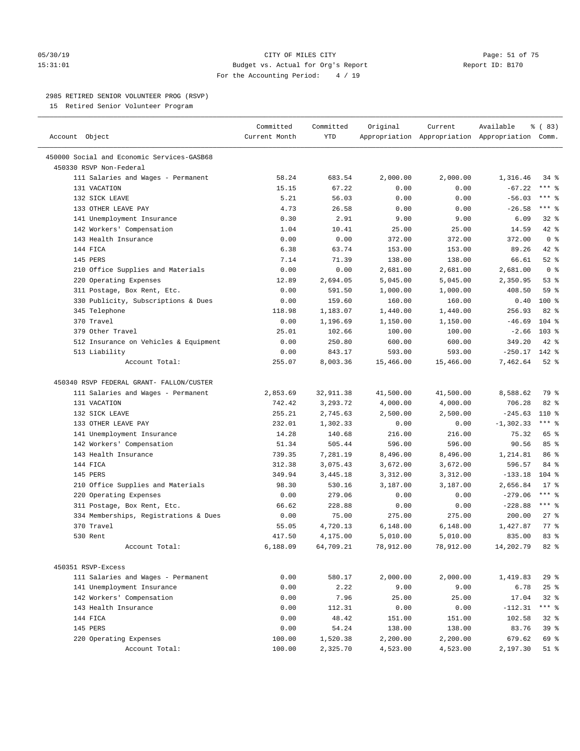#### 05/30/19 CITY OF MILES CITY Page: 51 of 75 15:31:01 Budget vs. Actual for Org's Report Report ID: B170 For the Accounting Period: 4 / 19

————————————————————————————————————————————————————————————————————————————————————————————————————————————————————————————————————

#### 2985 RETIRED SENIOR VOLUNTEER PROG (RSVP)

15 Retired Senior Volunteer Program

|                                            | Committed<br>Current Month | Committed<br>YTD | Original  | Current   | Available                                       | % (83)           |  |
|--------------------------------------------|----------------------------|------------------|-----------|-----------|-------------------------------------------------|------------------|--|
| Account Object                             |                            |                  |           |           | Appropriation Appropriation Appropriation Comm. |                  |  |
| 450000 Social and Economic Services-GASB68 |                            |                  |           |           |                                                 |                  |  |
| 450330 RSVP Non-Federal                    |                            |                  |           |           |                                                 |                  |  |
| 111 Salaries and Wages - Permanent         | 58.24                      | 683.54           | 2,000.00  | 2,000.00  | 1,316.46                                        | 34 %             |  |
| 131 VACATION                               | 15.15                      | 67.22            | 0.00      | 0.00      | $-67.22$                                        | $***$ $-$        |  |
| 132 SICK LEAVE                             | 5.21                       | 56.03            | 0.00      | 0.00      | $-56.03$                                        | $***$ $-$        |  |
| 133 OTHER LEAVE PAY                        | 4.73                       | 26.58            | 0.00      | 0.00      | $-26.58$                                        | $***$ $%$        |  |
| 141 Unemployment Insurance                 | 0.30                       | 2.91             | 9.00      | 9.00      | 6.09                                            | $32$ $%$         |  |
| 142 Workers' Compensation                  | 1.04                       | 10.41            | 25.00     | 25.00     | 14.59                                           | $42$ %           |  |
| 143 Health Insurance                       | 0.00                       | 0.00             | 372.00    | 372.00    | 372.00                                          | 0 <sup>8</sup>   |  |
| 144 FICA                                   | 6.38                       | 63.74            | 153.00    | 153.00    | 89.26                                           | 42 %             |  |
| 145 PERS                                   | 7.14                       | 71.39            | 138.00    | 138.00    | 66.61                                           | $52$ $%$         |  |
| 210 Office Supplies and Materials          | 0.00                       | 0.00             | 2,681.00  | 2,681.00  | 2,681.00                                        | 0 <sup>8</sup>   |  |
| 220 Operating Expenses                     | 12.89                      | 2,694.05         | 5,045.00  | 5,045.00  | 2,350.95                                        | 53%              |  |
| 311 Postage, Box Rent, Etc.                | 0.00                       | 591.50           | 1,000.00  | 1,000.00  | 408.50                                          | 59 %             |  |
| 330 Publicity, Subscriptions & Dues        | 0.00                       | 159.60           | 160.00    | 160.00    | 0.40                                            | $100*$           |  |
| 345 Telephone                              | 118.98                     | 1,183.07         | 1,440.00  | 1,440.00  | 256.93                                          | $82$ $%$         |  |
| 370 Travel                                 | 0.00                       | 1,196.69         | 1,150.00  | 1,150.00  | $-46.69$                                        | $104$ %          |  |
| 379 Other Travel                           | 25.01                      | 102.66           | 100.00    | 100.00    | $-2.66$                                         | 103 <sub>8</sub> |  |
| 512 Insurance on Vehicles & Equipment      | 0.00                       | 250.80           | 600.00    | 600.00    | 349.20                                          | $42$ %           |  |
| 513 Liability                              | 0.00                       | 843.17           | 593.00    | 593.00    | $-250.17$                                       | 142 %            |  |
| Account Total:                             | 255.07                     | 8,003.36         | 15,466.00 | 15,466.00 | 7,462.64                                        | $52$ $%$         |  |
|                                            |                            |                  |           |           |                                                 |                  |  |
| 450340 RSVP FEDERAL GRANT- FALLON/CUSTER   |                            |                  |           |           |                                                 |                  |  |
| 111 Salaries and Wages - Permanent         | 2,853.69                   | 32, 911.38       | 41,500.00 | 41,500.00 | 8,588.62                                        | 79 %             |  |
| 131 VACATION                               | 742.42                     | 3,293.72         | 4,000.00  | 4,000.00  | 706.28                                          | $82$ $%$         |  |
| 132 SICK LEAVE                             | 255.21                     | 2,745.63         | 2,500.00  | 2,500.00  | $-245.63$                                       | 110 %            |  |
| 133 OTHER LEAVE PAY                        | 232.01                     | 1,302.33         | 0.00      | 0.00      | $-1, 302.33$                                    | *** 응            |  |
| 141 Unemployment Insurance                 | 14.28                      | 140.68           | 216.00    | 216.00    | 75.32                                           | 65 %             |  |
| 142 Workers' Compensation                  | 51.34                      | 505.44           | 596.00    | 596.00    | 90.56                                           | 85%              |  |
| 143 Health Insurance                       | 739.35                     | 7,281.19         | 8,496.00  | 8,496.00  | 1,214.81                                        | 86 %             |  |
| 144 FICA                                   | 312.38                     | 3,075.43         | 3,672.00  | 3,672.00  | 596.57                                          | 84 %             |  |
| 145 PERS                                   | 349.94                     | 3,445.18         | 3,312.00  | 3,312.00  | $-133.18$                                       | $104$ %          |  |
| 210 Office Supplies and Materials          | 98.30                      | 530.16           | 3,187.00  | 3,187.00  | 2,656.84                                        | $17*$            |  |
| 220 Operating Expenses                     | 0.00                       | 279.06           | 0.00      | 0.00      | $-279.06$                                       | $***$ $%$        |  |
| 311 Postage, Box Rent, Etc.                | 66.62                      | 228.88           | 0.00      | 0.00      | $-228.88$                                       | $***$ $%$        |  |
| 334 Memberships, Registrations & Dues      | 0.00                       | 75.00            | 275.00    | 275.00    | 200.00                                          | $27$ %           |  |
| 370 Travel                                 | 55.05                      | 4,720.13         | 6,148.00  | 6,148.00  | 1,427.87                                        | $77$ $%$         |  |
| 530 Rent                                   | 417.50                     | 4,175.00         | 5,010.00  | 5,010.00  | 835.00                                          | 83%              |  |
| Account Total:                             | 6,188.09                   | 64,709.21        | 78,912.00 | 78,912.00 | 14,202.79                                       | $82$ %           |  |
| 450351 RSVP-Excess                         |                            |                  |           |           |                                                 |                  |  |
| 111 Salaries and Wages - Permanent         | 0.00                       | 580.17           | 2,000.00  | 2,000.00  | 1,419.83                                        | 29%              |  |
| 141 Unemployment Insurance                 | 0.00                       | 2.22             | 9.00      | 9.00      | 6.78                                            | 25%              |  |
| 142 Workers' Compensation                  | 0.00                       | 7.96             | 25.00     | 25.00     | 17.04                                           | $32$ $%$         |  |
| 143 Health Insurance                       | 0.00                       | 112.31           | 0.00      | 0.00      | $-112.31$                                       | $***$ $_{8}$     |  |
| 144 FICA                                   | 0.00                       | 48.42            | 151.00    | 151.00    | 102.58                                          | $32$ $%$         |  |
| 145 PERS                                   | 0.00                       | 54.24            | 138.00    | 138.00    | 83.76                                           | 39 %             |  |
| 220 Operating Expenses                     | 100.00                     | 1,520.38         | 2,200.00  | 2,200.00  | 679.62                                          | 69 %             |  |
| Account Total:                             | 100.00                     | 2,325.70         | 4,523.00  | 4,523.00  | 2,197.30                                        | $51$ %           |  |
|                                            |                            |                  |           |           |                                                 |                  |  |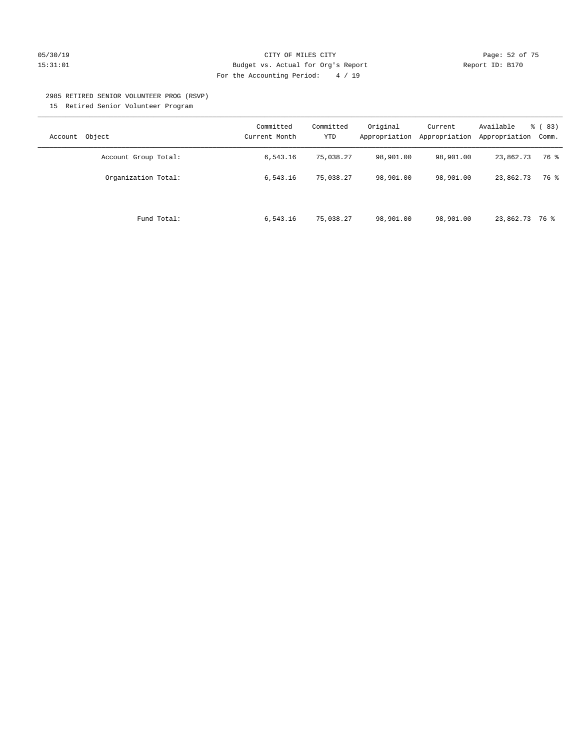#### 05/30/19 CITY OF MILES CITY Page: 52 of 75 15:31:01 Budget vs. Actual for Org's Report Report ID: B170 For the Accounting Period: 4 / 19

#### 2985 RETIRED SENIOR VOLUNTEER PROG (RSVP)

15 Retired Senior Volunteer Program

| Object<br>Account    | Committed<br>Current Month | Committed<br>YTD | Original<br>Appropriation | Current<br>Appropriation | Available<br>Appropriation | % (83)<br>Comm. |
|----------------------|----------------------------|------------------|---------------------------|--------------------------|----------------------------|-----------------|
| Account Group Total: | 6,543.16                   | 75,038.27        | 98,901.00                 | 98,901.00                | 23,862.73                  | 76 %            |
| Organization Total:  | 6,543.16                   | 75,038.27        | 98,901.00                 | 98,901.00                | 23,862.73                  | 76 %            |
| Fund Total:          | 6,543.16                   | 75,038.27        | 98,901.00                 | 98,901.00                | 23,862.73 76 %             |                 |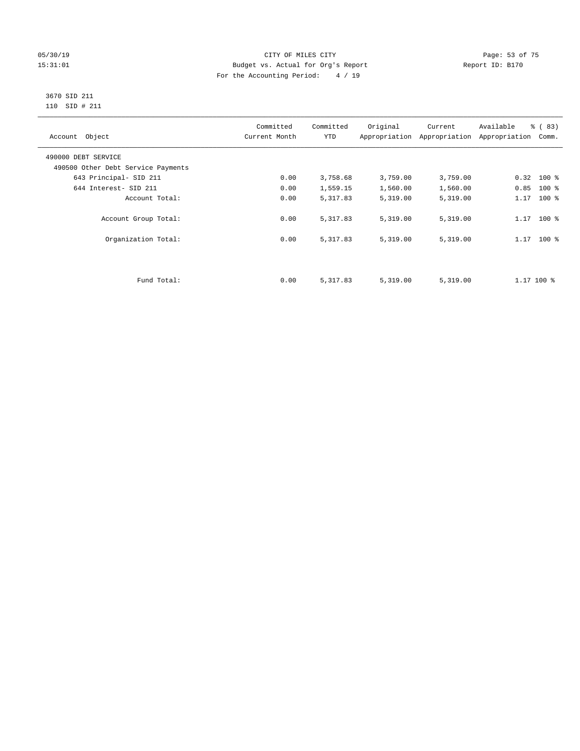#### 05/30/19 Page: 53 of 75 15:31:01 Budget vs. Actual for Org's Report Changer Report ID: B170 For the Accounting Period: 4 / 19

#### 3670 SID 211 110 SID # 211

| Account Object                     | Committed<br>Current Month | Committed<br><b>YTD</b> | Original | Current<br>Appropriation Appropriation | Available<br>Appropriation | % (83)<br>Comm. |
|------------------------------------|----------------------------|-------------------------|----------|----------------------------------------|----------------------------|-----------------|
| 490000 DEBT SERVICE                |                            |                         |          |                                        |                            |                 |
| 490500 Other Debt Service Payments |                            |                         |          |                                        |                            |                 |
| 643 Principal- SID 211             | 0.00                       | 3,758.68                | 3,759.00 | 3,759.00                               | $0.32$ 100 %               |                 |
| 644 Interest- SID 211              | 0.00                       | 1,559.15                | 1,560.00 | 1,560.00                               | 0.85                       | $100*$          |
| Account Total:                     | 0.00                       | 5,317.83                | 5,319.00 | 5,319.00                               | 1.17                       | $100*$          |
| Account Group Total:               | 0.00                       | 5,317.83                | 5,319.00 | 5,319.00                               | $1.17$ 100 %               |                 |
| Organization Total:                | 0.00                       | 5,317.83                | 5,319.00 | 5,319.00                               | $1.17$ 100 %               |                 |
|                                    |                            |                         |          |                                        |                            |                 |
| Fund Total:                        | 0.00                       | 5,317.83                | 5,319.00 | 5,319.00                               | $1.17$ 100 %               |                 |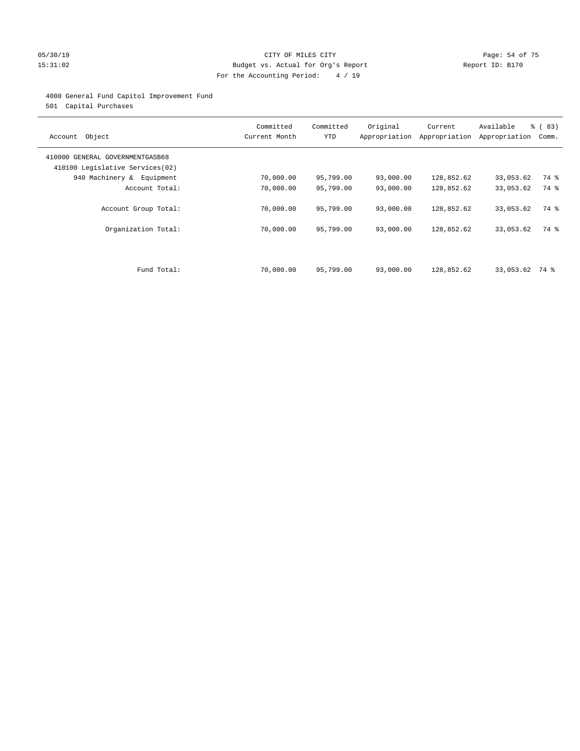#### 05/30/19 Page: 54 of 75 15:31:02 Budget vs. Actual for Org's Report Report ID: B170 For the Accounting Period: 4 / 19

#### 4000 General Fund Capitol Improvement Fund

501 Capital Purchases

| Account Object                                                     | Committed<br>Current Month | Committed<br><b>YTD</b> | Original  | Current<br>Appropriation Appropriation | Available<br>Appropriation | % (83)<br>Comm. |
|--------------------------------------------------------------------|----------------------------|-------------------------|-----------|----------------------------------------|----------------------------|-----------------|
| 410000 GENERAL GOVERNMENTGASB68<br>410100 Legislative Services(02) |                            |                         |           |                                        |                            |                 |
| 940 Machinery & Equipment                                          | 70,000.00                  | 95,799.00               | 93,000.00 | 128,852.62                             | 33,053.62                  | 74 %            |
| Account Total:                                                     | 70,000.00                  | 95,799.00               | 93,000.00 | 128,852.62                             | 33,053.62                  | 74 %            |
| Account Group Total:                                               | 70,000.00                  | 95,799.00               | 93,000.00 | 128,852.62                             | 33,053.62                  | 74 %            |
| Organization Total:                                                | 70,000.00                  | 95,799.00               | 93,000.00 | 128,852.62                             | 33,053.62                  | 74 %            |
| Fund Total:                                                        | 70,000.00                  | 95,799.00               | 93,000.00 | 128,852.62                             | 33,053.62 74 %             |                 |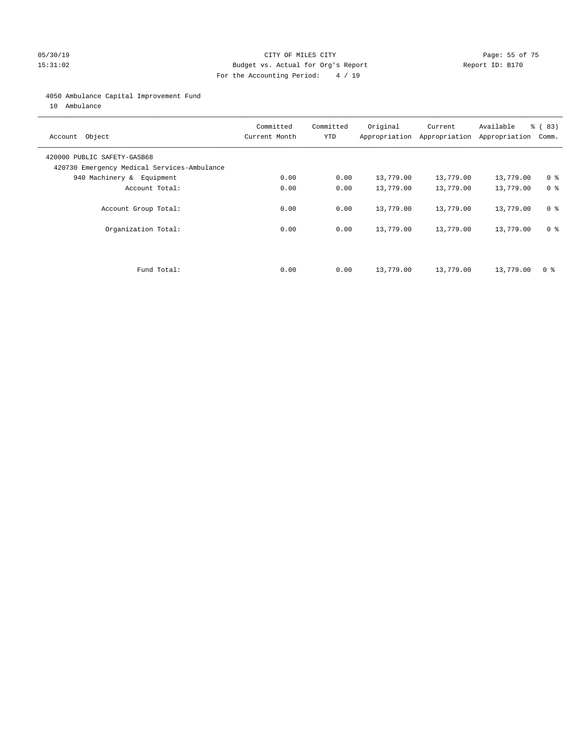#### 05/30/19 Page: 55 of 75 15:31:02 Budget vs. Actual for Org's Report Report ID: B170 For the Accounting Period: 4 / 19

#### 4050 Ambulance Capital Improvement Fund

10 Ambulance

| Account Object                                                             | Committed<br>Current Month | Committed<br><b>YTD</b> | Original  | Current<br>Appropriation Appropriation | Available<br>Appropriation | % (83)<br>Comm. |
|----------------------------------------------------------------------------|----------------------------|-------------------------|-----------|----------------------------------------|----------------------------|-----------------|
| 420000 PUBLIC SAFETY-GASB68<br>420730 Emergency Medical Services-Ambulance |                            |                         |           |                                        |                            |                 |
| 940 Machinery & Equipment                                                  | 0.00                       | 0.00                    | 13,779.00 | 13,779.00                              | 13,779.00                  | 0 <sup>8</sup>  |
| Account Total:                                                             | 0.00                       | 0.00                    | 13,779.00 | 13,779.00                              | 13,779.00                  | 0 <sup>8</sup>  |
| Account Group Total:                                                       | 0.00                       | 0.00                    | 13,779.00 | 13,779.00                              | 13,779.00                  | 0 <sup>8</sup>  |
| Organization Total:                                                        | 0.00                       | 0.00                    | 13,779.00 | 13,779.00                              | 13,779.00                  | 0 <sup>8</sup>  |
|                                                                            |                            |                         |           |                                        |                            |                 |
| Fund Total:                                                                | 0.00                       | 0.00                    | 13,779.00 | 13,779.00                              | 13,779.00                  | 0 %             |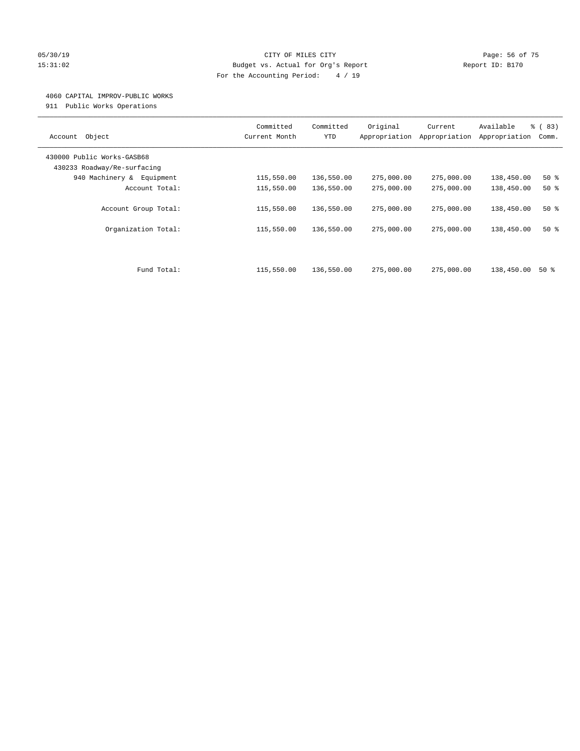#### 05/30/19 Page: 56 of 75 15:31:02 Budget vs. Actual for Org's Report Report ID: B170 For the Accounting Period: 4 / 19

#### 4060 CAPITAL IMPROV-PUBLIC WORKS

911 Public Works Operations

| Object<br>Account                                         | Committed<br>Current Month | Committed<br><b>YTD</b> | Original<br>Appropriation | Current<br>Appropriation | Available<br>Appropriation | % (83)<br>Comm. |
|-----------------------------------------------------------|----------------------------|-------------------------|---------------------------|--------------------------|----------------------------|-----------------|
| 430000 Public Works-GASB68<br>430233 Roadway/Re-surfacing |                            |                         |                           |                          |                            |                 |
| 940 Machinery & Equipment                                 | 115,550.00                 | 136,550.00              | 275,000.00                | 275,000.00               | 138,450.00                 | 50%             |
| Account Total:                                            | 115,550.00                 | 136,550.00              | 275,000.00                | 275,000.00               | 138,450.00                 | $50*$           |
| Account Group Total:                                      | 115,550.00                 | 136,550.00              | 275,000.00                | 275,000.00               | 138,450.00                 | 50%             |
| Organization Total:                                       | 115,550.00                 | 136,550.00              | 275,000.00                | 275,000.00               | 138,450.00                 | 50%             |
|                                                           |                            |                         |                           |                          |                            |                 |
| Fund Total:                                               | 115,550.00                 | 136,550.00              | 275,000.00                | 275,000.00               | 138,450.00                 | 50 %            |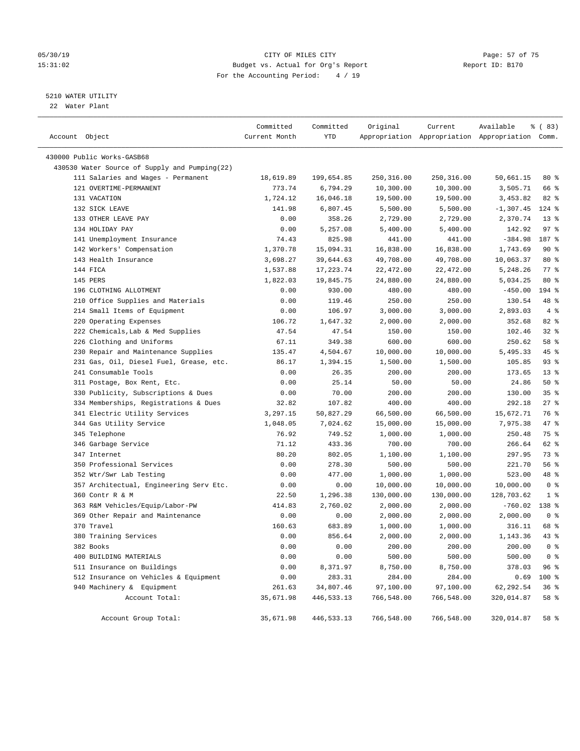#### 05/30/19 Page: 57 of 75 15:31:02 Budget vs. Actual for Org's Report Report ID: B170 For the Accounting Period: 4 / 19

————————————————————————————————————————————————————————————————————————————————————————————————————————————————————————————————————

#### 5210 WATER UTILITY

22 Water Plant

|                                               | Committed     | Committed    | Original   | Current    | Available                                       | १ ( 83)            |
|-----------------------------------------------|---------------|--------------|------------|------------|-------------------------------------------------|--------------------|
| Account Object                                | Current Month | YTD          |            |            | Appropriation Appropriation Appropriation Comm. |                    |
| 430000 Public Works-GASB68                    |               |              |            |            |                                                 |                    |
| 430530 Water Source of Supply and Pumping(22) |               |              |            |            |                                                 |                    |
| 111 Salaries and Wages - Permanent            | 18,619.89     | 199,654.85   | 250,316.00 | 250,316.00 | 50,661.15                                       | 80 %               |
| 121 OVERTIME-PERMANENT                        | 773.74        | 6,794.29     | 10,300.00  | 10,300.00  | 3,505.71                                        | 66 %               |
| 131 VACATION                                  | 1,724.12      | 16,046.18    | 19,500.00  | 19,500.00  | 3,453.82                                        | $82$ $%$           |
| 132 SICK LEAVE                                | 141.98        | 6,807.45     | 5,500.00   | 5,500.00   | $-1,307.45$                                     | $124$ %            |
| 133 OTHER LEAVE PAY                           | 0.00          | 358.26       | 2,729.00   | 2,729.00   | 2,370.74                                        | $13*$              |
| 134 HOLIDAY PAY                               | 0.00          | 5,257.08     | 5,400.00   | 5,400.00   | 142.92                                          | 97%                |
| 141 Unemployment Insurance                    | 74.43         | 825.98       | 441.00     | 441.00     | $-384.98$                                       | 187 %              |
| 142 Workers' Compensation                     | 1,370.78      | 15,094.31    | 16,838.00  | 16,838.00  | 1,743.69                                        | 90%                |
| 143 Health Insurance                          | 3,698.27      | 39,644.63    | 49,708.00  | 49,708.00  | 10,063.37                                       | $80*$              |
| 144 FICA                                      | 1,537.88      | 17,223.74    | 22,472.00  | 22,472.00  | 5,248.26                                        | $77$ $\frac{6}{9}$ |
| 145 PERS                                      | 1,822.03      | 19,845.75    | 24,880.00  | 24,880.00  | 5,034.25                                        | $80*$              |
| 196 CLOTHING ALLOTMENT                        | 0.00          | 930.00       | 480.00     | 480.00     | $-450.00$                                       | 194 %              |
| 210 Office Supplies and Materials             | 0.00          | 119.46       | 250.00     | 250.00     | 130.54                                          | 48 %               |
| 214 Small Items of Equipment                  | 0.00          | 106.97       | 3,000.00   | 3,000.00   | 2,893.03                                        | 4%                 |
| 220 Operating Expenses                        | 106.72        | 1,647.32     | 2,000.00   | 2,000.00   | 352.68                                          | $82$ $%$           |
| 222 Chemicals, Lab & Med Supplies             | 47.54         | 47.54        | 150.00     | 150.00     | 102.46                                          | $32$ $%$           |
| 226 Clothing and Uniforms                     | 67.11         | 349.38       | 600.00     | 600.00     | 250.62                                          | 58 %               |
| 230 Repair and Maintenance Supplies           | 135.47        | 4,504.67     | 10,000.00  | 10,000.00  | 5,495.33                                        | 45 %               |
| 231 Gas, Oil, Diesel Fuel, Grease, etc.       | 86.17         | 1,394.15     | 1,500.00   | 1,500.00   | 105.85                                          | $93$ $%$           |
| 241 Consumable Tools                          | 0.00          | 26.35        | 200.00     | 200.00     | 173.65                                          | $13*$              |
| 311 Postage, Box Rent, Etc.                   | 0.00          | 25.14        | 50.00      | 50.00      | 24.86                                           | 50%                |
| 330 Publicity, Subscriptions & Dues           | 0.00          | 70.00        | 200.00     | 200.00     | 130.00                                          | 35%                |
| 334 Memberships, Registrations & Dues         | 32.82         | 107.82       | 400.00     | 400.00     | 292.18                                          | $27$ %             |
| 341 Electric Utility Services                 | 3,297.15      | 50,827.29    | 66,500.00  | 66,500.00  | 15,672.71                                       | 76 %               |
| 344 Gas Utility Service                       | 1,048.05      | 7,024.62     | 15,000.00  | 15,000.00  | 7,975.38                                        | 47 %               |
| 345 Telephone                                 | 76.92         | 749.52       | 1,000.00   | 1,000.00   | 250.48                                          | 75 %               |
| 346 Garbage Service                           | 71.12         | 433.36       | 700.00     | 700.00     | 266.64                                          | 62 %               |
| 347 Internet                                  | 80.20         | 802.05       | 1,100.00   | 1,100.00   | 297.95                                          | 73 %               |
| 350 Professional Services                     | 0.00          | 278.30       | 500.00     | 500.00     | 221.70                                          | 56%                |
| 352 Wtr/Swr Lab Testing                       | 0.00          | 477.00       | 1,000.00   | 1,000.00   | 523.00                                          | 48 %               |
| 357 Architectual, Engineering Serv Etc.       | 0.00          | 0.00         | 10,000.00  | 10,000.00  | 10,000.00                                       | 0 <sup>8</sup>     |
| 360 Contr R & M                               | 22.50         | 1,296.38     | 130,000.00 | 130,000.00 | 128,703.62                                      | 1 <sup>°</sup>     |
| 363 R&M Vehicles/Equip/Labor-PW               | 414.83        | 2,760.02     | 2,000.00   | 2,000.00   | $-760.02$                                       | $138*$             |
| 369 Other Repair and Maintenance              | 0.00          | 0.00         | 2,000.00   | 2,000.00   | 2,000.00                                        | 0 <sup>8</sup>     |
| 370 Travel                                    | 160.63        | 683.89       | 1,000.00   | 1,000.00   | 316.11                                          | 68 %               |
| 380 Training Services                         | 0.00          | 856.64       | 2,000.00   | 2,000.00   | 1,143.36                                        | $43$ %             |
| 382 Books                                     | 0.00          | 0.00         | 200.00     | 200.00     | 200.00                                          | 0 <sup>8</sup>     |
| 400 BUILDING MATERIALS                        | 0.00          | 0.00         | 500.00     | 500.00     | 500.00                                          | 0 <sup>8</sup>     |
| 511 Insurance on Buildings                    | 0.00          | 8,371.97     | 8,750.00   | 8,750.00   | 378.03                                          | 96%                |
| 512 Insurance on Vehicles & Equipment         | 0.00          | 283.31       | 284.00     | 284.00     | 0.69                                            | 100 %              |
| 940 Machinery & Equipment                     | 261.63        | 34,807.46    | 97,100.00  | 97,100.00  | 62,292.54                                       | 36%                |
| Account Total:                                | 35,671.98     | 446,533.13   | 766,548.00 | 766,548.00 | 320,014.87                                      | 58 %               |
| Account Group Total:                          | 35,671.98     | 446, 533. 13 | 766,548.00 | 766,548.00 | 320,014.87                                      | 58 %               |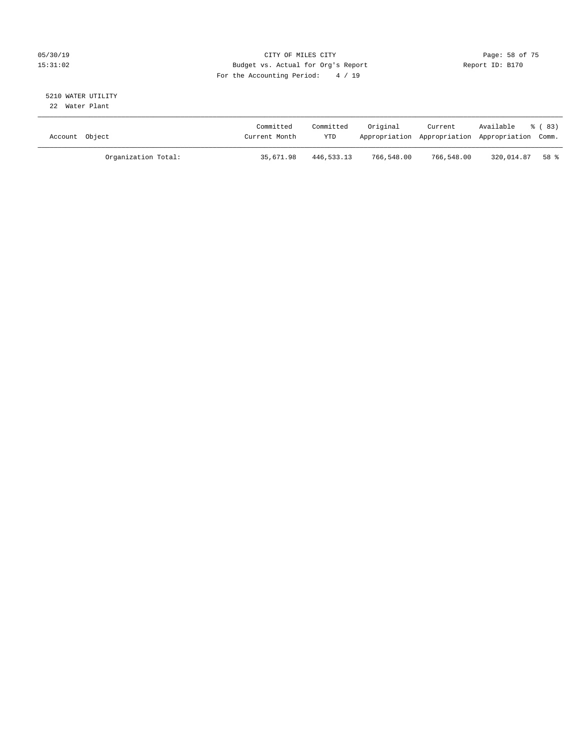#### 05/30/19 Page: 58 of 75 15:31:02 Budget vs. Actual for Org's Report Report ID: B170 For the Accounting Period: 4 / 19

#### 5210 WATER UTILITY 22 Water Plant

| Account Object |                     | Committed<br>Current Month | Committed<br>YTD | Original   | Current    | Available<br>Appropriation Appropriation Appropriation Comm. | ී (83) |
|----------------|---------------------|----------------------------|------------------|------------|------------|--------------------------------------------------------------|--------|
|                | Organization Total: | 35,671.98                  | 446,533.13       | 766,548.00 | 766,548.00 | 320,014.87                                                   | 58 %   |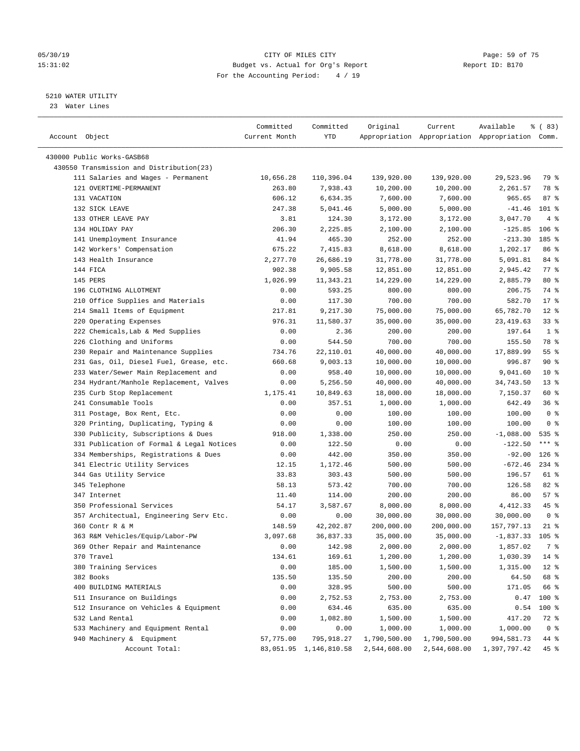#### 05/30/19 Page: 59 of 75 15:31:02 Budget vs. Actual for Org's Report Report ID: B170 For the Accounting Period: 4 / 19

————————————————————————————————————————————————————————————————————————————————————————————————————————————————————————————————————

#### 5210 WATER UTILITY

23 Water Lines

|                                           | Committed     | Committed              | Original     | Current      | Available                                       | % (83)          |  |
|-------------------------------------------|---------------|------------------------|--------------|--------------|-------------------------------------------------|-----------------|--|
| Account Object                            | Current Month | YTD                    |              |              | Appropriation Appropriation Appropriation Comm. |                 |  |
| 430000 Public Works-GASB68                |               |                        |              |              |                                                 |                 |  |
| 430550 Transmission and Distribution(23)  |               |                        |              |              |                                                 |                 |  |
| 111 Salaries and Wages - Permanent        | 10,656.28     | 110,396.04             | 139,920.00   | 139,920.00   | 29,523.96                                       | 79 %            |  |
| 121 OVERTIME-PERMANENT                    | 263.80        | 7,938.43               | 10,200.00    | 10,200.00    | 2,261.57                                        | 78 %            |  |
| 131 VACATION                              | 606.12        | 6,634.35               | 7,600.00     | 7,600.00     | 965.65                                          | 87%             |  |
| 132 SICK LEAVE                            | 247.38        | 5,041.46               | 5,000.00     | 5,000.00     | $-41.46$                                        | $101$ %         |  |
| 133 OTHER LEAVE PAY                       | 3.81          | 124.30                 | 3,172.00     | 3,172.00     | 3,047.70                                        | 4%              |  |
| 134 HOLIDAY PAY                           | 206.30        | 2,225.85               | 2,100.00     | 2,100.00     | $-125.85$                                       | $106$ %         |  |
| 141 Unemployment Insurance                | 41.94         | 465.30                 | 252.00       | 252.00       | $-213.30$                                       | 185 %           |  |
| 142 Workers' Compensation                 | 675.22        | 7,415.83               | 8,618.00     | 8,618.00     | 1,202.17                                        | 86 %            |  |
| 143 Health Insurance                      | 2,277.70      | 26,686.19              | 31,778.00    | 31,778.00    | 5,091.81                                        | 84 %            |  |
| 144 FICA                                  | 902.38        | 9,905.58               | 12,851.00    | 12,851.00    | 2,945.42                                        | $77$ $%$        |  |
| 145 PERS                                  | 1,026.99      | 11,343.21              | 14,229.00    | 14,229.00    | 2,885.79                                        | $80*$           |  |
| 196 CLOTHING ALLOTMENT                    | 0.00          | 593.25                 | 800.00       | 800.00       | 206.75                                          | 74 %            |  |
| 210 Office Supplies and Materials         | 0.00          | 117.30                 | 700.00       | 700.00       | 582.70                                          | $17*$           |  |
| 214 Small Items of Equipment              | 217.81        | 9,217.30               | 75,000.00    | 75,000.00    | 65,782.70                                       | $12*$           |  |
| 220 Operating Expenses                    | 976.31        | 11,580.37              | 35,000.00    | 35,000.00    | 23, 419.63                                      | 33%             |  |
| 222 Chemicals, Lab & Med Supplies         | 0.00          | 2.36                   | 200.00       | 200.00       | 197.64                                          | 1 <sup>8</sup>  |  |
| 226 Clothing and Uniforms                 | 0.00          | 544.50                 | 700.00       | 700.00       | 155.50                                          | 78 %            |  |
| 230 Repair and Maintenance Supplies       | 734.76        | 22,110.01              | 40,000.00    | 40,000.00    | 17,889.99                                       | 55 <sup>8</sup> |  |
| 231 Gas, Oil, Diesel Fuel, Grease, etc.   | 660.68        | 9,003.13               | 10,000.00    | 10,000.00    | 996.87                                          | 90%             |  |
| 233 Water/Sewer Main Replacement and      | 0.00          | 958.40                 | 10,000.00    | 10,000.00    | 9,041.60                                        | $10*$           |  |
| 234 Hydrant/Manhole Replacement, Valves   | 0.00          | 5,256.50               | 40,000.00    | 40,000.00    | 34,743.50                                       | $13*$           |  |
| 235 Curb Stop Replacement                 | 1,175.41      | 10,849.63              | 18,000.00    | 18,000.00    | 7,150.37                                        | 60 %            |  |
| 241 Consumable Tools                      | 0.00          | 357.51                 | 1,000.00     | 1,000.00     | 642.49                                          | 36%             |  |
| 311 Postage, Box Rent, Etc.               | 0.00          | 0.00                   | 100.00       | 100.00       | 100.00                                          | 0 <sup>8</sup>  |  |
| 320 Printing, Duplicating, Typing &       | 0.00          | 0.00                   | 100.00       | 100.00       | 100.00                                          | 0 <sup>8</sup>  |  |
| 330 Publicity, Subscriptions & Dues       | 918.00        | 1,338.00               | 250.00       | 250.00       | $-1,088.00$                                     | 535 %           |  |
| 331 Publication of Formal & Legal Notices | 0.00          | 122.50                 | 0.00         | 0.00         | $-122.50$                                       | $***$ $_{8}$    |  |
| 334 Memberships, Registrations & Dues     | 0.00          | 442.00                 | 350.00       | 350.00       | $-92.00$                                        | $126$ %         |  |
| 341 Electric Utility Services             | 12.15         | 1,172.46               | 500.00       | 500.00       | $-672.46$                                       | $234$ %         |  |
| 344 Gas Utility Service                   | 33.83         | 303.43                 | 500.00       | 500.00       | 196.57                                          | 61 %            |  |
| 345 Telephone                             | 58.13         | 573.42                 | 700.00       | 700.00       | 126.58                                          | $82$ %          |  |
| 347 Internet                              | 11.40         | 114.00                 | 200.00       | 200.00       | 86.00                                           | 57%             |  |
| 350 Professional Services                 | 54.17         | 3,587.67               | 8,000.00     | 8,000.00     | 4,412.33                                        | 45 %            |  |
| 357 Architectual, Engineering Serv Etc.   | 0.00          | 0.00                   | 30,000.00    | 30,000.00    | 30,000.00                                       | 0 <sup>8</sup>  |  |
| 360 Contr R & M                           | 148.59        | 42,202.87              | 200,000.00   | 200,000.00   | 157,797.13                                      | $21$ %          |  |
| 363 R&M Vehicles/Equip/Labor-PW           | 3,097.68      | 36,837.33              | 35,000.00    | 35,000.00    | $-1,837.33$                                     | $105$ %         |  |
| 369 Other Repair and Maintenance          | 0.00          | 142.98                 | 2,000.00     | 2,000.00     | 1,857.02                                        | 7 %             |  |
| 370 Travel                                | 134.61        | 169.61                 | 1,200.00     | 1,200.00     | 1,030.39                                        | $14*$           |  |
| 380 Training Services                     | 0.00          | 185.00                 | 1,500.00     | 1,500.00     | 1,315.00                                        | $12*$           |  |
| 382 Books                                 | 135.50        | 135.50                 | 200.00       | 200.00       | 64.50                                           | 68 %            |  |
| 400 BUILDING MATERIALS                    | 0.00          | 328.95                 | 500.00       | 500.00       | 171.05                                          | 66 %            |  |
| 511 Insurance on Buildings                | 0.00          | 2,752.53               | 2,753.00     | 2,753.00     | 0.47                                            | 100 %           |  |
| 512 Insurance on Vehicles & Equipment     | 0.00          | 634.46                 | 635.00       | 635.00       | 0.54                                            | 100 %           |  |
| 532 Land Rental                           | 0.00          | 1,082.80               | 1,500.00     | 1,500.00     | 417.20                                          | 72 %            |  |
| 533 Machinery and Equipment Rental        | 0.00          | 0.00                   | 1,000.00     | 1,000.00     | 1,000.00                                        | 0 <sup>8</sup>  |  |
| 940 Machinery & Equipment                 | 57,775.00     | 795,918.27             | 1,790,500.00 | 1,790,500.00 | 994,581.73                                      | 44 %            |  |
| Account Total:                            |               | 83,051.95 1,146,810.58 | 2,544,608.00 | 2,544,608.00 | 1,397,797.42                                    | 45 %            |  |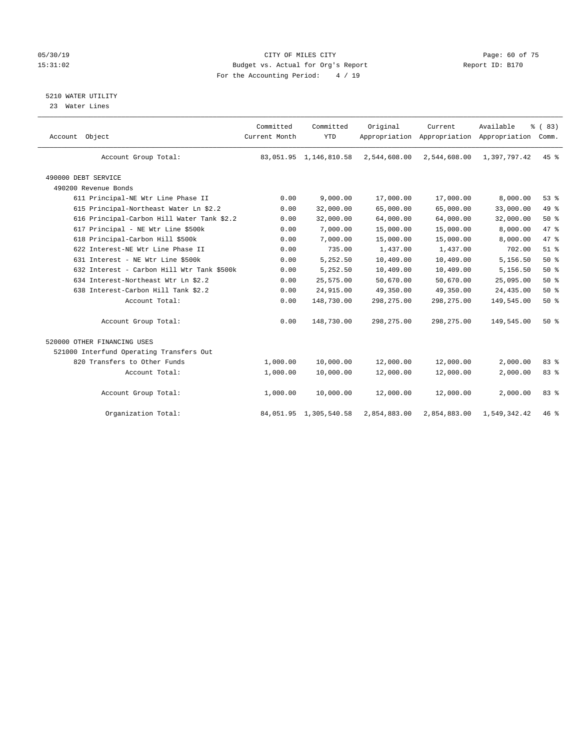#### 05/30/19 CITY OF MILES CITY Page: 60 of 75 15:31:02 Budget vs. Actual for Org's Report Changer Report ID: B170 For the Accounting Period: 4 / 19

5210 WATER UTILITY

23 Water Lines

| Account Object                             | Committed<br>Current Month | Committed<br><b>YTD</b> | Original     | Current      | Available<br>Appropriation Appropriation Appropriation | % (83)<br>Comm. |  |
|--------------------------------------------|----------------------------|-------------------------|--------------|--------------|--------------------------------------------------------|-----------------|--|
| Account Group Total:                       |                            | 83,051.95 1,146,810.58  | 2,544,608.00 | 2,544,608.00 | 1,397,797.42                                           | 45 %            |  |
| 490000 DEBT SERVICE                        |                            |                         |              |              |                                                        |                 |  |
| 490200 Revenue Bonds                       |                            |                         |              |              |                                                        |                 |  |
| 611 Principal-NE Wtr Line Phase II         | 0.00                       | 9,000.00                | 17,000.00    | 17,000.00    | 8,000.00                                               | 53%             |  |
| 615 Principal-Northeast Water Ln \$2.2     | 0.00                       | 32,000.00               | 65,000.00    | 65,000.00    | 33,000.00                                              | 49 %            |  |
| 616 Principal-Carbon Hill Water Tank \$2.2 | 0.00                       | 32,000.00               | 64,000.00    | 64,000.00    | 32,000.00                                              | 50%             |  |
| 617 Principal - NE Wtr Line \$500k         | 0.00                       | 7,000.00                | 15,000.00    | 15,000.00    | 8,000.00                                               | 47 %            |  |
| 618 Principal-Carbon Hill \$500k           | 0.00                       | 7,000.00                | 15,000.00    | 15,000.00    | 8,000.00                                               | 47 %            |  |
| 622 Interest-NE Wtr Line Phase II          | 0.00                       | 735.00                  | 1,437.00     | 1,437.00     | 702.00                                                 | $51$ $%$        |  |
| 631 Interest - NE Wtr Line \$500k          | 0.00                       | 5,252.50                | 10,409.00    | 10,409.00    | 5,156.50                                               | 50%             |  |
| 632 Interest - Carbon Hill Wtr Tank \$500k | 0.00                       | 5,252.50                | 10,409.00    | 10,409.00    | 5,156.50                                               | 50%             |  |
| 634 Interest-Northeast Wtr Ln \$2.2        | 0.00                       | 25,575.00               | 50,670.00    | 50,670.00    | 25,095.00                                              | 50%             |  |
| 638 Interest-Carbon Hill Tank \$2.2        | 0.00                       | 24,915.00               | 49,350.00    | 49,350.00    | 24,435.00                                              | 50%             |  |
| Account Total:                             | 0.00                       | 148,730.00              | 298, 275.00  | 298,275.00   | 149,545.00                                             | 50%             |  |
| Account Group Total:                       | 0.00                       | 148,730.00              | 298, 275.00  | 298, 275.00  | 149,545.00                                             | 50%             |  |
| 520000 OTHER FINANCING USES                |                            |                         |              |              |                                                        |                 |  |
| 521000 Interfund Operating Transfers Out   |                            |                         |              |              |                                                        |                 |  |
| 820 Transfers to Other Funds               | 1,000.00                   | 10,000.00               | 12,000.00    | 12,000.00    | 2,000.00                                               | 83%             |  |
| Account Total:                             | 1,000.00                   | 10,000.00               | 12,000.00    | 12,000.00    | 2,000.00                                               | 83 %            |  |
| Account Group Total:                       | 1,000.00                   | 10,000.00               | 12,000.00    | 12,000.00    | 2,000.00                                               | 83%             |  |
| Organization Total:                        |                            | 84,051.95 1,305,540.58  | 2,854,883.00 | 2,854,883.00 | 1,549,342.42                                           | $46*$           |  |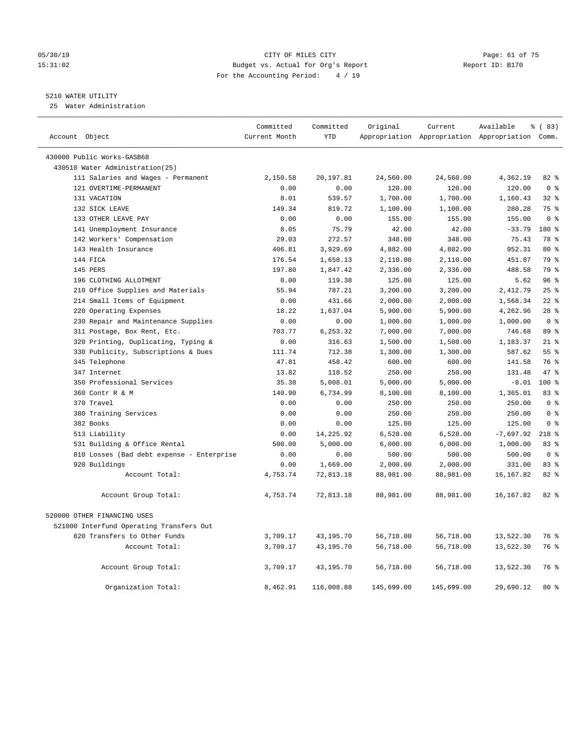#### 05/30/19 Page: 61 of 75 15:31:02 Budget vs. Actual for Org's Report Report ID: B170 For the Accounting Period: 4 / 19

#### 5210 WATER UTILITY

25 Water Administration

| Account Object                            | Committed<br>Current Month | Committed<br><b>YTD</b> | Original   | Current    | Available<br>Appropriation Appropriation Appropriation Comm. | % (83)         |
|-------------------------------------------|----------------------------|-------------------------|------------|------------|--------------------------------------------------------------|----------------|
| 430000 Public Works-GASB68                |                            |                         |            |            |                                                              |                |
| 430510 Water Administration(25)           |                            |                         |            |            |                                                              |                |
| 111 Salaries and Wages - Permanent        | 2,150.58                   | 20,197.81               | 24,560.00  | 24,560.00  | 4,362.19                                                     | 82 %           |
| 121 OVERTIME-PERMANENT                    | 0.00                       | 0.00                    | 120.00     | 120.00     | 120.00                                                       | 0 <sup>8</sup> |
| 131 VACATION                              | 8.01                       | 539.57                  | 1,700.00   | 1,700.00   | 1,160.43                                                     | $32$ $%$       |
| 132 SICK LEAVE                            | 149.34                     | 819.72                  | 1,100.00   | 1,100.00   | 280.28                                                       | 75 %           |
| 133 OTHER LEAVE PAY                       | 0.00                       | 0.00                    | 155.00     | 155.00     | 155.00                                                       | 0 <sup>8</sup> |
| 141 Unemployment Insurance                | 8.05                       | 75.79                   | 42.00      | 42.00      | $-33.79$                                                     | 180 %          |
| 142 Workers' Compensation                 | 29.03                      | 272.57                  | 348.00     | 348.00     | 75.43                                                        | 78 %           |
| 143 Health Insurance                      | 406.81                     | 3,929.69                | 4,882.00   | 4,882.00   | 952.31                                                       | 80 %           |
| 144 FICA                                  | 176.54                     | 1,658.13                | 2,110.00   | 2,110.00   | 451.87                                                       | 79 %           |
| 145 PERS                                  | 197.80                     | 1,847.42                | 2,336.00   | 2,336.00   | 488.58                                                       | 79 %           |
| 196 CLOTHING ALLOTMENT                    | 0.00                       | 119.38                  | 125.00     | 125.00     | 5.62                                                         | 96%            |
| 210 Office Supplies and Materials         | 55.94                      | 787.21                  | 3,200.00   | 3,200.00   | 2,412.79                                                     | 25%            |
| 214 Small Items of Equipment              | 0.00                       | 431.66                  | 2,000.00   | 2,000.00   | 1,568.34                                                     | $22$ %         |
| 220 Operating Expenses                    | 18.22                      | 1,637.04                | 5,900.00   | 5,900.00   | 4,262.96                                                     | $28$ %         |
| 230 Repair and Maintenance Supplies       | 0.00                       | 0.00                    | 1,000.00   | 1,000.00   | 1,000.00                                                     | 0 <sup>8</sup> |
| 311 Postage, Box Rent, Etc.               | 703.77                     | 6,253.32                | 7,000.00   | 7,000.00   | 746.68                                                       | 89 %           |
| 320 Printing, Duplicating, Typing &       | 0.00                       | 316.63                  | 1,500.00   | 1,500.00   | 1,183.37                                                     | $21$ %         |
| 330 Publicity, Subscriptions & Dues       | 111.74                     | 712.38                  | 1,300.00   | 1,300.00   | 587.62                                                       | 55%            |
| 345 Telephone                             | 47.81                      | 458.42                  | 600.00     | 600.00     | 141.58                                                       | 76 %           |
| 347 Internet                              | 13.82                      | 118.52                  | 250.00     | 250.00     | 131.48                                                       | 47.8           |
| 350 Professional Services                 | 35.38                      | 5,008.01                | 5,000.00   | 5,000.00   | $-8.01$                                                      | $100*$         |
| 360 Contr R & M                           | 140.90                     | 6,734.99                | 8,100.00   | 8,100.00   | 1,365.01                                                     | 83 %           |
| 370 Travel                                | 0.00                       | 0.00                    | 250.00     | 250.00     | 250.00                                                       | 0 <sup>8</sup> |
| 380 Training Services                     | 0.00                       | 0.00                    | 250.00     | 250.00     | 250.00                                                       | 0 <sup>8</sup> |
| 382 Books                                 | 0.00                       | 0.00                    | 125.00     | 125.00     | 125.00                                                       | 0 <sup>8</sup> |
| 513 Liability                             | 0.00                       | 14,225.92               | 6,528.00   | 6,528.00   | $-7,697.92$                                                  | $218$ %        |
| 531 Building & Office Rental              | 500.00                     | 5,000.00                | 6,000.00   | 6,000.00   | 1,000.00                                                     | 83 %           |
| 810 Losses (Bad debt expense - Enterprise | 0.00                       | 0.00                    | 500.00     | 500.00     | 500.00                                                       | 0 <sup>8</sup> |
| 920 Buildings                             | 0.00                       | 1,669.00                | 2,000.00   | 2,000.00   | 331.00                                                       | 83%            |
| Account Total:                            | 4,753.74                   | 72,813.18               | 88,981.00  | 88,981.00  | 16, 167.82                                                   | 82%            |
| Account Group Total:                      | 4,753.74                   | 72,813.18               | 88,981.00  | 88,981.00  | 16,167.82                                                    | $82$ $%$       |
| 520000 OTHER FINANCING USES               |                            |                         |            |            |                                                              |                |
| 521000 Interfund Operating Transfers Out  |                            |                         |            |            |                                                              |                |
| 820 Transfers to Other Funds              | 3,709.17                   | 43,195.70               | 56,718.00  | 56,718.00  | 13,522.30                                                    | 76 %           |
| Account Total:                            | 3,709.17                   | 43,195.70               | 56,718.00  | 56,718.00  | 13,522.30                                                    | 76 %           |
| Account Group Total:                      | 3,709.17                   | 43,195.70               | 56,718.00  | 56,718.00  | 13,522.30                                                    | 76 %           |
| Organization Total:                       | 8,462.91                   | 116,008.88              | 145,699.00 | 145,699.00 | 29,690.12                                                    | $80*$          |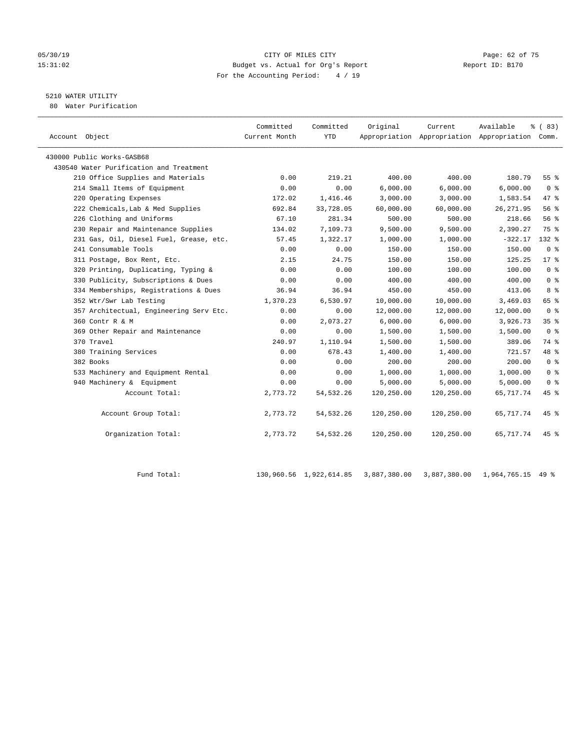#### 05/30/19 CITY OF MILES CITY Page: 62 of 75 15:31:02 Budget vs. Actual for Org's Report Report ID: B170 For the Accounting Period: 4 / 19

## 5210 WATER UTILITY

80 Water Purification

| Account Object                          | Committed<br>Current Month | Committed<br>YTD | Original   | Current    | Available<br>Appropriation Appropriation Appropriation Comm. | % (83)          |  |
|-----------------------------------------|----------------------------|------------------|------------|------------|--------------------------------------------------------------|-----------------|--|
| 430000 Public Works-GASB68              |                            |                  |            |            |                                                              |                 |  |
| 430540 Water Purification and Treatment |                            |                  |            |            |                                                              |                 |  |
| 210 Office Supplies and Materials       | 0.00                       | 219.21           | 400.00     | 400.00     | 180.79                                                       | 55%             |  |
| 214 Small Items of Equipment            | 0.00                       | 0.00             | 6,000.00   | 6,000.00   | 6,000.00                                                     | 0 <sup>8</sup>  |  |
| 220 Operating Expenses                  | 172.02                     | 1,416.46         | 3,000.00   | 3,000.00   | 1,583.54                                                     | 47 %            |  |
| 222 Chemicals, Lab & Med Supplies       | 692.84                     | 33,728.05        | 60,000.00  | 60,000.00  | 26, 271.95                                                   | 56 %            |  |
| 226 Clothing and Uniforms               | 67.10                      | 281.34           | 500.00     | 500.00     | 218.66                                                       | 56%             |  |
| 230 Repair and Maintenance Supplies     | 134.02                     | 7,109.73         | 9,500.00   | 9.500.00   | 2,390.27                                                     | 75 %            |  |
| 231 Gas, Oil, Diesel Fuel, Grease, etc. | 57.45                      | 1,322.17         | 1,000.00   | 1,000.00   | $-322.17$                                                    | $132*$          |  |
| 241 Consumable Tools                    | 0.00                       | 0.00             | 150.00     | 150.00     | 150.00                                                       | 0 <sup>8</sup>  |  |
| 311 Postage, Box Rent, Etc.             | 2.15                       | 24.75            | 150.00     | 150.00     | 125.25                                                       | $17*$           |  |
| 320 Printing, Duplicating, Typing &     | 0.00                       | 0.00             | 100.00     | 100.00     | 100.00                                                       | 0 <sup>8</sup>  |  |
| 330 Publicity, Subscriptions & Dues     | 0.00                       | 0.00             | 400.00     | 400.00     | 400.00                                                       | 0 <sup>8</sup>  |  |
| 334 Memberships, Registrations & Dues   | 36.94                      | 36.94            | 450.00     | 450.00     | 413.06                                                       | 8 %             |  |
| 352 Wtr/Swr Lab Testing                 | 1,370.23                   | 6,530.97         | 10,000.00  | 10,000.00  | 3,469.03                                                     | 65 %            |  |
| 357 Architectual, Engineering Serv Etc. | 0.00                       | 0.00             | 12,000.00  | 12,000.00  | 12,000.00                                                    | 0 <sup>8</sup>  |  |
| 360 Contr R & M                         | 0.00                       | 2,073.27         | 6,000.00   | 6,000.00   | 3,926.73                                                     | 35 <sup>8</sup> |  |
| 369 Other Repair and Maintenance        | 0.00                       | 0.00             | 1,500.00   | 1,500.00   | 1,500.00                                                     | 0 <sup>8</sup>  |  |
| 370 Travel                              | 240.97                     | 1,110.94         | 1,500.00   | 1,500.00   | 389.06                                                       | 74 %            |  |
| 380 Training Services                   | 0.00                       | 678.43           | 1,400.00   | 1,400.00   | 721.57                                                       | 48 %            |  |
| 382 Books                               | 0.00                       | 0.00             | 200.00     | 200.00     | 200.00                                                       | 0 <sup>8</sup>  |  |
| 533 Machinery and Equipment Rental      | 0.00                       | 0.00             | 1,000.00   | 1,000.00   | 1,000.00                                                     | 0 <sup>8</sup>  |  |
| 940 Machinery & Equipment               | 0.00                       | 0.00             | 5,000.00   | 5,000.00   | 5,000.00                                                     | 0 <sup>8</sup>  |  |
| Account Total:                          | 2,773.72                   | 54, 532.26       | 120,250.00 | 120,250.00 | 65,717.74                                                    | 45 %            |  |
| Account Group Total:                    | 2,773.72                   | 54, 532.26       | 120,250.00 | 120,250.00 | 65, 717. 74                                                  | 45 %            |  |
| Organization Total:                     | 2,773.72                   | 54, 532.26       | 120,250.00 | 120,250.00 | 65,717.74                                                    | 45 %            |  |

Fund Total: 130,960.56 1,922,614.85 3,887,380.00 3,887,380.00 1,964,765.15 49 %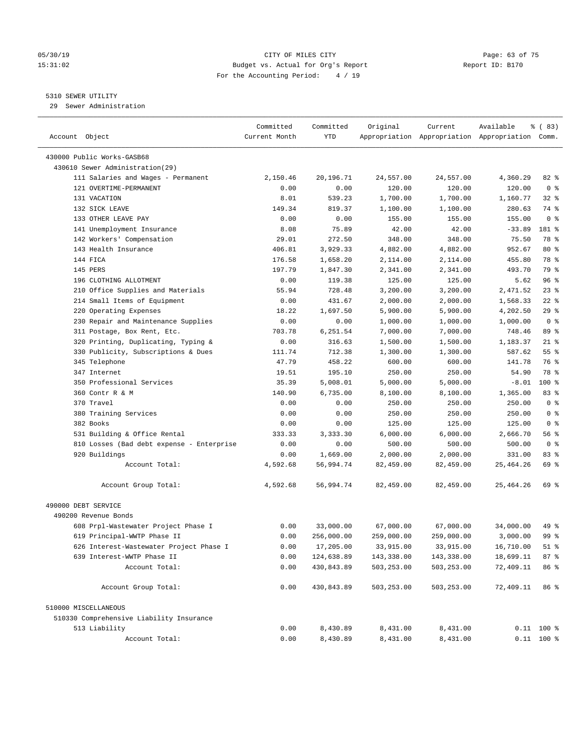#### 05/30/19 CITY OF MILES CITY Page: 63 of 75 15:31:02 Budget vs. Actual for Org's Report Report ID: B170 For the Accounting Period: 4 / 19

————————————————————————————————————————————————————————————————————————————————————————————————————————————————————————————————————

#### 5310 SEWER UTILITY

29 Sewer Administration

|                                                               | Committed        | Committed  | Original            | Current             | Available                                       | <sub>ර</sub> ි (83)    |
|---------------------------------------------------------------|------------------|------------|---------------------|---------------------|-------------------------------------------------|------------------------|
| Account Object                                                | Current Month    | YTD        |                     |                     | Appropriation Appropriation Appropriation Comm. |                        |
|                                                               |                  |            |                     |                     |                                                 |                        |
| 430000 Public Works-GASB68<br>430610 Sewer Administration(29) |                  |            |                     |                     |                                                 |                        |
|                                                               |                  | 20,196.71  |                     |                     |                                                 |                        |
| 111 Salaries and Wages - Permanent<br>121 OVERTIME-PERMANENT  | 2,150.46<br>0.00 | 0.00       | 24,557.00<br>120.00 | 24,557.00<br>120.00 | 4,360.29<br>120.00                              | 82 %<br>0 <sup>8</sup> |
| 131 VACATION                                                  | 8.01             | 539.23     |                     |                     |                                                 | $32$ $%$               |
|                                                               | 149.34           |            | 1,700.00            | 1,700.00            | 1,160.77<br>280.63                              | 74 %                   |
| 132 SICK LEAVE<br>133 OTHER LEAVE PAY                         | 0.00             | 819.37     | 1,100.00            | 1,100.00            |                                                 | 0 <sup>8</sup>         |
|                                                               |                  | 0.00       | 155.00              | 155.00              | 155.00                                          |                        |
| 141 Unemployment Insurance<br>142 Workers' Compensation       | 8.08             | 75.89      | 42.00               | 42.00<br>348.00     | $-33.89$                                        | 181 %<br>78 %          |
|                                                               | 29.01            | 272.50     | 348.00              |                     | 75.50                                           |                        |
| 143 Health Insurance<br>144 FICA                              | 406.81           | 3,929.33   | 4,882.00            | 4,882.00            | 952.67                                          | 80 %<br>78 %           |
|                                                               | 176.58           | 1,658.20   | 2,114.00            | 2,114.00            | 455.80                                          |                        |
| 145 PERS                                                      | 197.79           | 1,847.30   | 2,341.00            | 2,341.00            | 493.70                                          | 79 %                   |
| 196 CLOTHING ALLOTMENT                                        | 0.00             | 119.38     | 125.00              | 125.00              | 5.62                                            | 96%                    |
| 210 Office Supplies and Materials                             | 55.94            | 728.48     | 3,200.00            | 3,200.00            | 2,471.52                                        | $23$ %                 |
| 214 Small Items of Equipment                                  | 0.00             | 431.67     | 2,000.00            | 2,000.00            | 1,568.33                                        | $22$ %                 |
| 220 Operating Expenses                                        | 18.22            | 1,697.50   | 5,900.00            | 5,900.00            | 4,202.50                                        | 29%                    |
| 230 Repair and Maintenance Supplies                           | 0.00             | 0.00       | 1,000.00            | 1,000.00            | 1,000.00                                        | 0 <sup>8</sup>         |
| 311 Postage, Box Rent, Etc.                                   | 703.78           | 6,251.54   | 7,000.00            | 7,000.00            | 748.46                                          | 89 %                   |
| 320 Printing, Duplicating, Typing &                           | 0.00             | 316.63     | 1,500.00            | 1,500.00            | 1,183.37                                        | $21$ %                 |
| 330 Publicity, Subscriptions & Dues                           | 111.74           | 712.38     | 1,300.00            | 1,300.00            | 587.62                                          | $55$ $%$               |
| 345 Telephone                                                 | 47.79            | 458.22     | 600.00              | 600.00              | 141.78                                          | 76 %                   |
| 347 Internet                                                  | 19.51            | 195.10     | 250.00              | 250.00              | 54.90                                           | 78 %                   |
| 350 Professional Services                                     | 35.39            | 5,008.01   | 5,000.00            | 5,000.00            | $-8.01$                                         | $100$ %                |
| 360 Contr R & M                                               | 140.90           | 6,735.00   | 8,100.00            | 8,100.00            | 1,365.00                                        | 83 %                   |
| 370 Travel                                                    | 0.00             | 0.00       | 250.00              | 250.00              | 250.00                                          | 0 <sup>8</sup>         |
| 380 Training Services                                         | 0.00             | 0.00       | 250.00              | 250.00              | 250.00                                          | 0 <sup>8</sup>         |
| 382 Books                                                     | 0.00             | 0.00       | 125.00              | 125.00              | 125.00                                          | 0 <sup>8</sup>         |
| 531 Building & Office Rental                                  | 333.33           | 3,333.30   | 6,000.00            | 6,000.00            | 2,666.70                                        | 56%                    |
| 810 Losses (Bad debt expense - Enterprise                     | 0.00             | 0.00       | 500.00              | 500.00              | 500.00                                          | 0 <sup>8</sup>         |
| 920 Buildings                                                 | 0.00             | 1,669.00   | 2,000.00            | 2,000.00            | 331.00                                          | 83%                    |
| Account Total:                                                | 4,592.68         | 56,994.74  | 82,459.00           | 82,459.00           | 25, 464. 26                                     | 69 %                   |
| Account Group Total:                                          | 4,592.68         | 56,994.74  | 82,459.00           | 82,459.00           | 25,464.26                                       | 69 %                   |
| 490000 DEBT SERVICE                                           |                  |            |                     |                     |                                                 |                        |
| 490200 Revenue Bonds                                          |                  |            |                     |                     |                                                 |                        |
| 608 Prpl-Wastewater Project Phase I                           | 0.00             | 33,000.00  | 67,000.00           | 67,000.00           | 34,000.00                                       | 49 %                   |
| 619 Principal-WWTP Phase II                                   | 0.00             | 256,000.00 | 259,000.00          | 259,000.00          | 3,000.00                                        | 99 %                   |
| 626 Interest-Wastewater Project Phase I                       | 0.00             | 17,205.00  | 33,915.00           | 33,915.00           | 16,710.00                                       | 51 %                   |
| 639 Interest-WWTP Phase II                                    | 0.00             | 124,638.89 | 143,338.00          | 143,338.00          | 18,699.11                                       | 87%                    |
| Account Total:                                                | 0.00             | 430,843.89 | 503,253.00          | 503,253.00          | 72,409.11                                       | 86 %                   |
| Account Group Total:                                          | 0.00             | 430,843.89 | 503,253.00          | 503,253.00          | 72,409.11                                       | 86 %                   |
| 510000 MISCELLANEOUS                                          |                  |            |                     |                     |                                                 |                        |
| 510330 Comprehensive Liability Insurance                      |                  |            |                     |                     |                                                 |                        |
| 513 Liability                                                 | 0.00             | 8,430.89   | 8,431.00            | 8,431.00            |                                                 | $0.11$ 100 %           |
| Account Total:                                                | 0.00             | 8,430.89   | 8,431.00            | 8,431.00            |                                                 | $0.11$ 100 %           |
|                                                               |                  |            |                     |                     |                                                 |                        |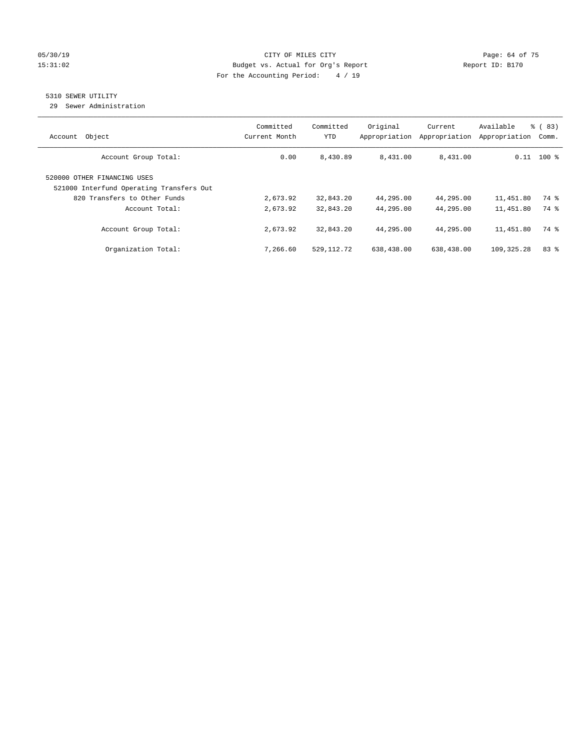#### 05/30/19 Page: 64 of 75 15:31:02 Budget vs. Actual for Org's Report Report ID: B170 For the Accounting Period: 4 / 19

## 5310 SEWER UTILITY

29 Sewer Administration

| Object<br>Account                                                       | Committed<br>Current Month | Committed<br><b>YTD</b> | Original<br>Appropriation | Current<br>Appropriation | Available<br>Appropriation | % (83)<br>Comm. |
|-------------------------------------------------------------------------|----------------------------|-------------------------|---------------------------|--------------------------|----------------------------|-----------------|
| Account Group Total:                                                    | 0.00                       | 8,430.89                | 8,431.00                  | 8,431.00                 |                            | $0.11$ 100 %    |
| 520000 OTHER FINANCING USES<br>521000 Interfund Operating Transfers Out |                            |                         |                           |                          |                            |                 |
| 820 Transfers to Other Funds<br>Account Total:                          | 2,673.92<br>2,673.92       | 32,843.20<br>32,843.20  | 44,295.00<br>44,295.00    | 44,295.00<br>44,295.00   | 11,451.80<br>11,451.80     | 74 %<br>74 %    |
| Account Group Total:                                                    | 2,673.92                   | 32,843.20               | 44,295.00                 | 44,295.00                | 11,451.80                  | 74 %            |
| Organization Total:                                                     | 7,266.60                   | 529, 112.72             | 638,438.00                | 638,438.00               | 109,325.28                 | 83%             |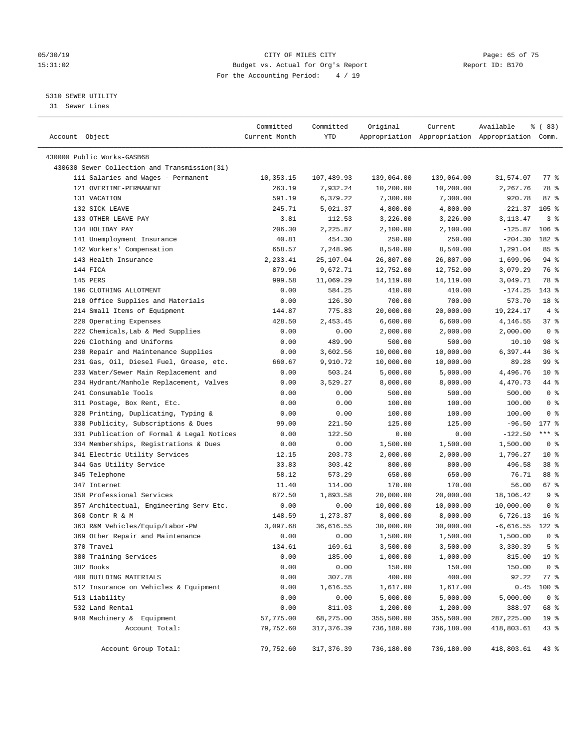#### 05/30/19 Page: 65 of 75 15:31:02 Budget vs. Actual for Org's Report Report ID: B170 For the Accounting Period: 4 / 19

————————————————————————————————————————————————————————————————————————————————————————————————————————————————————————————————————

#### 5310 SEWER UTILITY

31 Sewer Lines

|                                              | Committed     | Committed             | Original   | Current    | Available                                       | % (83)             |
|----------------------------------------------|---------------|-----------------------|------------|------------|-------------------------------------------------|--------------------|
| Account Object                               | Current Month | YTD                   |            |            | Appropriation Appropriation Appropriation Comm. |                    |
| 430000 Public Works-GASB68                   |               |                       |            |            |                                                 |                    |
| 430630 Sewer Collection and Transmission(31) |               |                       |            |            |                                                 |                    |
| 111 Salaries and Wages - Permanent           | 10,353.15     | 107,489.93            | 139,064.00 | 139,064.00 | 31,574.07                                       | $77$ $\frac{6}{9}$ |
| 121 OVERTIME-PERMANENT                       | 263.19        | 7,932.24              | 10,200.00  | 10,200.00  | 2,267.76                                        | 78 %               |
| 131 VACATION                                 | 591.19        | 6,379.22              | 7,300.00   | 7,300.00   | 920.78                                          | 87%                |
| 132 SICK LEAVE                               | 245.71        | 5,021.37              | 4,800.00   | 4,800.00   | -221.37                                         | 105 <sub>8</sub>   |
| 133 OTHER LEAVE PAY                          | 3.81          | 112.53                | 3,226.00   | 3,226.00   | 3,113.47                                        | 3 <sup>°</sup>     |
| 134 HOLIDAY PAY                              | 206.30        | 2,225.87              | 2,100.00   | 2,100.00   | $-125.87$                                       | $106$ %            |
| 141 Unemployment Insurance                   | 40.81         | 454.30                | 250.00     | 250.00     | $-204.30$                                       | 182 %              |
| 142 Workers' Compensation                    | 658.57        | 7,248.96              | 8,540.00   | 8,540.00   | 1,291.04                                        | 85%                |
| 143 Health Insurance                         | 2,233.41      | 25,107.04             | 26,807.00  | 26,807.00  | 1,699.96                                        | 94 %               |
| 144 FICA                                     | 879.96        | 9,672.71              | 12,752.00  | 12,752.00  | 3,079.29                                        | 76 %               |
| 145 PERS                                     | 999.58        | 11,069.29             | 14,119.00  | 14,119.00  | 3,049.71                                        | 78 %               |
| 196 CLOTHING ALLOTMENT                       | 0.00          | 584.25                | 410.00     | 410.00     | $-174.25$                                       | 143 %              |
| 210 Office Supplies and Materials            | 0.00          | 126.30                | 700.00     | 700.00     | 573.70                                          | 18 %               |
| 214 Small Items of Equipment                 | 144.87        | 775.83                | 20,000.00  | 20,000.00  | 19,224.17                                       | 4%                 |
| 220 Operating Expenses                       | 428.50        | 2,453.45              | 6,600.00   | 6,600.00   | 4,146.55                                        | 37%                |
| 222 Chemicals, Lab & Med Supplies            | 0.00          | 0.00                  | 2,000.00   | 2,000.00   | 2,000.00                                        | 0 <sup>8</sup>     |
| 226 Clothing and Uniforms                    | 0.00          | 489.90                | 500.00     | 500.00     | 10.10                                           | 98 %               |
| 230 Repair and Maintenance Supplies          | 0.00          | 3,602.56              | 10,000.00  | 10,000.00  | 6,397.44                                        | 36%                |
| 231 Gas, Oil, Diesel Fuel, Grease, etc.      | 660.67        | 9,910.72              | 10,000.00  | 10,000.00  | 89.28                                           | 99 %               |
| 233 Water/Sewer Main Replacement and         | 0.00          | 503.24                | 5,000.00   | 5,000.00   | 4,496.76                                        | $10*$              |
| 234 Hydrant/Manhole Replacement, Valves      | 0.00          | 3,529.27              | 8,000.00   | 8,000.00   | 4,470.73                                        | 44 %               |
| 241 Consumable Tools                         | 0.00          | 0.00                  | 500.00     | 500.00     | 500.00                                          | 0 <sup>8</sup>     |
|                                              | 0.00          | 0.00                  | 100.00     | 100.00     | 100.00                                          | 0 <sup>8</sup>     |
| 311 Postage, Box Rent, Etc.                  |               |                       |            |            |                                                 | 0 <sup>8</sup>     |
| 320 Printing, Duplicating, Typing &          | 0.00          | 0.00                  | 100.00     | 100.00     | 100.00                                          | $177$ %            |
| 330 Publicity, Subscriptions & Dues          | 99.00         | 221.50                | 125.00     | 125.00     | $-96.50$                                        | $***$ $-$          |
| 331 Publication of Formal & Legal Notices    | 0.00          | 122.50                | 0.00       | 0.00       | $-122.50$                                       | 0 <sup>8</sup>     |
| 334 Memberships, Registrations & Dues        | 0.00          | 0.00<br>203.73        | 1,500.00   | 1,500.00   | 1,500.00                                        | $10*$              |
| 341 Electric Utility Services                | 12.15         |                       | 2,000.00   | 2,000.00   | 1,796.27                                        | 38 <sup>8</sup>    |
| 344 Gas Utility Service                      | 33.83         | 303.42                | 800.00     | 800.00     | 496.58                                          | 88 %               |
| 345 Telephone                                | 58.12         | 573.29                | 650.00     | 650.00     | 76.71                                           |                    |
| 347 Internet<br>350 Professional Services    | 11.40         | 114.00                | 170.00     | 170.00     | 56.00                                           | 67 %<br>9%         |
|                                              | 672.50        | 1,893.58              | 20,000.00  | 20,000.00  | 18,106.42                                       |                    |
| 357 Architectual, Engineering Serv Etc.      | 0.00          | 0.00                  | 10,000.00  | 10,000.00  | 10,000.00                                       | 0 <sup>8</sup>     |
| 360 Contr R & M                              | 148.59        | 1,273.87<br>36,616.55 | 8,000.00   | 8,000.00   | 6,726.13                                        | 16 <sup>°</sup>    |
| 363 R&M Vehicles/Equip/Labor-PW              | 3,097.68      |                       | 30,000.00  | 30,000.00  | $-6,616.55$                                     | $122$ %            |
| 369 Other Repair and Maintenance             | 0.00          | 0.00                  | 1,500.00   | 1,500.00   | 1,500.00                                        | 0 <sup>8</sup>     |
| 370 Travel                                   | 134.61        | 169.61                | 3,500.00   | 3,500.00   | 3,330.39                                        | 5 <sup>8</sup>     |
| 380 Training Services                        | 0.00          | 185.00                | 1,000.00   | 1,000.00   | 815.00                                          | 19 %               |
| 382 Books                                    | 0.00          | 0.00                  | 150.00     | 150.00     | 150.00                                          | 0 <sup>8</sup>     |
| 400 BUILDING MATERIALS                       | 0.00          | 307.78                | 400.00     | 400.00     | 92.22                                           | $77$ $%$           |
| 512 Insurance on Vehicles & Equipment        | 0.00          | 1,616.55              | 1,617.00   | 1,617.00   | 0.45                                            | 100 %              |
| 513 Liability                                | 0.00          | 0.00                  | 5,000.00   | 5,000.00   | 5,000.00                                        | 0 <sup>8</sup>     |
| 532 Land Rental                              | 0.00          | 811.03                | 1,200.00   | 1,200.00   | 388.97                                          | 68 %               |
| 940 Machinery & Equipment                    | 57,775.00     | 68,275.00             | 355,500.00 | 355,500.00 | 287, 225.00                                     | 19 <sup>°</sup>    |
| Account Total:                               | 79,752.60     | 317,376.39            | 736,180.00 | 736,180.00 | 418,803.61                                      | 43 %               |
| Account Group Total:                         | 79,752.60     | 317, 376.39           | 736,180.00 | 736,180.00 | 418,803.61                                      | $43$ %             |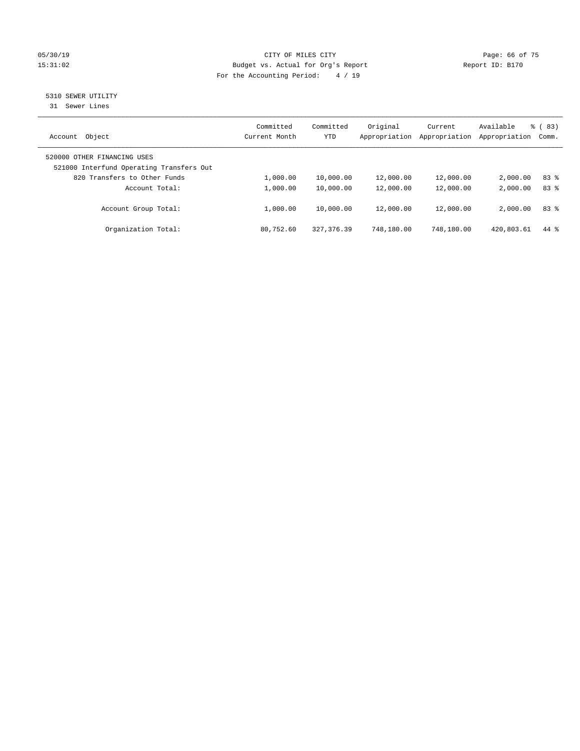#### 05/30/19 CITY OF MILES CITY Page: 66 of 75 15:31:02 Budget vs. Actual for Org's Report Report ID: B170 For the Accounting Period: 4 / 19

## 5310 SEWER UTILITY

31 Sewer Lines

| Object<br>Account                                                       | Committed<br>Current Month | Committed<br><b>YTD</b> | Original<br>Appropriation | Current<br>Appropriation | Available<br>Appropriation | $\frac{6}{6}$ (83)<br>Comm. |
|-------------------------------------------------------------------------|----------------------------|-------------------------|---------------------------|--------------------------|----------------------------|-----------------------------|
| 520000 OTHER FINANCING USES<br>521000 Interfund Operating Transfers Out |                            |                         |                           |                          |                            |                             |
| 820 Transfers to Other Funds                                            | 1,000.00                   | 10,000.00               | 12,000.00                 | 12,000.00                | 2,000.00                   | 83 %                        |
| Account Total:                                                          | 1,000.00                   | 10,000.00               | 12,000.00                 | 12,000.00                | 2,000.00                   | $83*$                       |
| Account Group Total:                                                    | 1,000.00                   | 10,000.00               | 12,000.00                 | 12,000.00                | 2,000.00                   | $83*$                       |
| Organization Total:                                                     | 80,752.60                  | 327, 376, 39            | 748,180.00                | 748,180.00               | 420,803.61                 | 44 %                        |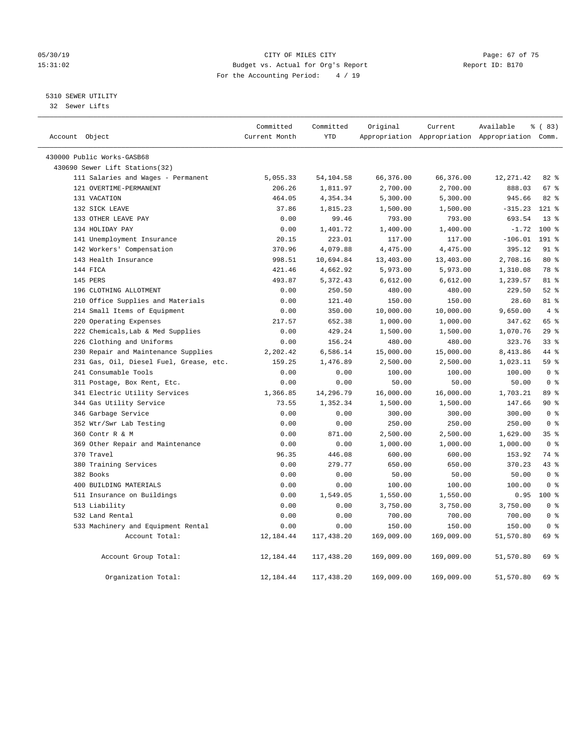#### 05/30/19 Page: 67 of 75 15:31:02 Budget vs. Actual for Org's Report Report ID: B170 For the Accounting Period: 4 / 19

5310 SEWER UTILITY

32 Sewer Lifts

| Account Object |                                         | Committed<br>Current Month | Committed<br><b>YTD</b> | Original   | Current    | Available<br>Appropriation Appropriation Appropriation Comm. | % (83)         |  |
|----------------|-----------------------------------------|----------------------------|-------------------------|------------|------------|--------------------------------------------------------------|----------------|--|
|                | 430000 Public Works-GASB68              |                            |                         |            |            |                                                              |                |  |
|                | 430690 Sewer Lift Stations(32)          |                            |                         |            |            |                                                              |                |  |
|                | 111 Salaries and Wages - Permanent      | 5,055.33                   | 54,104.58               | 66,376.00  | 66,376.00  | 12, 271.42                                                   | 82%            |  |
|                | 121 OVERTIME-PERMANENT                  | 206.26                     | 1,811.97                | 2,700.00   | 2,700.00   | 888.03                                                       | 67 %           |  |
|                | 131 VACATION                            | 464.05                     | 4,354.34                | 5,300.00   | 5,300.00   | 945.66                                                       | 82 %           |  |
|                | 132 SICK LEAVE                          | 37.86                      | 1,815.23                | 1,500.00   | 1,500.00   | $-315.23$                                                    | $121$ %        |  |
|                | 133 OTHER LEAVE PAY                     | 0.00                       | 99.46                   | 793.00     | 793.00     | 693.54                                                       | $13*$          |  |
|                | 134 HOLIDAY PAY                         | 0.00                       | 1,401.72                | 1,400.00   | 1,400.00   | $-1.72$                                                      | $100*$         |  |
|                | 141 Unemployment Insurance              | 20.15                      | 223.01                  | 117.00     | 117.00     | $-106.01$                                                    | 191 %          |  |
|                | 142 Workers' Compensation               | 370.96                     | 4,079.88                | 4,475.00   | 4,475.00   | 395.12                                                       | $91$ %         |  |
|                | 143 Health Insurance                    | 998.51                     | 10,694.84               | 13,403.00  | 13,403.00  | 2,708.16                                                     | $80*$          |  |
|                | 144 FICA                                | 421.46                     | 4,662.92                | 5,973.00   | 5,973.00   | 1,310.08                                                     | 78 %           |  |
|                | 145 PERS                                | 493.87                     | 5,372.43                | 6,612.00   | 6,612.00   | 1,239.57                                                     | 81 %           |  |
|                | 196 CLOTHING ALLOTMENT                  | 0.00                       | 250.50                  | 480.00     | 480.00     | 229.50                                                       | $52$ $%$       |  |
|                | 210 Office Supplies and Materials       | 0.00                       | 121.40                  | 150.00     | 150.00     | 28.60                                                        | 81 %           |  |
|                | 214 Small Items of Equipment            | 0.00                       | 350.00                  | 10,000.00  | 10,000.00  | 9,650.00                                                     | 4%             |  |
|                | 220 Operating Expenses                  | 217.57                     | 652.38                  | 1,000.00   | 1,000.00   | 347.62                                                       | 65 %           |  |
|                | 222 Chemicals, Lab & Med Supplies       | 0.00                       | 429.24                  | 1,500.00   | 1,500.00   | 1,070.76                                                     | 29%            |  |
|                | 226 Clothing and Uniforms               | 0.00                       | 156.24                  | 480.00     | 480.00     | 323.76                                                       | 33%            |  |
|                | 230 Repair and Maintenance Supplies     | 2,202.42                   | 6,586.14                | 15,000.00  | 15,000.00  | 8,413.86                                                     | 44 %           |  |
|                | 231 Gas, Oil, Diesel Fuel, Grease, etc. | 159.25                     | 1,476.89                | 2,500.00   | 2,500.00   | 1,023.11                                                     | 59 %           |  |
|                | 241 Consumable Tools                    | 0.00                       | 0.00                    | 100.00     | 100.00     | 100.00                                                       | 0 <sup>8</sup> |  |
|                | 311 Postage, Box Rent, Etc.             | 0.00                       | 0.00                    | 50.00      | 50.00      | 50.00                                                        | 0 <sup>8</sup> |  |
|                | 341 Electric Utility Services           | 1,366.85                   | 14,296.79               | 16,000.00  | 16,000.00  | 1,703.21                                                     | 89 %           |  |
|                | 344 Gas Utility Service                 | 73.55                      | 1,352.34                | 1,500.00   | 1,500.00   | 147.66                                                       | 90%            |  |
|                | 346 Garbage Service                     | 0.00                       | 0.00                    | 300.00     | 300.00     | 300.00                                                       | 0 <sup>8</sup> |  |
|                | 352 Wtr/Swr Lab Testing                 | 0.00                       | 0.00                    | 250.00     | 250.00     | 250.00                                                       | 0 <sup>8</sup> |  |
|                | 360 Contr R & M                         | 0.00                       | 871.00                  | 2,500.00   | 2,500.00   | 1,629.00                                                     | 35%            |  |
|                | 369 Other Repair and Maintenance        | 0.00                       | 0.00                    | 1,000.00   | 1,000.00   | 1,000.00                                                     | 0 <sup>8</sup> |  |
|                | 370 Travel                              | 96.35                      | 446.08                  | 600.00     | 600.00     | 153.92                                                       | 74 %           |  |
|                | 380 Training Services                   | 0.00                       | 279.77                  | 650.00     | 650.00     | 370.23                                                       | 43 %           |  |
|                | 382 Books                               | 0.00                       | 0.00                    | 50.00      | 50.00      | 50.00                                                        | 0 <sup>8</sup> |  |
|                | 400 BUILDING MATERIALS                  | 0.00                       | 0.00                    | 100.00     | 100.00     | 100.00                                                       | 0 <sup>8</sup> |  |
|                | 511 Insurance on Buildings              | 0.00                       | 1,549.05                | 1,550.00   | 1,550.00   | 0.95                                                         | $100*$         |  |
|                | 513 Liability                           | 0.00                       | 0.00                    | 3,750.00   | 3,750.00   | 3,750.00                                                     | 0 <sup>8</sup> |  |
|                | 532 Land Rental                         | 0.00                       | 0.00                    | 700.00     | 700.00     | 700.00                                                       | 0 <sup>8</sup> |  |
|                | 533 Machinery and Equipment Rental      | 0.00                       | 0.00                    | 150.00     | 150.00     | 150.00                                                       | 0 <sup>8</sup> |  |
|                | Account Total:                          | 12,184.44                  | 117,438.20              | 169,009.00 | 169,009.00 | 51,570.80                                                    | 69 %           |  |
|                | Account Group Total:                    | 12,184.44                  | 117,438.20              | 169,009.00 | 169,009.00 | 51,570.80                                                    | 69 %           |  |
|                | Organization Total:                     | 12,184.44                  | 117,438.20              | 169,009.00 | 169,009.00 | 51,570.80                                                    | 69 %           |  |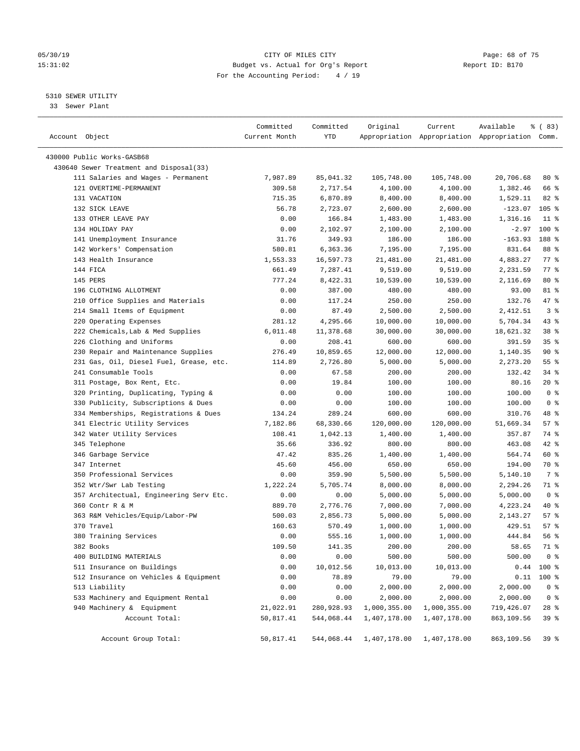#### 05/30/19 CITY OF MILES CITY Page: 68 of 75 15:31:02 Budget vs. Actual for Org's Report Report ID: B170 For the Accounting Period: 4 / 19

————————————————————————————————————————————————————————————————————————————————————————————————————————————————————————————————————

#### 5310 SEWER UTILITY

33 Sewer Plant

|                                         | Committed     | Committed  | Original     | Current                                         | Available  | % (83)          |  |
|-----------------------------------------|---------------|------------|--------------|-------------------------------------------------|------------|-----------------|--|
| Account Object                          | Current Month | YTD        |              | Appropriation Appropriation Appropriation Comm. |            |                 |  |
| 430000 Public Works-GASB68              |               |            |              |                                                 |            |                 |  |
| 430640 Sewer Treatment and Disposal(33) |               |            |              |                                                 |            |                 |  |
| 111 Salaries and Wages - Permanent      | 7,987.89      | 85,041.32  | 105,748.00   | 105,748.00                                      | 20,706.68  | 80%             |  |
| 121 OVERTIME-PERMANENT                  | 309.58        | 2,717.54   | 4,100.00     | 4,100.00                                        | 1,382.46   | 66 %            |  |
| 131 VACATION                            | 715.35        | 6,870.89   | 8,400.00     | 8,400.00                                        | 1,529.11   | $82$ $%$        |  |
| 132 SICK LEAVE                          | 56.78         | 2,723.07   | 2,600.00     | 2,600.00                                        | $-123.07$  | $105$ %         |  |
| 133 OTHER LEAVE PAY                     | 0.00          | 166.84     | 1,483.00     | 1,483.00                                        | 1,316.16   | $11$ %          |  |
| 134 HOLIDAY PAY                         | 0.00          | 2,102.97   | 2,100.00     | 2,100.00                                        | $-2.97$    | $100*$          |  |
| 141 Unemployment Insurance              | 31.76         | 349.93     | 186.00       | 186.00                                          | $-163.93$  | 188 %           |  |
| 142 Workers' Compensation               | 580.81        | 6,363.36   | 7,195.00     | 7,195.00                                        | 831.64     | 88 %            |  |
| 143 Health Insurance                    | 1,553.33      | 16,597.73  | 21,481.00    | 21,481.00                                       | 4,883.27   | 77%             |  |
| 144 FICA                                | 661.49        | 7,287.41   | 9,519.00     | 9,519.00                                        | 2,231.59   | 77%             |  |
| 145 PERS                                | 777.24        | 8,422.31   | 10,539.00    | 10,539.00                                       | 2,116.69   | 80 %            |  |
| 196 CLOTHING ALLOTMENT                  | 0.00          | 387.00     | 480.00       | 480.00                                          | 93.00      | 81 %            |  |
| 210 Office Supplies and Materials       | 0.00          | 117.24     | 250.00       | 250.00                                          | 132.76     | 47 %            |  |
| 214 Small Items of Equipment            | 0.00          | 87.49      | 2,500.00     | 2,500.00                                        | 2,412.51   | 3 <sup>8</sup>  |  |
| 220 Operating Expenses                  | 281.12        | 4,295.66   | 10,000.00    | 10,000.00                                       | 5,704.34   | 43 %            |  |
| 222 Chemicals, Lab & Med Supplies       | 6,011.48      | 11,378.68  | 30,000.00    | 30,000.00                                       | 18,621.32  | 38 %            |  |
| 226 Clothing and Uniforms               | 0.00          | 208.41     | 600.00       | 600.00                                          | 391.59     | 35%             |  |
| 230 Repair and Maintenance Supplies     | 276.49        | 10,859.65  | 12,000.00    | 12,000.00                                       | 1,140.35   | 90%             |  |
| 231 Gas, Oil, Diesel Fuel, Grease, etc. | 114.89        | 2,726.80   | 5,000.00     | 5,000.00                                        | 2,273.20   | 55%             |  |
| 241 Consumable Tools                    | 0.00          | 67.58      | 200.00       | 200.00                                          | 132.42     | 34%             |  |
| 311 Postage, Box Rent, Etc.             | 0.00          | 19.84      | 100.00       | 100.00                                          | 80.16      | $20*$           |  |
| 320 Printing, Duplicating, Typing &     | 0.00          | 0.00       | 100.00       | 100.00                                          | 100.00     | 0 <sup>8</sup>  |  |
| 330 Publicity, Subscriptions & Dues     | 0.00          | 0.00       | 100.00       | 100.00                                          | 100.00     | 0 <sup>8</sup>  |  |
| 334 Memberships, Registrations & Dues   | 134.24        | 289.24     | 600.00       | 600.00                                          | 310.76     | 48 %            |  |
| 341 Electric Utility Services           | 7,182.86      | 68,330.66  | 120,000.00   | 120,000.00                                      | 51,669.34  | 57%             |  |
| 342 Water Utility Services              | 108.41        | 1,042.13   | 1,400.00     | 1,400.00                                        | 357.87     | 74 %            |  |
| 345 Telephone                           | 35.66         | 336.92     | 800.00       | 800.00                                          | 463.08     | 42 %            |  |
| 346 Garbage Service                     | 47.42         | 835.26     | 1,400.00     | 1,400.00                                        | 564.74     | 60 %            |  |
| 347 Internet                            | 45.60         | 456.00     | 650.00       | 650.00                                          | 194.00     | 70 %            |  |
| 350 Professional Services               | 0.00          | 359.90     | 5,500.00     | 5,500.00                                        | 5,140.10   | 7 %             |  |
| 352 Wtr/Swr Lab Testing                 | 1,222.24      | 5,705.74   | 8,000.00     | 8,000.00                                        | 2,294.26   | 71 %            |  |
| 357 Architectual, Engineering Serv Etc. | 0.00          | 0.00       | 5,000.00     | 5,000.00                                        | 5,000.00   | 0 <sup>8</sup>  |  |
| 360 Contr R & M                         | 889.70        | 2,776.76   | 7,000.00     | 7,000.00                                        | 4,223.24   | 40 %            |  |
| 363 R&M Vehicles/Equip/Labor-PW         | 500.03        | 2,856.73   | 5,000.00     | 5,000.00                                        | 2,143.27   | 57%             |  |
| 370 Travel                              | 160.63        | 570.49     | 1,000.00     | 1,000.00                                        | 429.51     | 57%             |  |
| 380 Training Services                   | 0.00          | 555.16     | 1,000.00     | 1,000.00                                        | 444.84     | 56 %            |  |
| 382 Books                               | 109.50        | 141.35     | 200.00       | 200.00                                          | 58.65      | 71 %            |  |
| 400 BUILDING MATERIALS                  | 0.00          | 0.00       | 500.00       | 500.00                                          | 500.00     | 0 <sup>8</sup>  |  |
| 511 Insurance on Buildings              | 0.00          | 10,012.56  | 10,013.00    | 10,013.00                                       | 0.44       | 100 %           |  |
| 512 Insurance on Vehicles & Equipment   | 0.00          | 78.89      | 79.00        | 79.00                                           | 0.11       | $100$ %         |  |
| 513 Liability                           | 0.00          | 0.00       | 2,000.00     | 2,000.00                                        | 2,000.00   | 0 <sup>8</sup>  |  |
| 533 Machinery and Equipment Rental      | 0.00          | 0.00       | 2,000.00     | 2,000.00                                        | 2,000.00   | 0 <sup>8</sup>  |  |
| 940 Machinery & Equipment               | 21,022.91     | 280,928.93 | 1,000,355.00 | 1,000,355.00                                    | 719,426.07 | 28 %            |  |
| Account Total:                          | 50,817.41     | 544,068.44 | 1,407,178.00 | 1,407,178.00                                    | 863,109.56 | 39 %            |  |
|                                         |               |            |              |                                                 |            |                 |  |
| Account Group Total:                    | 50,817.41     | 544,068.44 | 1,407,178.00 | 1,407,178.00                                    | 863,109.56 | 39 <sup>8</sup> |  |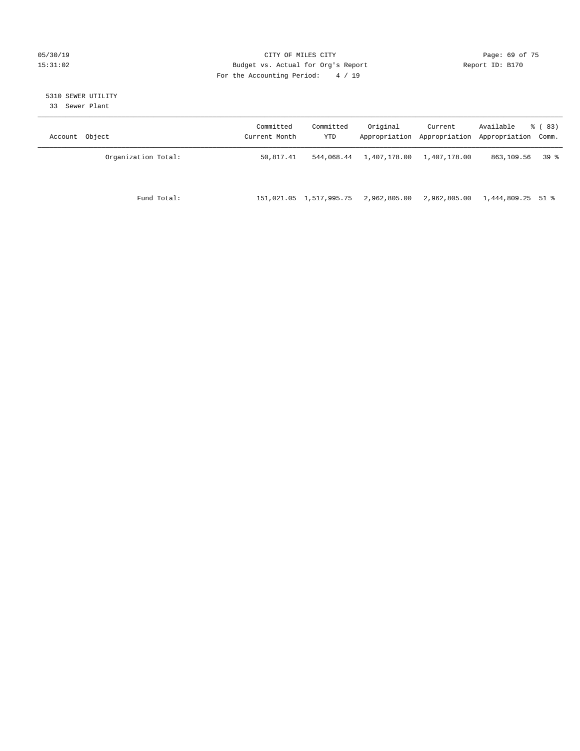#### 05/30/19 CITY OF MILES CITY Page: 69 of 75 15:31:02 Budget vs. Actual for Org's Report Changer Report ID: B170 For the Accounting Period: 4 / 19

## 5310 SEWER UTILITY

33 Sewer Plant

| Object<br>Account   | Committed<br>Current Month | Committed<br>YTD        | Original     | Current<br>Appropriation Appropriation | Available<br>Appropriation Comm. | % (83) |
|---------------------|----------------------------|-------------------------|--------------|----------------------------------------|----------------------------------|--------|
| Organization Total: | 50,817.41                  | 544,068.44              | 1,407,178.00 | 1,407,178.00                           | 863,109.56                       | 39 %   |
| Fund Total:         |                            | 151,021.05 1,517,995.75 | 2,962,805.00 | 2,962,805.00                           | 1,444,809.25 51 %                |        |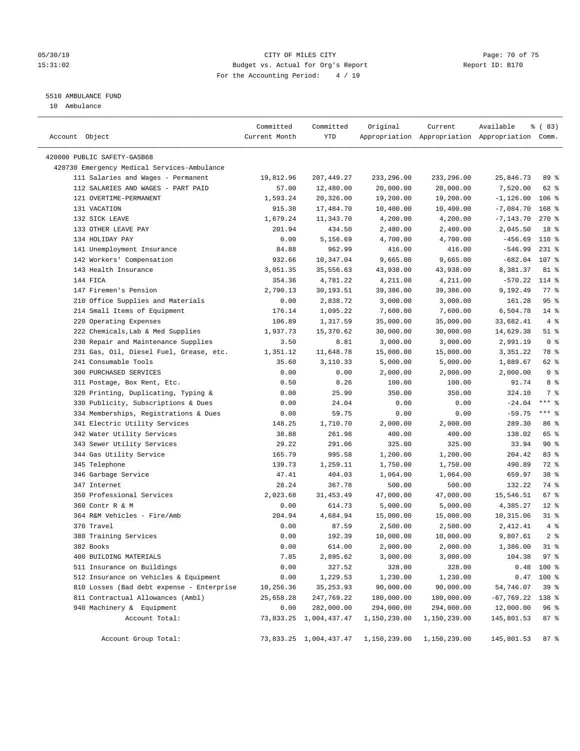#### 05/30/19 Page: 70 of 75 15:31:02 Budget vs. Actual for Org's Report Report ID: B170 For the Accounting Period: 4 / 19

————————————————————————————————————————————————————————————————————————————————————————————————————————————————————————————————————

#### 5510 AMBULANCE FUND

10 Ambulance

|                                             | Committed     | Committed              | Original                                         | Current                                         | Available              | 8 ( 83)         |  |
|---------------------------------------------|---------------|------------------------|--------------------------------------------------|-------------------------------------------------|------------------------|-----------------|--|
| Account Object                              | Current Month | YTD                    |                                                  | Appropriation Appropriation Appropriation Comm. |                        |                 |  |
| 420000 PUBLIC SAFETY-GASB68                 |               |                        |                                                  |                                                 |                        |                 |  |
| 420730 Emergency Medical Services-Ambulance |               |                        |                                                  |                                                 |                        |                 |  |
| 111 Salaries and Wages - Permanent          | 19,812.96     | 207,449.27             | 233,296.00                                       | 233,296.00                                      | 25,846.73              | 89 %            |  |
| 112 SALARIES AND WAGES - PART PAID          | 57.00         | 12,480.00              | 20,000.00                                        | 20,000.00                                       | 7,520.00               | 62 %            |  |
| 121 OVERTIME-PERMANENT                      | 1,593.24      | 20,326.00              |                                                  |                                                 |                        | $106$ %         |  |
| 131 VACATION                                |               |                        | 19,200.00                                        | 19,200.00                                       | $-1,126.00$            |                 |  |
|                                             | 915.38        | 17,484.70              | 10,400.00                                        | 10,400.00                                       | $-7,084.70$            | $168$ %         |  |
| 132 SICK LEAVE                              | 1,679.24      | 11,343.70              | 4,200.00<br>2,480.00                             | 4,200.00                                        | $-7, 143.70$           | $270$ %         |  |
| 133 OTHER LEAVE PAY<br>134 HOLIDAY PAY      | 201.94        | 434.50                 |                                                  | 2,480.00                                        | 2,045.50               | 18 <sup>°</sup> |  |
|                                             | 0.00          | 5,156.69               | 4,700.00                                         | 4,700.00                                        | $-456.69$<br>$-546.99$ | 110 %           |  |
| 141 Unemployment Insurance                  | 84.88         | 962.99                 | 416.00                                           | 416.00                                          |                        | $231$ %         |  |
| 142 Workers' Compensation                   | 932.66        | 10,347.04              | 9,665.00                                         | 9,665.00                                        | $-682.04$              | 107 %           |  |
| 143 Health Insurance                        | 3,051.35      | 35,556.63              | 43,938.00                                        | 43,938.00                                       | 8,381.37               | 81 %            |  |
| 144 FICA                                    | 354.36        | 4,781.22               | 4,211.00                                         | 4,211.00                                        | $-570.22$              | 114 %           |  |
| 147 Firemen's Pension                       | 2,790.13      | 30,193.51              | 39,386.00                                        | 39,386.00                                       | 9,192.49               | $77$ $%$        |  |
| 210 Office Supplies and Materials           | 0.00          | 2,838.72               | 3,000.00                                         | 3,000.00                                        | 161.28                 | 95%             |  |
| 214 Small Items of Equipment                | 176.14        | 1,095.22               | 7,600.00                                         | 7,600.00                                        | 6,504.78               | $14*$           |  |
| 220 Operating Expenses                      | 106.89        | 1,317.59               | 35,000.00                                        | 35,000.00                                       | 33,682.41              | 4%              |  |
| 222 Chemicals, Lab & Med Supplies           | 1,937.73      | 15,370.62              | 30,000.00                                        | 30,000.00                                       | 14,629.38              | $51$ %          |  |
| 230 Repair and Maintenance Supplies         | 3.50          | 8.81                   | 3,000.00                                         | 3,000.00                                        | 2,991.19               | 0 <sup>8</sup>  |  |
| 231 Gas, Oil, Diesel Fuel, Grease, etc.     | 1,351.12      | 11,648.78              | 15,000.00                                        | 15,000.00                                       | 3,351.22               | 78 %            |  |
| 241 Consumable Tools                        | 35.60         | 3,110.33               | 5,000.00                                         | 5,000.00                                        | 1,889.67               | 62 %            |  |
| 300 PURCHASED SERVICES                      | 0.00          | 0.00                   | 2,000.00                                         | 2,000.00                                        | 2,000.00               | 0 <sup>8</sup>  |  |
| 311 Postage, Box Rent, Etc.                 | 0.50          | 8.26                   | 100.00                                           | 100.00                                          | 91.74                  | 8%              |  |
| 320 Printing, Duplicating, Typing &         | 0.00          | 25.90                  | 350.00                                           | 350.00                                          | 324.10                 | 7 %             |  |
| 330 Publicity, Subscriptions & Dues         | 0.00          | 24.04                  | 0.00                                             | 0.00                                            | $-24.04$               | $***$ $%$       |  |
| 334 Memberships, Registrations & Dues       | 0.00          | 59.75                  | 0.00                                             | 0.00                                            | $-59.75$               | $***$ $-$       |  |
| 341 Electric Utility Services               | 148.25        | 1,710.70               | 2,000.00                                         | 2,000.00                                        | 289.30                 | 86 %            |  |
| 342 Water Utility Services                  | 38.88         | 261.98                 | 400.00                                           | 400.00                                          | 138.02                 | 65 %            |  |
| 343 Sewer Utility Services                  | 29.22         | 291.06                 | 325.00                                           | 325.00                                          | 33.94                  | 90%             |  |
| 344 Gas Utility Service                     | 165.79        | 995.58                 | 1,200.00                                         | 1,200.00                                        | 204.42                 | 83%             |  |
| 345 Telephone                               | 139.73        | 1,259.11               | 1,750.00                                         | 1,750.00                                        | 490.89                 | 72 %            |  |
| 346 Garbage Service                         | 47.41         | 404.03                 | 1,064.00                                         | 1,064.00                                        | 659.97                 | 38 <sup>8</sup> |  |
| 347 Internet                                | 28.24         | 367.78                 | 500.00                                           | 500.00                                          | 132.22                 | 74 %            |  |
| 350 Professional Services                   | 2,023.68      | 31,453.49              | 47,000.00                                        | 47,000.00                                       | 15,546.51              | $67$ %          |  |
| 360 Contr R & M                             | 0.00          | 614.73                 | 5,000.00                                         | 5,000.00                                        | 4,385.27               | $12*$           |  |
| 364 R&M Vehicles - Fire/Amb                 | 204.94        | 4,684.94               | 15,000.00                                        | 15,000.00                                       | 10,315.06              | $31$ %          |  |
| 370 Travel                                  | 0.00          | 87.59                  | 2,500.00                                         | 2,500.00                                        | 2,412.41               | 4%              |  |
| 380 Training Services                       | 0.00          | 192.39                 | 10,000.00                                        | 10,000.00                                       | 9,807.61               | 2 <sup>°</sup>  |  |
| 382 Books                                   | 0.00          | 614.00                 | 2,000.00                                         | 2,000.00                                        | 1,386.00               | $31$ %          |  |
| 400 BUILDING MATERIALS                      | 7.85          | 2,895.62               | 3,000.00                                         | 3,000.00                                        | 104.38 97 %            |                 |  |
| 511 Insurance on Buildings                  | 0.00          | 327.52                 | 328.00                                           | 328.00                                          |                        | $0.48$ 100 %    |  |
| 512 Insurance on Vehicles & Equipment       | 0.00          | 1,229.53               | 1,230.00                                         | 1,230.00                                        |                        | $0.47$ 100 %    |  |
| 810 Losses (Bad debt expense - Enterprise   | 10,256.36     | 35, 253.93             | 90,000.00                                        | 90,000.00                                       | 54,746.07              | 39%             |  |
| 811 Contractual Allowances (Ambl)           | 25,658.28     | 247,769.22             | 180,000.00                                       | 180,000.00                                      | -67,769.22             | 138 %           |  |
| 940 Machinery & Equipment                   | 0.00          | 282,000.00             | 294,000.00                                       | 294,000.00                                      | 12,000.00              | 96 <sup>°</sup> |  |
| Account Total:                              |               | 73,833.25 1,004,437.47 | 1,150,239.00                                     | 1,150,239.00                                    | 145,801.53             | 87%             |  |
|                                             |               |                        |                                                  |                                                 |                        |                 |  |
| Account Group Total:                        |               |                        | 73,833.25 1,004,437.47 1,150,239.00 1,150,239.00 |                                                 | 145,801.53 87 %        |                 |  |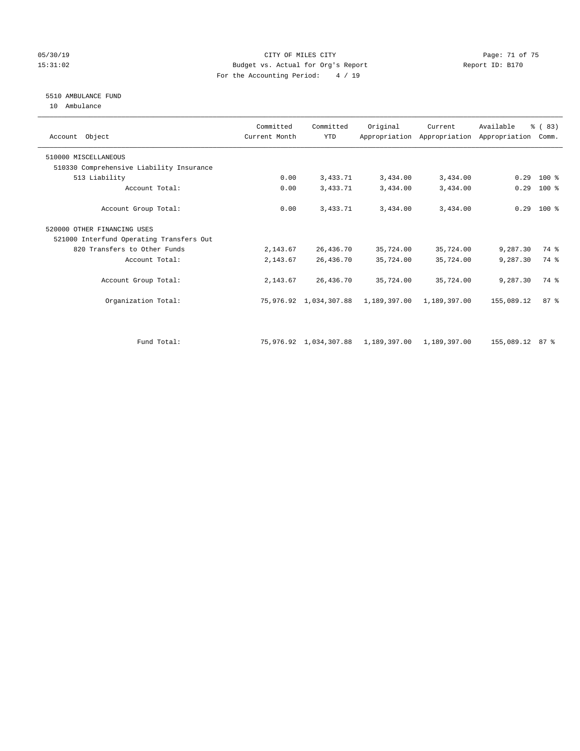#### 05/30/19 Page: 71 of 75 15:31:02 Budget vs. Actual for Org's Report Report ID: B170 For the Accounting Period: 4 / 19

#### 5510 AMBULANCE FUND

10 Ambulance

| Account Object                           | Committed<br>Current Month | Committed<br><b>YTD</b> | Original                  | Current      | Available<br>Appropriation Appropriation Appropriation | % (83)<br>Comm. |  |
|------------------------------------------|----------------------------|-------------------------|---------------------------|--------------|--------------------------------------------------------|-----------------|--|
| 510000 MISCELLANEOUS                     |                            |                         |                           |              |                                                        |                 |  |
| 510330 Comprehensive Liability Insurance |                            |                         |                           |              |                                                        |                 |  |
| 513 Liability                            | 0.00                       | 3,433.71                | 3,434.00                  | 3,434.00     | 0.29                                                   | $100*$          |  |
| Account Total:                           | 0.00                       | 3,433.71                | 3,434.00                  | 3,434.00     | 0.29                                                   | $100$ %         |  |
| Account Group Total:                     | 0.00                       | 3,433.71                | 3,434.00                  | 3,434.00     |                                                        | $0.29$ 100 %    |  |
| 520000 OTHER FINANCING USES              |                            |                         |                           |              |                                                        |                 |  |
| 521000 Interfund Operating Transfers Out |                            |                         |                           |              |                                                        |                 |  |
| 820 Transfers to Other Funds             | 2,143.67                   | 26,436.70               | 35,724.00                 | 35,724.00    | 9,287.30                                               | 74 %            |  |
| Account Total:                           | 2,143.67                   | 26,436.70               | 35,724.00                 | 35,724.00    | 9,287.30                                               | 74 %            |  |
| Account Group Total:                     | 2,143.67                   | 26,436.70               | 35,724.00                 | 35,724.00    | 9,287.30                                               | 74 %            |  |
| Organization Total:                      |                            | 75,976.92 1,034,307.88  | 1,189,397.00              | 1,189,397.00 | 155,089.12                                             | 87%             |  |
|                                          |                            |                         |                           |              |                                                        |                 |  |
| Fund Total:                              |                            | 75,976.92 1,034,307.88  | 1,189,397.00 1,189,397.00 |              | 155,089.12 87 %                                        |                 |  |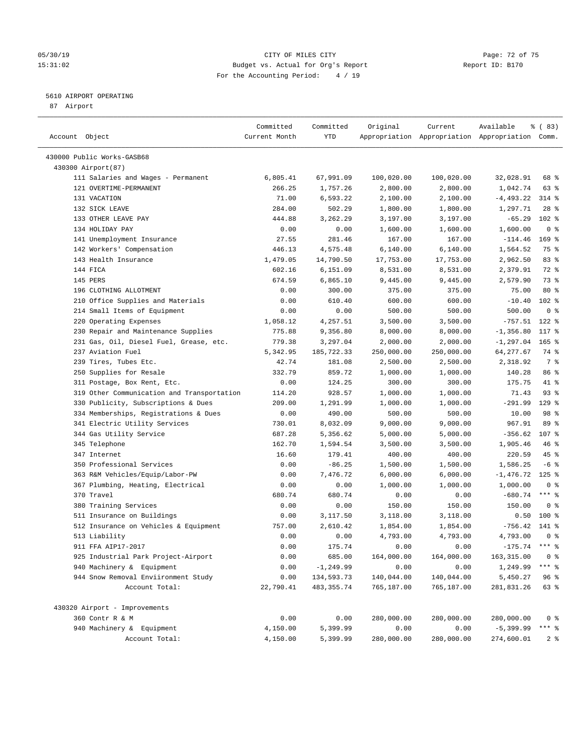#### 05/30/19 CITY OF MILES CITY Page: 72 of 75 15:31:02 Budget vs. Actual for Org's Report Report ID: B170 For the Accounting Period: 4 / 19

————————————————————————————————————————————————————————————————————————————————————————————————————————————————————————————————————

#### 5610 AIRPORT OPERATING

87 Airport

|                                            | Committed     | Committed    | Original   | Current    | Available                                       | % (83)         |
|--------------------------------------------|---------------|--------------|------------|------------|-------------------------------------------------|----------------|
| Account Object                             | Current Month | YTD          |            |            | Appropriation Appropriation Appropriation Comm. |                |
| 430000 Public Works-GASB68                 |               |              |            |            |                                                 |                |
| 430300 Airport (87)                        |               |              |            |            |                                                 |                |
| 111 Salaries and Wages - Permanent         | 6,805.41      | 67,991.09    | 100,020.00 | 100,020.00 | 32,028.91                                       | 68 %           |
| 121 OVERTIME-PERMANENT                     | 266.25        | 1,757.26     | 2,800.00   | 2,800.00   | 1,042.74                                        | 63%            |
| 131 VACATION                               | 71.00         | 6,593.22     | 2,100.00   | 2,100.00   | $-4,493.22$                                     | $314$ %        |
| 132 SICK LEAVE                             | 284.00        | 502.29       | 1,800.00   | 1,800.00   | 1,297.71                                        | $28$ %         |
| 133 OTHER LEAVE PAY                        | 444.88        | 3,262.29     | 3,197.00   | 3,197.00   | $-65.29$                                        | $102$ %        |
| 134 HOLIDAY PAY                            | 0.00          | 0.00         | 1,600.00   | 1,600.00   | 1,600.00                                        | 0 <sup>8</sup> |
| 141 Unemployment Insurance                 | 27.55         | 281.46       | 167.00     | 167.00     | $-114.46$                                       | $169$ %        |
| 142 Workers' Compensation                  | 446.13        | 4,575.48     | 6,140.00   | 6,140.00   | 1,564.52                                        | 75 %           |
| 143 Health Insurance                       | 1,479.05      | 14,790.50    | 17,753.00  | 17,753.00  | 2,962.50                                        | 83%            |
| 144 FICA                                   | 602.16        | 6,151.09     | 8,531.00   | 8,531.00   | 2,379.91                                        | 72 %           |
| 145 PERS                                   | 674.59        | 6,865.10     | 9,445.00   | 9,445.00   | 2,579.90                                        | 73 %           |
| 196 CLOTHING ALLOTMENT                     | 0.00          | 300.00       | 375.00     | 375.00     | 75.00                                           | $80*$          |
| 210 Office Supplies and Materials          | 0.00          | 610.40       | 600.00     | 600.00     | $-10.40$                                        | $102$ %        |
| 214 Small Items of Equipment               |               |              |            |            |                                                 | 0 <sup>8</sup> |
|                                            | 0.00          | 0.00         | 500.00     | 500.00     | 500.00                                          |                |
| 220 Operating Expenses                     | 1,058.12      | 4,257.51     | 3,500.00   | 3,500.00   | $-757.51$                                       | $122$ %        |
| 230 Repair and Maintenance Supplies        | 775.88        | 9,356.80     | 8,000.00   | 8,000.00   | $-1, 356.80$                                    | 117 %          |
| 231 Gas, Oil, Diesel Fuel, Grease, etc.    | 779.38        | 3,297.04     | 2,000.00   | 2,000.00   | $-1, 297.04$                                    | $165$ %        |
| 237 Aviation Fuel                          | 5,342.95      | 185,722.33   | 250,000.00 | 250,000.00 | 64, 277.67                                      | 74 %           |
| 239 Tires, Tubes Etc.                      | 42.74         | 181.08       | 2,500.00   | 2,500.00   | 2,318.92                                        | 7 %            |
| 250 Supplies for Resale                    | 332.79        | 859.72       | 1,000.00   | 1,000.00   | 140.28                                          | 86 %           |
| 311 Postage, Box Rent, Etc.                | 0.00          | 124.25       | 300.00     | 300.00     | 175.75                                          | 41 %           |
| 319 Other Communication and Transportation | 114.20        | 928.57       | 1,000.00   | 1,000.00   | 71.43                                           | $93$ $%$       |
| 330 Publicity, Subscriptions & Dues        | 209.00        | 1,291.99     | 1,000.00   | 1,000.00   | $-291.99$                                       | $129$ %        |
| 334 Memberships, Registrations & Dues      | 0.00          | 490.00       | 500.00     | 500.00     | 10.00                                           | 98 %           |
| 341 Electric Utility Services              | 730.01        | 8,032.09     | 9,000.00   | 9,000.00   | 967.91                                          | 89 %           |
| 344 Gas Utility Service                    | 687.28        | 5,356.62     | 5,000.00   | 5,000.00   | $-356.62$ 107 %                                 |                |
| 345 Telephone                              | 162.70        | 1,594.54     | 3,500.00   | 3,500.00   | 1,905.46                                        | 46%            |
| 347 Internet                               | 16.60         | 179.41       | 400.00     | 400.00     | 220.59                                          | 45 %           |
| 350 Professional Services                  | 0.00          | $-86.25$     | 1,500.00   | 1,500.00   | 1,586.25                                        | $-6$ %         |
| 363 R&M Vehicles/Equip/Labor-PW            | 0.00          | 7,476.72     | 6,000.00   | 6,000.00   | $-1,476.72$                                     | $125$ %        |
| 367 Plumbing, Heating, Electrical          | 0.00          | 0.00         | 1,000.00   | 1,000.00   | 1,000.00                                        | 0 <sup>8</sup> |
| 370 Travel                                 | 680.74        | 680.74       | 0.00       | 0.00       | $-680.74$                                       | *** 응          |
| 380 Training Services                      | 0.00          | 0.00         | 150.00     | 150.00     | 150.00                                          | 0 <sup>8</sup> |
| 511 Insurance on Buildings                 | 0.00          | 3,117.50     | 3,118.00   | 3,118.00   |                                                 | $0.50$ 100 %   |
| 512 Insurance on Vehicles & Equipment      | 757.00        | 2,610.42     | 1,854.00   | 1,854.00   | $-756.42$                                       | 141 %          |
| 513 Liability                              | 0.00          | 0.00         | 4,793.00   | 4,793.00   | 4,793.00                                        | 0 <sup>8</sup> |
| 911 FFA AIP17-2017                         | 0.00          | 175.74       | 0.00       | 0.00       | $-175.74$ *** %                                 |                |
| 925 Industrial Park Project-Airport        | 0.00          | 685.00       | 164,000.00 | 164,000.00 | 163, 315.00                                     | 0 <sup>8</sup> |
| 940 Machinery & Equipment                  | 0.00          | $-1, 249.99$ | 0.00       | 0.00       | 1,249.99                                        | $***$ $_{8}$   |
| 944 Snow Removal Enviironment Study        | 0.00          | 134,593.73   | 140,044.00 | 140,044.00 | 5,450.27                                        | 96%            |
| Account Total:                             | 22,790.41     | 483, 355.74  | 765,187.00 | 765,187.00 | 281,831.26                                      | 63 %           |
| 430320 Airport - Improvements              |               |              |            |            |                                                 |                |
| 360 Contr R & M                            | 0.00          | 0.00         | 280,000.00 | 280,000.00 | 280,000.00                                      | 0 <sup>8</sup> |
| 940 Machinery & Equipment                  | 4,150.00      | 5,399.99     | 0.00       | 0.00       | $-5,399.99$                                     | *** %          |
| Account Total:                             | 4,150.00      | 5,399.99     | 280,000.00 | 280,000.00 | 274,600.01                                      | 2 <sup>8</sup> |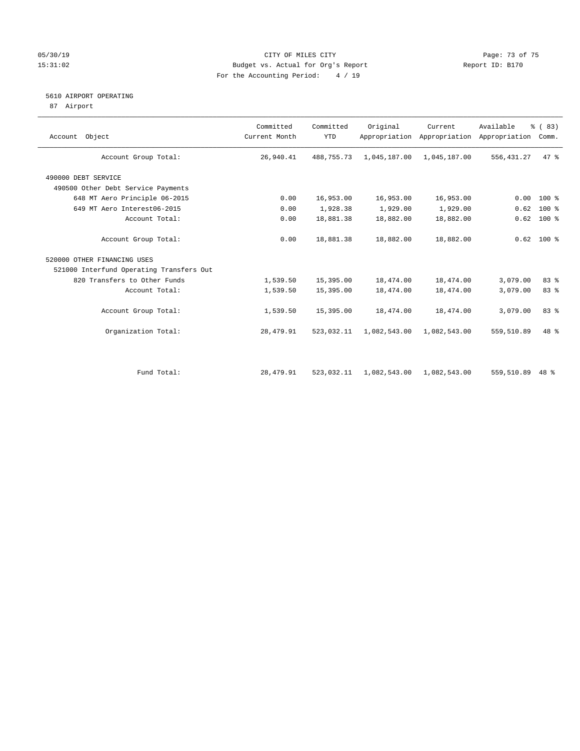## 05/30/19 Page: 73 of 75 15:31:02 Budget vs. Actual for Org's Report Report ID: B170 For the Accounting Period: 4 / 19

## 5610 AIRPORT OPERATING

87 Airport

| Account Object                           | Committed<br>Current Month | Committed<br><b>YTD</b> | Original     | Current      | Available<br>Appropriation Appropriation Appropriation | % (83)<br>Comm. |
|------------------------------------------|----------------------------|-------------------------|--------------|--------------|--------------------------------------------------------|-----------------|
| Account Group Total:                     | 26,940.41                  | 488,755.73              | 1,045,187.00 | 1,045,187.00 | 556, 431.27                                            | 47 %            |
| 490000 DEBT SERVICE                      |                            |                         |              |              |                                                        |                 |
| 490500 Other Debt Service Payments       |                            |                         |              |              |                                                        |                 |
| 648 MT Aero Principle 06-2015            | 0.00                       | 16,953.00               | 16,953.00    | 16,953.00    | 0.00                                                   | 100 %           |
| 649 MT Aero Interest06-2015              | 0.00                       | 1,928.38                | 1,929.00     | 1,929.00     | 0.62                                                   | $100$ %         |
| Account Total:                           | 0.00                       | 18,881.38               | 18,882.00    | 18,882.00    | 0.62                                                   | $100*$          |
| Account Group Total:                     | 0.00                       | 18,881.38               | 18,882.00    | 18,882.00    |                                                        | $0.62$ 100 %    |
| 520000 OTHER FINANCING USES              |                            |                         |              |              |                                                        |                 |
| 521000 Interfund Operating Transfers Out |                            |                         |              |              |                                                        |                 |
| 820 Transfers to Other Funds             | 1,539.50                   | 15,395.00               | 18,474.00    | 18,474.00    | 3,079.00                                               | 83 %            |
| Account Total:                           | 1,539.50                   | 15,395.00               | 18,474.00    | 18,474.00    | 3,079.00                                               | 83 %            |
| Account Group Total:                     | 1,539.50                   | 15,395.00               | 18,474.00    | 18,474.00    | 3,079.00                                               | 83 %            |
| Organization Total:                      | 28,479.91                  | 523,032.11              | 1,082,543.00 | 1,082,543.00 | 559,510.89                                             | 48 %            |
|                                          |                            |                         |              |              |                                                        |                 |
| Fund Total:                              | 28,479.91                  | 523,032.11              | 1,082,543.00 | 1,082,543.00 | 559,510.89                                             | $48*$           |